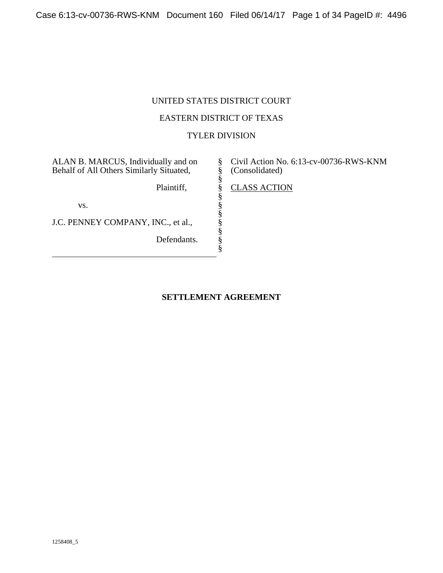## UNITED STATES DISTRICT COURT

## EASTERN DISTRICT OF TEXAS

## TYLER DIVISION

§ § § § § § § § § § §

ALAN B. MARCUS, Individually and on Behalf of All Others Similarly Situated,

Plaintiff,

vs.

J.C. PENNEY COMPANY, INC., et al.,

Defendants.

Civil Action No. 6:13-cv-00736-RWS-KNM (Consolidated)

CLASS ACTION

## **SETTLEMENT AGREEMENT**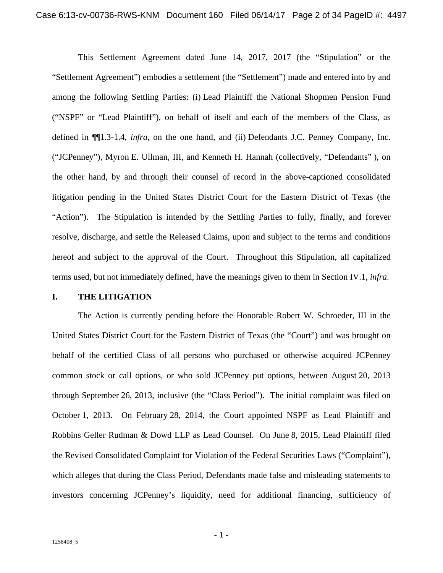This Settlement Agreement dated June 14, 2017, 2017 (the "Stipulation" or the "Settlement Agreement") embodies a settlement (the "Settlement") made and entered into by and among the following Settling Parties: (i) Lead Plaintiff the National Shopmen Pension Fund ("NSPF" or "Lead Plaintiff"), on behalf of itself and each of the members of the Class, as defined in ¶¶1.3-1.4, *infra*, on the one hand, and (ii) Defendants J.C. Penney Company, Inc. ("JCPenney"), Myron E. Ullman, III, and Kenneth H. Hannah (collectively, "Defendants" ), on the other hand, by and through their counsel of record in the above-captioned consolidated litigation pending in the United States District Court for the Eastern District of Texas (the "Action"). The Stipulation is intended by the Settling Parties to fully, finally, and forever resolve, discharge, and settle the Released Claims, upon and subject to the terms and conditions hereof and subject to the approval of the Court. Throughout this Stipulation, all capitalized terms used, but not immediately defined, have the meanings given to them in Section IV.1, *infra*.

#### **I. THE LITIGATION**

The Action is currently pending before the Honorable Robert W. Schroeder, III in the United States District Court for the Eastern District of Texas (the "Court") and was brought on behalf of the certified Class of all persons who purchased or otherwise acquired JCPenney common stock or call options, or who sold JCPenney put options, between August 20, 2013 through September 26, 2013, inclusive (the "Class Period"). The initial complaint was filed on October 1, 2013. On February 28, 2014, the Court appointed NSPF as Lead Plaintiff and Robbins Geller Rudman & Dowd LLP as Lead Counsel. On June 8, 2015, Lead Plaintiff filed the Revised Consolidated Complaint for Violation of the Federal Securities Laws ("Complaint"), which alleges that during the Class Period, Defendants made false and misleading statements to investors concerning JCPenney's liquidity, need for additional financing, sufficiency of

- 1 -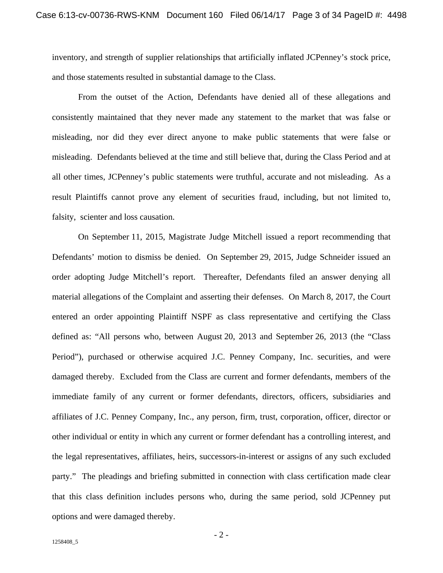inventory, and strength of supplier relationships that artificially inflated JCPenney's stock price, and those statements resulted in substantial damage to the Class.

From the outset of the Action, Defendants have denied all of these allegations and consistently maintained that they never made any statement to the market that was false or misleading, nor did they ever direct anyone to make public statements that were false or misleading. Defendants believed at the time and still believe that, during the Class Period and at all other times, JCPenney's public statements were truthful, accurate and not misleading. As a result Plaintiffs cannot prove any element of securities fraud, including, but not limited to, falsity, scienter and loss causation.

On September 11, 2015, Magistrate Judge Mitchell issued a report recommending that Defendants' motion to dismiss be denied. On September 29, 2015, Judge Schneider issued an order adopting Judge Mitchell's report. Thereafter, Defendants filed an answer denying all material allegations of the Complaint and asserting their defenses. On March 8, 2017, the Court entered an order appointing Plaintiff NSPF as class representative and certifying the Class defined as: "All persons who, between August 20, 2013 and September 26, 2013 (the "Class Period"), purchased or otherwise acquired J.C. Penney Company, Inc. securities, and were damaged thereby. Excluded from the Class are current and former defendants, members of the immediate family of any current or former defendants, directors, officers, subsidiaries and affiliates of J.C. Penney Company, Inc., any person, firm, trust, corporation, officer, director or other individual or entity in which any current or former defendant has a controlling interest, and the legal representatives, affiliates, heirs, successors-in-interest or assigns of any such excluded party." The pleadings and briefing submitted in connection with class certification made clear that this class definition includes persons who, during the same period, sold JCPenney put options and were damaged thereby.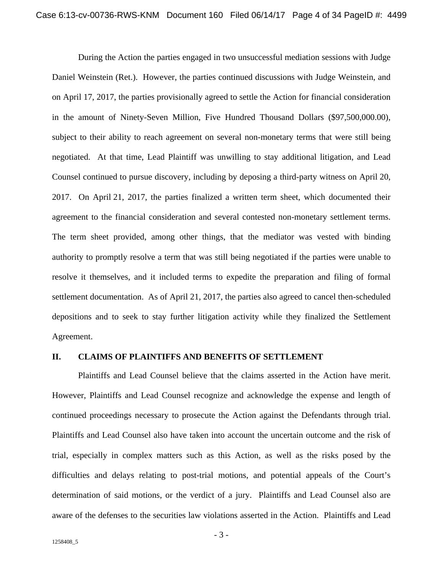During the Action the parties engaged in two unsuccessful mediation sessions with Judge Daniel Weinstein (Ret.). However, the parties continued discussions with Judge Weinstein, and on April 17, 2017, the parties provisionally agreed to settle the Action for financial consideration in the amount of Ninety-Seven Million, Five Hundred Thousand Dollars (\$97,500,000.00), subject to their ability to reach agreement on several non-monetary terms that were still being negotiated. At that time, Lead Plaintiff was unwilling to stay additional litigation, and Lead Counsel continued to pursue discovery, including by deposing a third-party witness on April 20, 2017. On April 21, 2017, the parties finalized a written term sheet, which documented their agreement to the financial consideration and several contested non-monetary settlement terms. The term sheet provided, among other things, that the mediator was vested with binding authority to promptly resolve a term that was still being negotiated if the parties were unable to resolve it themselves, and it included terms to expedite the preparation and filing of formal settlement documentation. As of April 21, 2017, the parties also agreed to cancel then-scheduled depositions and to seek to stay further litigation activity while they finalized the Settlement Agreement.

## **II. CLAIMS OF PLAINTIFFS AND BENEFITS OF SETTLEMENT**

Plaintiffs and Lead Counsel believe that the claims asserted in the Action have merit. However, Plaintiffs and Lead Counsel recognize and acknowledge the expense and length of continued proceedings necessary to prosecute the Action against the Defendants through trial. Plaintiffs and Lead Counsel also have taken into account the uncertain outcome and the risk of trial, especially in complex matters such as this Action, as well as the risks posed by the difficulties and delays relating to post-trial motions, and potential appeals of the Court's determination of said motions, or the verdict of a jury. Plaintiffs and Lead Counsel also are aware of the defenses to the securities law violations asserted in the Action. Plaintiffs and Lead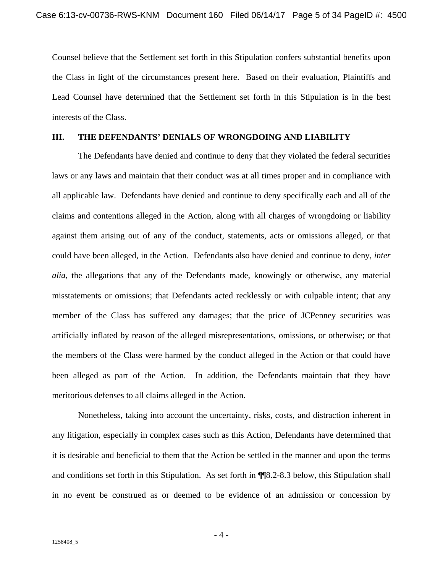Counsel believe that the Settlement set forth in this Stipulation confers substantial benefits upon the Class in light of the circumstances present here. Based on their evaluation, Plaintiffs and Lead Counsel have determined that the Settlement set forth in this Stipulation is in the best interests of the Class.

## **III. THE DEFENDANTS' DENIALS OF WRONGDOING AND LIABILITY**

The Defendants have denied and continue to deny that they violated the federal securities laws or any laws and maintain that their conduct was at all times proper and in compliance with all applicable law. Defendants have denied and continue to deny specifically each and all of the claims and contentions alleged in the Action, along with all charges of wrongdoing or liability against them arising out of any of the conduct, statements, acts or omissions alleged, or that could have been alleged, in the Action. Defendants also have denied and continue to deny, *inter alia*, the allegations that any of the Defendants made, knowingly or otherwise, any material misstatements or omissions; that Defendants acted recklessly or with culpable intent; that any member of the Class has suffered any damages; that the price of JCPenney securities was artificially inflated by reason of the alleged misrepresentations, omissions, or otherwise; or that the members of the Class were harmed by the conduct alleged in the Action or that could have been alleged as part of the Action. In addition, the Defendants maintain that they have meritorious defenses to all claims alleged in the Action.

Nonetheless, taking into account the uncertainty, risks, costs, and distraction inherent in any litigation, especially in complex cases such as this Action, Defendants have determined that it is desirable and beneficial to them that the Action be settled in the manner and upon the terms and conditions set forth in this Stipulation. As set forth in ¶¶8.2-8.3 below, this Stipulation shall in no event be construed as or deemed to be evidence of an admission or concession by

- 4 -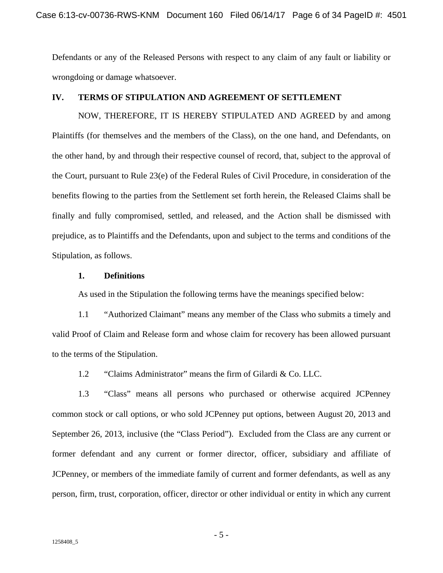Defendants or any of the Released Persons with respect to any claim of any fault or liability or wrongdoing or damage whatsoever.

## **IV. TERMS OF STIPULATION AND AGREEMENT OF SETTLEMENT**

NOW, THEREFORE, IT IS HEREBY STIPULATED AND AGREED by and among Plaintiffs (for themselves and the members of the Class), on the one hand, and Defendants, on the other hand, by and through their respective counsel of record, that, subject to the approval of the Court, pursuant to Rule 23(e) of the Federal Rules of Civil Procedure, in consideration of the benefits flowing to the parties from the Settlement set forth herein, the Released Claims shall be finally and fully compromised, settled, and released, and the Action shall be dismissed with prejudice, as to Plaintiffs and the Defendants, upon and subject to the terms and conditions of the Stipulation, as follows.

## **1. Definitions**

As used in the Stipulation the following terms have the meanings specified below:

1.1 "Authorized Claimant" means any member of the Class who submits a timely and valid Proof of Claim and Release form and whose claim for recovery has been allowed pursuant to the terms of the Stipulation.

1.2 "Claims Administrator" means the firm of Gilardi & Co. LLC.

1.3 "Class" means all persons who purchased or otherwise acquired JCPenney common stock or call options, or who sold JCPenney put options, between August 20, 2013 and September 26, 2013, inclusive (the "Class Period"). Excluded from the Class are any current or former defendant and any current or former director, officer, subsidiary and affiliate of JCPenney, or members of the immediate family of current and former defendants, as well as any person, firm, trust, corporation, officer, director or other individual or entity in which any current

- 5 -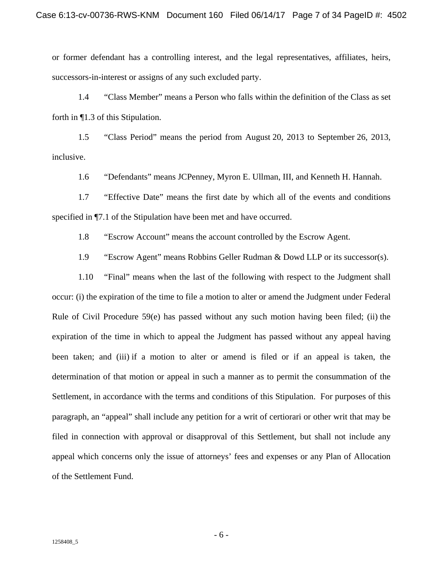or former defendant has a controlling interest, and the legal representatives, affiliates, heirs, successors-in-interest or assigns of any such excluded party.

1.4 "Class Member" means a Person who falls within the definition of the Class as set forth in ¶1.3 of this Stipulation.

1.5 "Class Period" means the period from August 20, 2013 to September 26, 2013, inclusive.

1.6 "Defendants" means JCPenney, Myron E. Ullman, III, and Kenneth H. Hannah.

1.7 "Effective Date" means the first date by which all of the events and conditions specified in ¶7.1 of the Stipulation have been met and have occurred.

1.8 "Escrow Account" means the account controlled by the Escrow Agent.

1.9 "Escrow Agent" means Robbins Geller Rudman & Dowd LLP or its successor(s).

1.10 "Final" means when the last of the following with respect to the Judgment shall occur: (i) the expiration of the time to file a motion to alter or amend the Judgment under Federal Rule of Civil Procedure  $59(e)$  has passed without any such motion having been filed; (ii) the expiration of the time in which to appeal the Judgment has passed without any appeal having been taken; and (iii) if a motion to alter or amend is filed or if an appeal is taken, the determination of that motion or appeal in such a manner as to permit the consummation of the Settlement, in accordance with the terms and conditions of this Stipulation. For purposes of this paragraph, an "appeal" shall include any petition for a writ of certiorari or other writ that may be filed in connection with approval or disapproval of this Settlement, but shall not include any appeal which concerns only the issue of attorneys' fees and expenses or any Plan of Allocation of the Settlement Fund.

- 6 -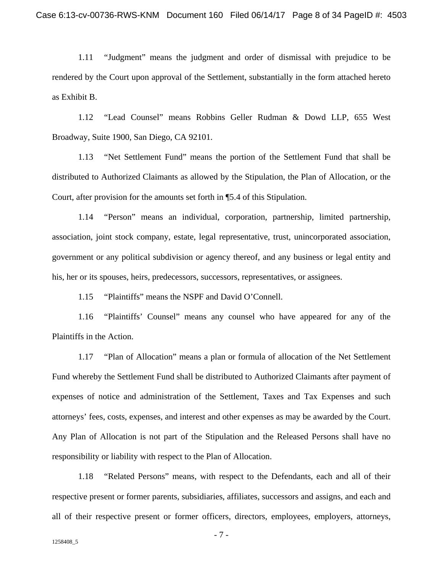1.11 "Judgment" means the judgment and order of dismissal with prejudice to be rendered by the Court upon approval of the Settlement, substantially in the form attached hereto as Exhibit B.

1.12 "Lead Counsel" means Robbins Geller Rudman & Dowd LLP, 655 West Broadway, Suite 1900, San Diego, CA 92101.

1.13 "Net Settlement Fund" means the portion of the Settlement Fund that shall be distributed to Authorized Claimants as allowed by the Stipulation, the Plan of Allocation, or the Court, after provision for the amounts set forth in ¶5.4 of this Stipulation.

1.14 "Person" means an individual, corporation, partnership, limited partnership, association, joint stock company, estate, legal representative, trust, unincorporated association, government or any political subdivision or agency thereof, and any business or legal entity and his, her or its spouses, heirs, predecessors, successors, representatives, or assignees.

1.15 "Plaintiffs" means the NSPF and David O'Connell.

1.16 "Plaintiffs' Counsel" means any counsel who have appeared for any of the Plaintiffs in the Action.

1.17 "Plan of Allocation" means a plan or formula of allocation of the Net Settlement Fund whereby the Settlement Fund shall be distributed to Authorized Claimants after payment of expenses of notice and administration of the Settlement, Taxes and Tax Expenses and such attorneys' fees, costs, expenses, and interest and other expenses as may be awarded by the Court. Any Plan of Allocation is not part of the Stipulation and the Released Persons shall have no responsibility or liability with respect to the Plan of Allocation.

1.18 "Related Persons" means, with respect to the Defendants, each and all of their respective present or former parents, subsidiaries, affiliates, successors and assigns, and each and all of their respective present or former officers, directors, employees, employers, attorneys,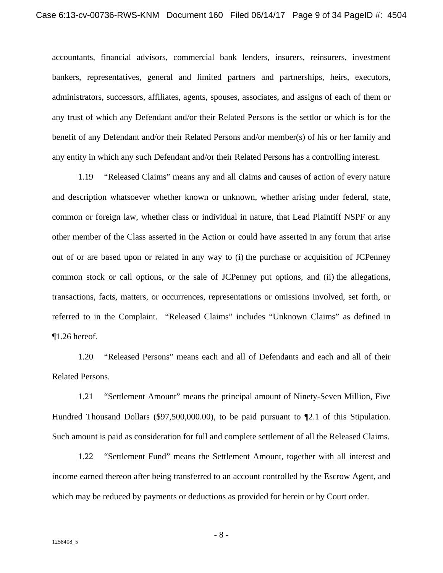accountants, financial advisors, commercial bank lenders, insurers, reinsurers, investment bankers, representatives, general and limited partners and partnerships, heirs, executors, administrators, successors, affiliates, agents, spouses, associates, and assigns of each of them or any trust of which any Defendant and/or their Related Persons is the settlor or which is for the benefit of any Defendant and/or their Related Persons and/or member(s) of his or her family and any entity in which any such Defendant and/or their Related Persons has a controlling interest.

1.19 "Released Claims" means any and all claims and causes of action of every nature and description whatsoever whether known or unknown, whether arising under federal, state, common or foreign law, whether class or individual in nature, that Lead Plaintiff NSPF or any other member of the Class asserted in the Action or could have asserted in any forum that arise out of or are based upon or related in any way to (i) the purchase or acquisition of JCPenney common stock or call options, or the sale of JCPenney put options, and (ii) the allegations, transactions, facts, matters, or occurrences, representations or omissions involved, set forth, or referred to in the Complaint. "Released Claims" includes "Unknown Claims" as defined in ¶1.26 hereof.

1.20 "Released Persons" means each and all of Defendants and each and all of their Related Persons.

1.21 "Settlement Amount" means the principal amount of Ninety-Seven Million, Five Hundred Thousand Dollars (\$97,500,000.00), to be paid pursuant to ¶2.1 of this Stipulation. Such amount is paid as consideration for full and complete settlement of all the Released Claims.

1.22 "Settlement Fund" means the Settlement Amount, together with all interest and income earned thereon after being transferred to an account controlled by the Escrow Agent, and which may be reduced by payments or deductions as provided for herein or by Court order.

- 8 -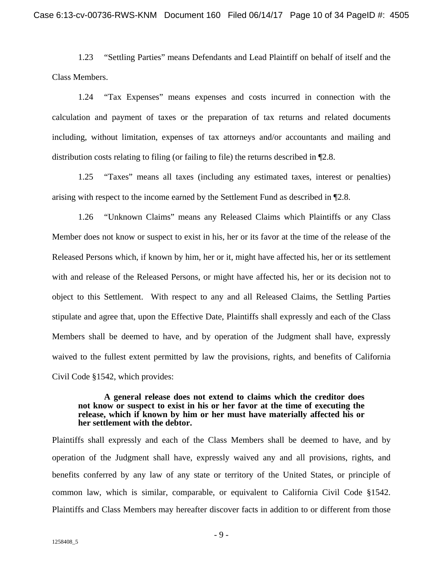1.23 "Settling Parties" means Defendants and Lead Plaintiff on behalf of itself and the Class Members.

1.24 "Tax Expenses" means expenses and costs incurred in connection with the calculation and payment of taxes or the preparation of tax returns and related documents including, without limitation, expenses of tax attorneys and/or accountants and mailing and distribution costs relating to filing (or failing to file) the returns described in ¶2.8.

1.25 "Taxes" means all taxes (including any estimated taxes, interest or penalties) arising with respect to the income earned by the Settlement Fund as described in ¶2.8.

1.26 "Unknown Claims" means any Released Claims which Plaintiffs or any Class Member does not know or suspect to exist in his, her or its favor at the time of the release of the Released Persons which, if known by him, her or it, might have affected his, her or its settlement with and release of the Released Persons, or might have affected his, her or its decision not to object to this Settlement. With respect to any and all Released Claims, the Settling Parties stipulate and agree that, upon the Effective Date, Plaintiffs shall expressly and each of the Class Members shall be deemed to have, and by operation of the Judgment shall have, expressly waived to the fullest extent permitted by law the provisions, rights, and benefits of California Civil Code §1542, which provides:

### **A general release does not extend to claims which the creditor does not know or suspect to exist in his or her favor at the time of executing the release, which if known by him or her must have materially affected his or her settlement with the debtor.**

Plaintiffs shall expressly and each of the Class Members shall be deemed to have, and by operation of the Judgment shall have, expressly waived any and all provisions, rights, and benefits conferred by any law of any state or territory of the United States, or principle of common law, which is similar, comparable, or equivalent to California Civil Code §1542. Plaintiffs and Class Members may hereafter discover facts in addition to or different from those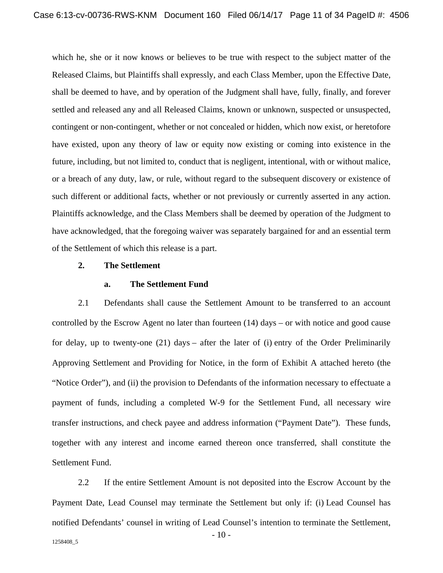which he, she or it now knows or believes to be true with respect to the subject matter of the Released Claims, but Plaintiffs shall expressly, and each Class Member, upon the Effective Date, shall be deemed to have, and by operation of the Judgment shall have, fully, finally, and forever settled and released any and all Released Claims, known or unknown, suspected or unsuspected, contingent or non-contingent, whether or not concealed or hidden, which now exist, or heretofore have existed, upon any theory of law or equity now existing or coming into existence in the future, including, but not limited to, conduct that is negligent, intentional, with or without malice, or a breach of any duty, law, or rule, without regard to the subsequent discovery or existence of such different or additional facts, whether or not previously or currently asserted in any action. Plaintiffs acknowledge, and the Class Members shall be deemed by operation of the Judgment to have acknowledged, that the foregoing waiver was separately bargained for and an essential term of the Settlement of which this release is a part.

#### **2. The Settlement**

## **a. The Settlement Fund**

2.1 Defendants shall cause the Settlement Amount to be transferred to an account controlled by the Escrow Agent no later than fourteen (14) days – or with notice and good cause for delay, up to twenty-one (21) days – after the later of (i) entry of the Order Preliminarily Approving Settlement and Providing for Notice, in the form of Exhibit A attached hereto (the "Notice Order"), and (ii) the provision to Defendants of the information necessary to effectuate a payment of funds, including a completed W-9 for the Settlement Fund, all necessary wire transfer instructions, and check payee and address information ("Payment Date"). These funds, together with any interest and income earned thereon once transferred, shall constitute the Settlement Fund.

2.2 If the entire Settlement Amount is not deposited into the Escrow Account by the Payment Date, Lead Counsel may terminate the Settlement but only if: (i) Lead Counsel has notified Defendants' counsel in writing of Lead Counsel's intention to terminate the Settlement,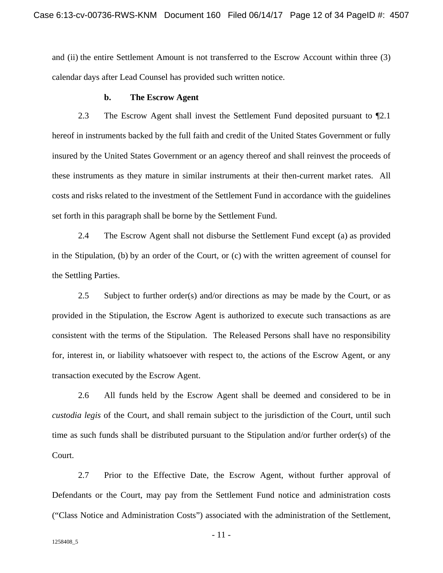and (ii) the entire Settlement Amount is not transferred to the Escrow Account within three (3) calendar days after Lead Counsel has provided such written notice.

#### **b. The Escrow Agent**

2.3 The Escrow Agent shall invest the Settlement Fund deposited pursuant to ¶2.1 hereof in instruments backed by the full faith and credit of the United States Government or fully insured by the United States Government or an agency thereof and shall reinvest the proceeds of these instruments as they mature in similar instruments at their then-current market rates. All costs and risks related to the investment of the Settlement Fund in accordance with the guidelines set forth in this paragraph shall be borne by the Settlement Fund.

2.4 The Escrow Agent shall not disburse the Settlement Fund except (a) as provided in the Stipulation, (b) by an order of the Court, or (c) with the written agreement of counsel for the Settling Parties.

2.5 Subject to further order(s) and/or directions as may be made by the Court, or as provided in the Stipulation, the Escrow Agent is authorized to execute such transactions as are consistent with the terms of the Stipulation. The Released Persons shall have no responsibility for, interest in, or liability whatsoever with respect to, the actions of the Escrow Agent, or any transaction executed by the Escrow Agent.

2.6 All funds held by the Escrow Agent shall be deemed and considered to be in *custodia legis* of the Court, and shall remain subject to the jurisdiction of the Court, until such time as such funds shall be distributed pursuant to the Stipulation and/or further order(s) of the Court.

2.7 Prior to the Effective Date, the Escrow Agent, without further approval of Defendants or the Court, may pay from the Settlement Fund notice and administration costs ("Class Notice and Administration Costs") associated with the administration of the Settlement,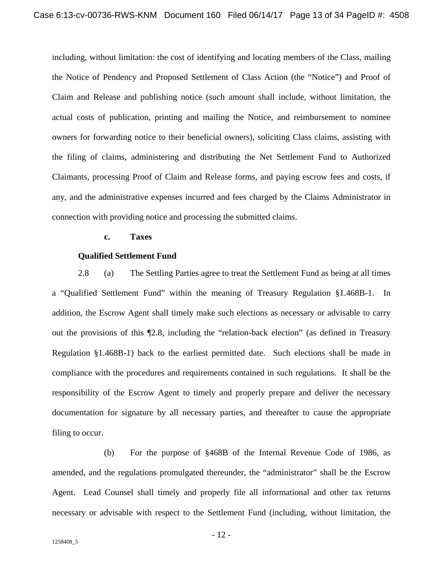including, without limitation: the cost of identifying and locating members of the Class, mailing the Notice of Pendency and Proposed Settlement of Class Action (the "Notice") and Proof of Claim and Release and publishing notice (such amount shall include, without limitation, the actual costs of publication, printing and mailing the Notice, and reimbursement to nominee owners for forwarding notice to their beneficial owners), soliciting Class claims, assisting with the filing of claims, administering and distributing the Net Settlement Fund to Authorized Claimants, processing Proof of Claim and Release forms, and paying escrow fees and costs, if any, and the administrative expenses incurred and fees charged by the Claims Administrator in connection with providing notice and processing the submitted claims.

#### **c. Taxes**

#### **Qualified Settlement Fund**

2.8 (a) The Settling Parties agree to treat the Settlement Fund as being at all times a "Qualified Settlement Fund" within the meaning of Treasury Regulation §1.468B-1. In addition, the Escrow Agent shall timely make such elections as necessary or advisable to carry out the provisions of this ¶2.8, including the "relation-back election" (as defined in Treasury Regulation §1.468B-1) back to the earliest permitted date. Such elections shall be made in compliance with the procedures and requirements contained in such regulations. It shall be the responsibility of the Escrow Agent to timely and properly prepare and deliver the necessary documentation for signature by all necessary parties, and thereafter to cause the appropriate filing to occur.

 (b) For the purpose of §468B of the Internal Revenue Code of 1986, as amended, and the regulations promulgated thereunder, the "administrator" shall be the Escrow Agent. Lead Counsel shall timely and properly file all informational and other tax returns necessary or advisable with respect to the Settlement Fund (including, without limitation, the

- 12 -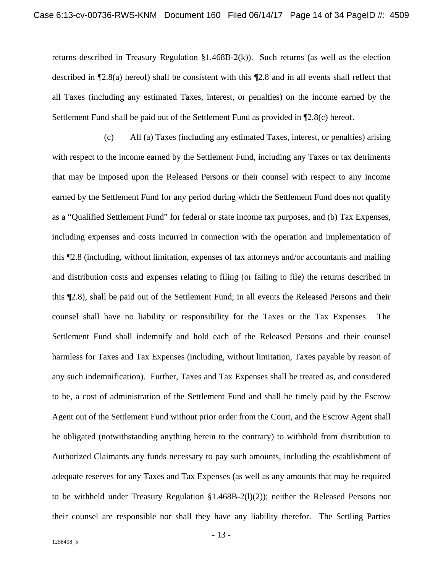returns described in Treasury Regulation  $\S1.468B-2(k)$ ). Such returns (as well as the election described in ¶2.8(a) hereof) shall be consistent with this ¶2.8 and in all events shall reflect that all Taxes (including any estimated Taxes, interest, or penalties) on the income earned by the Settlement Fund shall be paid out of the Settlement Fund as provided in ¶2.8(c) hereof.

 (c) All (a) Taxes (including any estimated Taxes, interest, or penalties) arising with respect to the income earned by the Settlement Fund, including any Taxes or tax detriments that may be imposed upon the Released Persons or their counsel with respect to any income earned by the Settlement Fund for any period during which the Settlement Fund does not qualify as a "Qualified Settlement Fund" for federal or state income tax purposes, and (b) Tax Expenses, including expenses and costs incurred in connection with the operation and implementation of this ¶2.8 (including, without limitation, expenses of tax attorneys and/or accountants and mailing and distribution costs and expenses relating to filing (or failing to file) the returns described in this ¶2.8), shall be paid out of the Settlement Fund; in all events the Released Persons and their counsel shall have no liability or responsibility for the Taxes or the Tax Expenses. The Settlement Fund shall indemnify and hold each of the Released Persons and their counsel harmless for Taxes and Tax Expenses (including, without limitation, Taxes payable by reason of any such indemnification). Further, Taxes and Tax Expenses shall be treated as, and considered to be, a cost of administration of the Settlement Fund and shall be timely paid by the Escrow Agent out of the Settlement Fund without prior order from the Court, and the Escrow Agent shall be obligated (notwithstanding anything herein to the contrary) to withhold from distribution to Authorized Claimants any funds necessary to pay such amounts, including the establishment of adequate reserves for any Taxes and Tax Expenses (as well as any amounts that may be required to be withheld under Treasury Regulation  $\S1.468B-2(1)(2)$ ; neither the Released Persons nor their counsel are responsible nor shall they have any liability therefor. The Settling Parties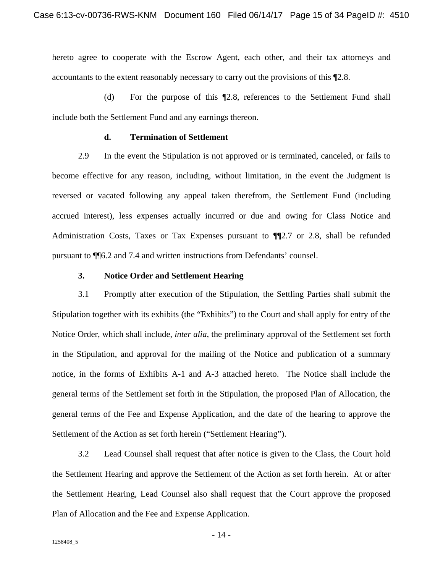hereto agree to cooperate with the Escrow Agent, each other, and their tax attorneys and accountants to the extent reasonably necessary to carry out the provisions of this ¶2.8.

 (d) For the purpose of this ¶2.8, references to the Settlement Fund shall include both the Settlement Fund and any earnings thereon.

## **d. Termination of Settlement**

2.9 In the event the Stipulation is not approved or is terminated, canceled, or fails to become effective for any reason, including, without limitation, in the event the Judgment is reversed or vacated following any appeal taken therefrom, the Settlement Fund (including accrued interest), less expenses actually incurred or due and owing for Class Notice and Administration Costs, Taxes or Tax Expenses pursuant to  $\P$ [2.7 or 2.8, shall be refunded pursuant to ¶¶6.2 and 7.4 and written instructions from Defendants' counsel.

## **3. Notice Order and Settlement Hearing**

3.1 Promptly after execution of the Stipulation, the Settling Parties shall submit the Stipulation together with its exhibits (the "Exhibits") to the Court and shall apply for entry of the Notice Order, which shall include, *inter alia*, the preliminary approval of the Settlement set forth in the Stipulation, and approval for the mailing of the Notice and publication of a summary notice, in the forms of Exhibits A-1 and A-3 attached hereto. The Notice shall include the general terms of the Settlement set forth in the Stipulation, the proposed Plan of Allocation, the general terms of the Fee and Expense Application, and the date of the hearing to approve the Settlement of the Action as set forth herein ("Settlement Hearing").

3.2 Lead Counsel shall request that after notice is given to the Class, the Court hold the Settlement Hearing and approve the Settlement of the Action as set forth herein. At or after the Settlement Hearing, Lead Counsel also shall request that the Court approve the proposed Plan of Allocation and the Fee and Expense Application.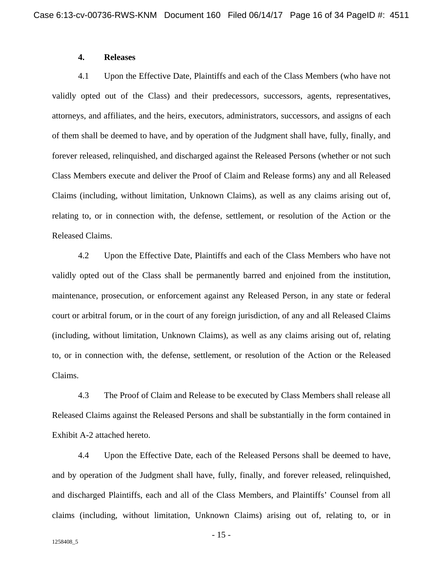## **4. Releases**

4.1 Upon the Effective Date, Plaintiffs and each of the Class Members (who have not validly opted out of the Class) and their predecessors, successors, agents, representatives, attorneys, and affiliates, and the heirs, executors, administrators, successors, and assigns of each of them shall be deemed to have, and by operation of the Judgment shall have, fully, finally, and forever released, relinquished, and discharged against the Released Persons (whether or not such Class Members execute and deliver the Proof of Claim and Release forms) any and all Released Claims (including, without limitation, Unknown Claims), as well as any claims arising out of, relating to, or in connection with, the defense, settlement, or resolution of the Action or the Released Claims.

4.2 Upon the Effective Date, Plaintiffs and each of the Class Members who have not validly opted out of the Class shall be permanently barred and enjoined from the institution, maintenance, prosecution, or enforcement against any Released Person, in any state or federal court or arbitral forum, or in the court of any foreign jurisdiction, of any and all Released Claims (including, without limitation, Unknown Claims), as well as any claims arising out of, relating to, or in connection with, the defense, settlement, or resolution of the Action or the Released Claims.

4.3 The Proof of Claim and Release to be executed by Class Members shall release all Released Claims against the Released Persons and shall be substantially in the form contained in Exhibit A-2 attached hereto.

4.4 Upon the Effective Date, each of the Released Persons shall be deemed to have, and by operation of the Judgment shall have, fully, finally, and forever released, relinquished, and discharged Plaintiffs, each and all of the Class Members, and Plaintiffs' Counsel from all claims (including, without limitation, Unknown Claims) arising out of, relating to, or in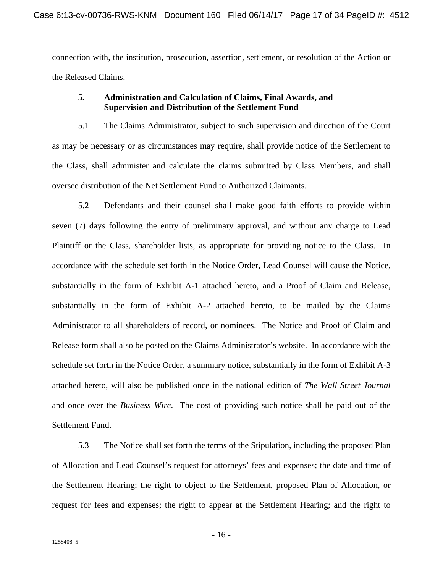connection with, the institution, prosecution, assertion, settlement, or resolution of the Action or the Released Claims.

## **5. Administration and Calculation of Claims, Final Awards, and Supervision and Distribution of the Settlement Fund**

5.1 The Claims Administrator, subject to such supervision and direction of the Court as may be necessary or as circumstances may require, shall provide notice of the Settlement to the Class, shall administer and calculate the claims submitted by Class Members, and shall oversee distribution of the Net Settlement Fund to Authorized Claimants.

5.2 Defendants and their counsel shall make good faith efforts to provide within seven (7) days following the entry of preliminary approval, and without any charge to Lead Plaintiff or the Class, shareholder lists, as appropriate for providing notice to the Class. In accordance with the schedule set forth in the Notice Order, Lead Counsel will cause the Notice, substantially in the form of Exhibit A-1 attached hereto, and a Proof of Claim and Release, substantially in the form of Exhibit A-2 attached hereto, to be mailed by the Claims Administrator to all shareholders of record, or nominees. The Notice and Proof of Claim and Release form shall also be posted on the Claims Administrator's website. In accordance with the schedule set forth in the Notice Order, a summary notice, substantially in the form of Exhibit A-3 attached hereto, will also be published once in the national edition of *The Wall Street Journal* and once over the *Business Wire*. The cost of providing such notice shall be paid out of the Settlement Fund.

5.3 The Notice shall set forth the terms of the Stipulation, including the proposed Plan of Allocation and Lead Counsel's request for attorneys' fees and expenses; the date and time of the Settlement Hearing; the right to object to the Settlement, proposed Plan of Allocation, or request for fees and expenses; the right to appear at the Settlement Hearing; and the right to

- 16 -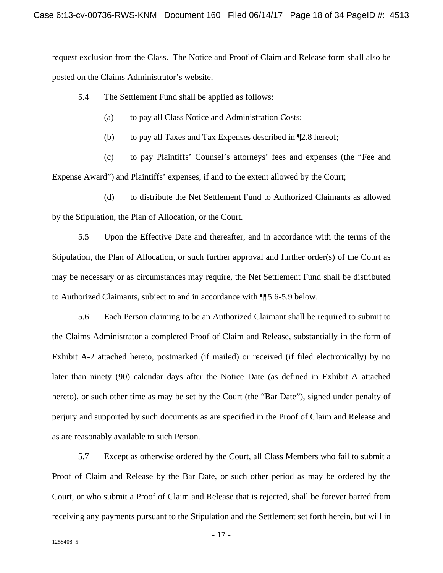request exclusion from the Class. The Notice and Proof of Claim and Release form shall also be posted on the Claims Administrator's website.

5.4 The Settlement Fund shall be applied as follows:

- (a) to pay all Class Notice and Administration Costs;
- (b) to pay all Taxes and Tax Expenses described in ¶2.8 hereof;

(c) to pay Plaintiffs' Counsel's attorneys' fees and expenses (the "Fee and Expense Award") and Plaintiffs' expenses, if and to the extent allowed by the Court;

(d) to distribute the Net Settlement Fund to Authorized Claimants as allowed by the Stipulation, the Plan of Allocation, or the Court.

5.5 Upon the Effective Date and thereafter, and in accordance with the terms of the Stipulation, the Plan of Allocation, or such further approval and further order(s) of the Court as may be necessary or as circumstances may require, the Net Settlement Fund shall be distributed to Authorized Claimants, subject to and in accordance with ¶¶5.6-5.9 below.

5.6 Each Person claiming to be an Authorized Claimant shall be required to submit to the Claims Administrator a completed Proof of Claim and Release, substantially in the form of Exhibit A-2 attached hereto, postmarked (if mailed) or received (if filed electronically) by no later than ninety (90) calendar days after the Notice Date (as defined in Exhibit A attached hereto), or such other time as may be set by the Court (the "Bar Date"), signed under penalty of perjury and supported by such documents as are specified in the Proof of Claim and Release and as are reasonably available to such Person.

5.7 Except as otherwise ordered by the Court, all Class Members who fail to submit a Proof of Claim and Release by the Bar Date, or such other period as may be ordered by the Court, or who submit a Proof of Claim and Release that is rejected, shall be forever barred from receiving any payments pursuant to the Stipulation and the Settlement set forth herein, but will in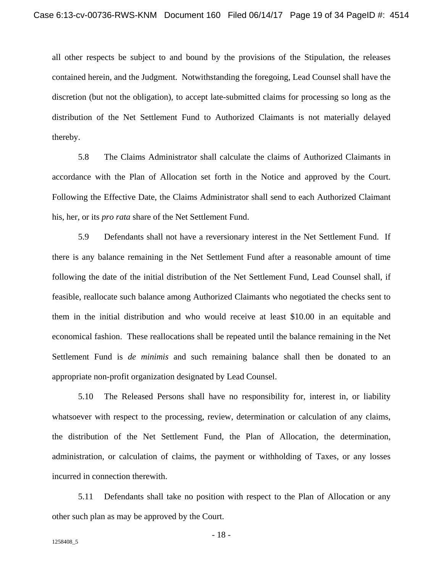all other respects be subject to and bound by the provisions of the Stipulation, the releases contained herein, and the Judgment. Notwithstanding the foregoing, Lead Counsel shall have the discretion (but not the obligation), to accept late-submitted claims for processing so long as the distribution of the Net Settlement Fund to Authorized Claimants is not materially delayed thereby.

5.8 The Claims Administrator shall calculate the claims of Authorized Claimants in accordance with the Plan of Allocation set forth in the Notice and approved by the Court. Following the Effective Date, the Claims Administrator shall send to each Authorized Claimant his, her, or its *pro rata* share of the Net Settlement Fund.

5.9 Defendants shall not have a reversionary interest in the Net Settlement Fund. If there is any balance remaining in the Net Settlement Fund after a reasonable amount of time following the date of the initial distribution of the Net Settlement Fund, Lead Counsel shall, if feasible, reallocate such balance among Authorized Claimants who negotiated the checks sent to them in the initial distribution and who would receive at least \$10.00 in an equitable and economical fashion. These reallocations shall be repeated until the balance remaining in the Net Settlement Fund is *de minimis* and such remaining balance shall then be donated to an appropriate non-profit organization designated by Lead Counsel.

5.10 The Released Persons shall have no responsibility for, interest in, or liability whatsoever with respect to the processing, review, determination or calculation of any claims, the distribution of the Net Settlement Fund, the Plan of Allocation, the determination, administration, or calculation of claims, the payment or withholding of Taxes, or any losses incurred in connection therewith.

5.11 Defendants shall take no position with respect to the Plan of Allocation or any other such plan as may be approved by the Court.

- 18 -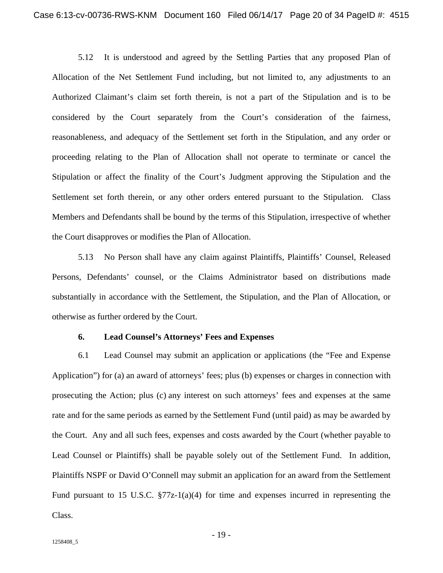5.12 It is understood and agreed by the Settling Parties that any proposed Plan of Allocation of the Net Settlement Fund including, but not limited to, any adjustments to an Authorized Claimant's claim set forth therein, is not a part of the Stipulation and is to be considered by the Court separately from the Court's consideration of the fairness, reasonableness, and adequacy of the Settlement set forth in the Stipulation, and any order or proceeding relating to the Plan of Allocation shall not operate to terminate or cancel the Stipulation or affect the finality of the Court's Judgment approving the Stipulation and the Settlement set forth therein, or any other orders entered pursuant to the Stipulation. Class Members and Defendants shall be bound by the terms of this Stipulation, irrespective of whether the Court disapproves or modifies the Plan of Allocation.

5.13 No Person shall have any claim against Plaintiffs, Plaintiffs' Counsel, Released Persons, Defendants' counsel, or the Claims Administrator based on distributions made substantially in accordance with the Settlement, the Stipulation, and the Plan of Allocation, or otherwise as further ordered by the Court.

#### **6. Lead Counsel's Attorneys' Fees and Expenses**

6.1 Lead Counsel may submit an application or applications (the "Fee and Expense Application") for (a) an award of attorneys' fees; plus (b) expenses or charges in connection with prosecuting the Action; plus (c) any interest on such attorneys' fees and expenses at the same rate and for the same periods as earned by the Settlement Fund (until paid) as may be awarded by the Court. Any and all such fees, expenses and costs awarded by the Court (whether payable to Lead Counsel or Plaintiffs) shall be payable solely out of the Settlement Fund. In addition, Plaintiffs NSPF or David O'Connell may submit an application for an award from the Settlement Fund pursuant to 15 U.S.C.  $\S77z-1(a)(4)$  for time and expenses incurred in representing the Class.

- 19 -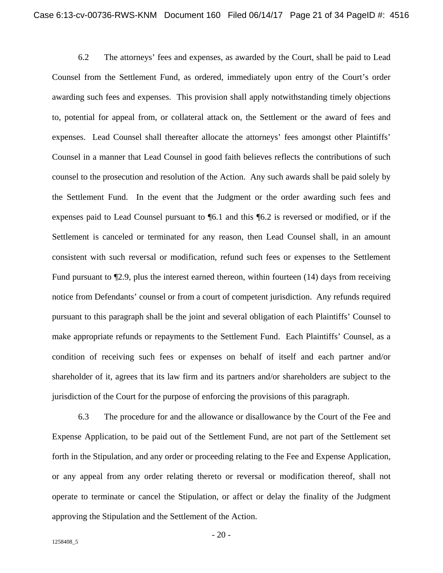6.2 The attorneys' fees and expenses, as awarded by the Court, shall be paid to Lead Counsel from the Settlement Fund, as ordered, immediately upon entry of the Court's order awarding such fees and expenses. This provision shall apply notwithstanding timely objections to, potential for appeal from, or collateral attack on, the Settlement or the award of fees and expenses. Lead Counsel shall thereafter allocate the attorneys' fees amongst other Plaintiffs' Counsel in a manner that Lead Counsel in good faith believes reflects the contributions of such counsel to the prosecution and resolution of the Action. Any such awards shall be paid solely by the Settlement Fund. In the event that the Judgment or the order awarding such fees and expenses paid to Lead Counsel pursuant to ¶6.1 and this ¶6.2 is reversed or modified, or if the Settlement is canceled or terminated for any reason, then Lead Counsel shall, in an amount consistent with such reversal or modification, refund such fees or expenses to the Settlement Fund pursuant to ¶2.9, plus the interest earned thereon, within fourteen (14) days from receiving notice from Defendants' counsel or from a court of competent jurisdiction. Any refunds required pursuant to this paragraph shall be the joint and several obligation of each Plaintiffs' Counsel to make appropriate refunds or repayments to the Settlement Fund. Each Plaintiffs' Counsel, as a condition of receiving such fees or expenses on behalf of itself and each partner and/or shareholder of it, agrees that its law firm and its partners and/or shareholders are subject to the jurisdiction of the Court for the purpose of enforcing the provisions of this paragraph.

6.3 The procedure for and the allowance or disallowance by the Court of the Fee and Expense Application, to be paid out of the Settlement Fund, are not part of the Settlement set forth in the Stipulation, and any order or proceeding relating to the Fee and Expense Application, or any appeal from any order relating thereto or reversal or modification thereof, shall not operate to terminate or cancel the Stipulation, or affect or delay the finality of the Judgment approving the Stipulation and the Settlement of the Action.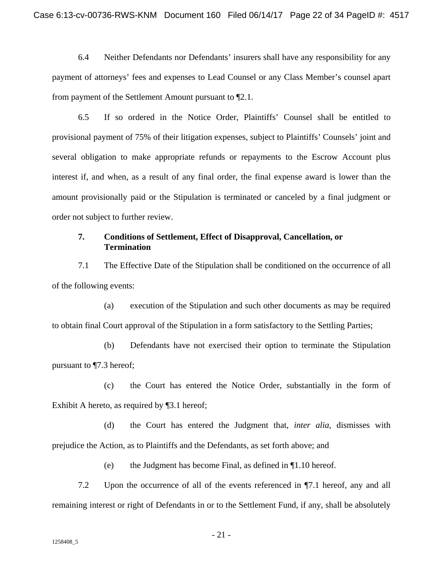6.4 Neither Defendants nor Defendants' insurers shall have any responsibility for any payment of attorneys' fees and expenses to Lead Counsel or any Class Member's counsel apart from payment of the Settlement Amount pursuant to ¶2.1.

6.5 If so ordered in the Notice Order, Plaintiffs' Counsel shall be entitled to provisional payment of 75% of their litigation expenses, subject to Plaintiffs' Counsels' joint and several obligation to make appropriate refunds or repayments to the Escrow Account plus interest if, and when, as a result of any final order, the final expense award is lower than the amount provisionally paid or the Stipulation is terminated or canceled by a final judgment or order not subject to further review.

## **7. Conditions of Settlement, Effect of Disapproval, Cancellation, or Termination**

7.1 The Effective Date of the Stipulation shall be conditioned on the occurrence of all of the following events:

(a) execution of the Stipulation and such other documents as may be required to obtain final Court approval of the Stipulation in a form satisfactory to the Settling Parties;

(b) Defendants have not exercised their option to terminate the Stipulation pursuant to ¶7.3 hereof;

(c) the Court has entered the Notice Order, substantially in the form of Exhibit A hereto, as required by ¶3.1 hereof;

(d) the Court has entered the Judgment that, *inter alia*, dismisses with prejudice the Action, as to Plaintiffs and the Defendants, as set forth above; and

(e) the Judgment has become Final, as defined in ¶1.10 hereof.

7.2 Upon the occurrence of all of the events referenced in ¶7.1 hereof, any and all remaining interest or right of Defendants in or to the Settlement Fund, if any, shall be absolutely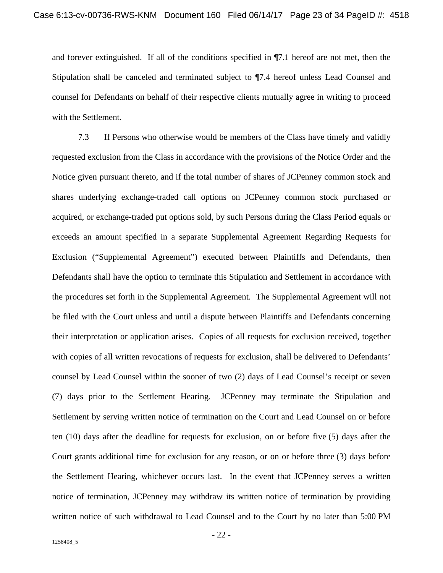and forever extinguished. If all of the conditions specified in ¶7.1 hereof are not met, then the Stipulation shall be canceled and terminated subject to ¶7.4 hereof unless Lead Counsel and counsel for Defendants on behalf of their respective clients mutually agree in writing to proceed with the Settlement.

7.3 If Persons who otherwise would be members of the Class have timely and validly requested exclusion from the Class in accordance with the provisions of the Notice Order and the Notice given pursuant thereto, and if the total number of shares of JCPenney common stock and shares underlying exchange-traded call options on JCPenney common stock purchased or acquired, or exchange-traded put options sold, by such Persons during the Class Period equals or exceeds an amount specified in a separate Supplemental Agreement Regarding Requests for Exclusion ("Supplemental Agreement") executed between Plaintiffs and Defendants, then Defendants shall have the option to terminate this Stipulation and Settlement in accordance with the procedures set forth in the Supplemental Agreement. The Supplemental Agreement will not be filed with the Court unless and until a dispute between Plaintiffs and Defendants concerning their interpretation or application arises. Copies of all requests for exclusion received, together with copies of all written revocations of requests for exclusion, shall be delivered to Defendants' counsel by Lead Counsel within the sooner of two (2) days of Lead Counsel's receipt or seven (7) days prior to the Settlement Hearing. JCPenney may terminate the Stipulation and Settlement by serving written notice of termination on the Court and Lead Counsel on or before ten (10) days after the deadline for requests for exclusion, on or before five (5) days after the Court grants additional time for exclusion for any reason, or on or before three (3) days before the Settlement Hearing, whichever occurs last. In the event that JCPenney serves a written notice of termination, JCPenney may withdraw its written notice of termination by providing written notice of such withdrawal to Lead Counsel and to the Court by no later than 5:00 PM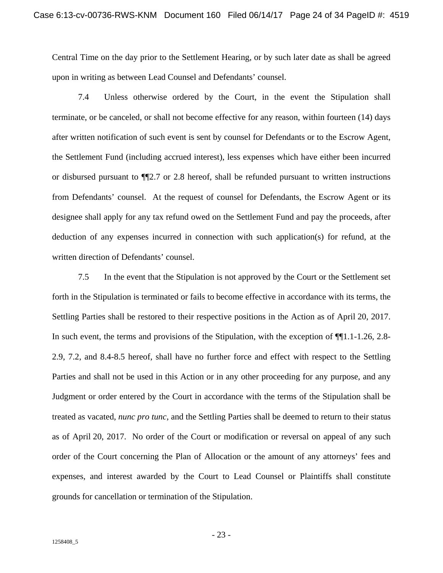Central Time on the day prior to the Settlement Hearing, or by such later date as shall be agreed upon in writing as between Lead Counsel and Defendants' counsel.

7.4 Unless otherwise ordered by the Court, in the event the Stipulation shall terminate, or be canceled, or shall not become effective for any reason, within fourteen (14) days after written notification of such event is sent by counsel for Defendants or to the Escrow Agent, the Settlement Fund (including accrued interest), less expenses which have either been incurred or disbursed pursuant to ¶¶2.7 or 2.8 hereof, shall be refunded pursuant to written instructions from Defendants' counsel. At the request of counsel for Defendants, the Escrow Agent or its designee shall apply for any tax refund owed on the Settlement Fund and pay the proceeds, after deduction of any expenses incurred in connection with such application(s) for refund, at the written direction of Defendants' counsel.

7.5 In the event that the Stipulation is not approved by the Court or the Settlement set forth in the Stipulation is terminated or fails to become effective in accordance with its terms, the Settling Parties shall be restored to their respective positions in the Action as of April 20, 2017. In such event, the terms and provisions of the Stipulation, with the exception of ¶¶1.1-1.26, 2.8- 2.9, 7.2, and 8.4-8.5 hereof, shall have no further force and effect with respect to the Settling Parties and shall not be used in this Action or in any other proceeding for any purpose, and any Judgment or order entered by the Court in accordance with the terms of the Stipulation shall be treated as vacated, *nunc pro tunc*, and the Settling Parties shall be deemed to return to their status as of April 20, 2017. No order of the Court or modification or reversal on appeal of any such order of the Court concerning the Plan of Allocation or the amount of any attorneys' fees and expenses, and interest awarded by the Court to Lead Counsel or Plaintiffs shall constitute grounds for cancellation or termination of the Stipulation.

- 23 -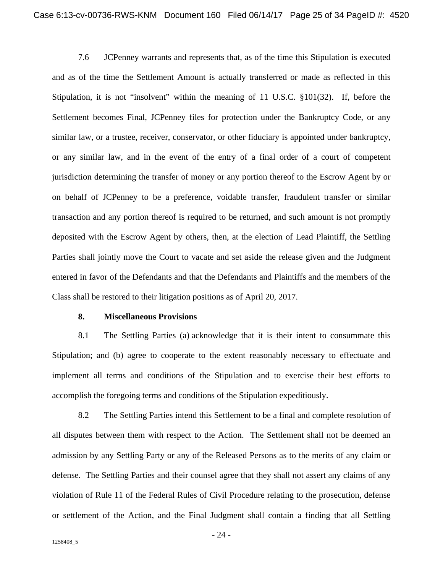7.6 JCPenney warrants and represents that, as of the time this Stipulation is executed and as of the time the Settlement Amount is actually transferred or made as reflected in this Stipulation, it is not "insolvent" within the meaning of 11 U.S.C. §101(32). If, before the Settlement becomes Final, JCPenney files for protection under the Bankruptcy Code, or any similar law, or a trustee, receiver, conservator, or other fiduciary is appointed under bankruptcy, or any similar law, and in the event of the entry of a final order of a court of competent jurisdiction determining the transfer of money or any portion thereof to the Escrow Agent by or on behalf of JCPenney to be a preference, voidable transfer, fraudulent transfer or similar transaction and any portion thereof is required to be returned, and such amount is not promptly deposited with the Escrow Agent by others, then, at the election of Lead Plaintiff, the Settling Parties shall jointly move the Court to vacate and set aside the release given and the Judgment entered in favor of the Defendants and that the Defendants and Plaintiffs and the members of the Class shall be restored to their litigation positions as of April 20, 2017.

#### **8. Miscellaneous Provisions**

8.1 The Settling Parties (a) acknowledge that it is their intent to consummate this Stipulation; and (b) agree to cooperate to the extent reasonably necessary to effectuate and implement all terms and conditions of the Stipulation and to exercise their best efforts to accomplish the foregoing terms and conditions of the Stipulation expeditiously.

8.2 The Settling Parties intend this Settlement to be a final and complete resolution of all disputes between them with respect to the Action. The Settlement shall not be deemed an admission by any Settling Party or any of the Released Persons as to the merits of any claim or defense. The Settling Parties and their counsel agree that they shall not assert any claims of any violation of Rule 11 of the Federal Rules of Civil Procedure relating to the prosecution, defense or settlement of the Action, and the Final Judgment shall contain a finding that all Settling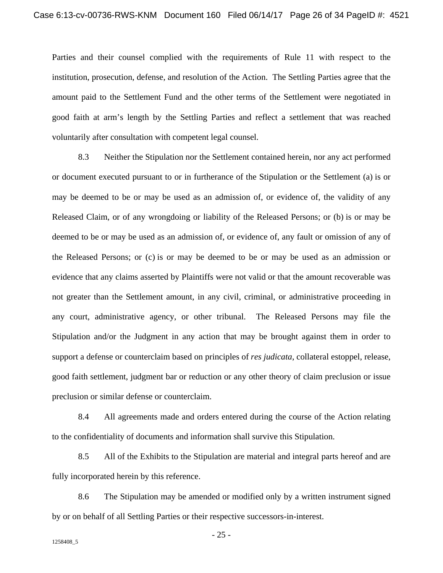Parties and their counsel complied with the requirements of Rule 11 with respect to the institution, prosecution, defense, and resolution of the Action. The Settling Parties agree that the amount paid to the Settlement Fund and the other terms of the Settlement were negotiated in good faith at arm's length by the Settling Parties and reflect a settlement that was reached voluntarily after consultation with competent legal counsel.

8.3 Neither the Stipulation nor the Settlement contained herein, nor any act performed or document executed pursuant to or in furtherance of the Stipulation or the Settlement (a) is or may be deemed to be or may be used as an admission of, or evidence of, the validity of any Released Claim, or of any wrongdoing or liability of the Released Persons; or (b) is or may be deemed to be or may be used as an admission of, or evidence of, any fault or omission of any of the Released Persons; or (c) is or may be deemed to be or may be used as an admission or evidence that any claims asserted by Plaintiffs were not valid or that the amount recoverable was not greater than the Settlement amount, in any civil, criminal, or administrative proceeding in any court, administrative agency, or other tribunal. The Released Persons may file the Stipulation and/or the Judgment in any action that may be brought against them in order to support a defense or counterclaim based on principles of *res judicata*, collateral estoppel, release, good faith settlement, judgment bar or reduction or any other theory of claim preclusion or issue preclusion or similar defense or counterclaim.

8.4 All agreements made and orders entered during the course of the Action relating to the confidentiality of documents and information shall survive this Stipulation.

8.5 All of the Exhibits to the Stipulation are material and integral parts hereof and are fully incorporated herein by this reference.

8.6 The Stipulation may be amended or modified only by a written instrument signed by or on behalf of all Settling Parties or their respective successors-in-interest.

- 25 -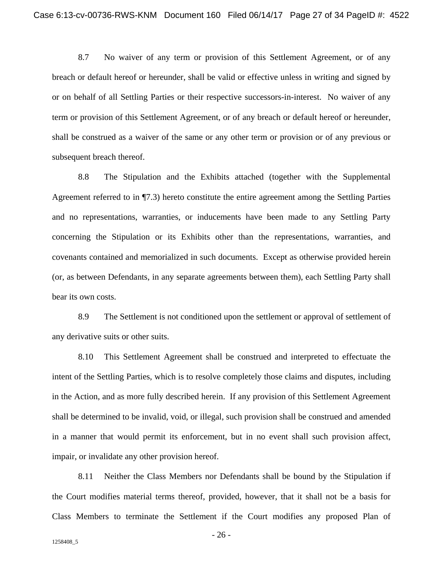8.7 No waiver of any term or provision of this Settlement Agreement, or of any breach or default hereof or hereunder, shall be valid or effective unless in writing and signed by or on behalf of all Settling Parties or their respective successors-in-interest. No waiver of any term or provision of this Settlement Agreement, or of any breach or default hereof or hereunder, shall be construed as a waiver of the same or any other term or provision or of any previous or subsequent breach thereof.

8.8 The Stipulation and the Exhibits attached (together with the Supplemental Agreement referred to in ¶7.3) hereto constitute the entire agreement among the Settling Parties and no representations, warranties, or inducements have been made to any Settling Party concerning the Stipulation or its Exhibits other than the representations, warranties, and covenants contained and memorialized in such documents. Except as otherwise provided herein (or, as between Defendants, in any separate agreements between them), each Settling Party shall bear its own costs.

8.9 The Settlement is not conditioned upon the settlement or approval of settlement of any derivative suits or other suits.

8.10 This Settlement Agreement shall be construed and interpreted to effectuate the intent of the Settling Parties, which is to resolve completely those claims and disputes, including in the Action, and as more fully described herein. If any provision of this Settlement Agreement shall be determined to be invalid, void, or illegal, such provision shall be construed and amended in a manner that would permit its enforcement, but in no event shall such provision affect, impair, or invalidate any other provision hereof.

8.11 Neither the Class Members nor Defendants shall be bound by the Stipulation if the Court modifies material terms thereof, provided, however, that it shall not be a basis for Class Members to terminate the Settlement if the Court modifies any proposed Plan of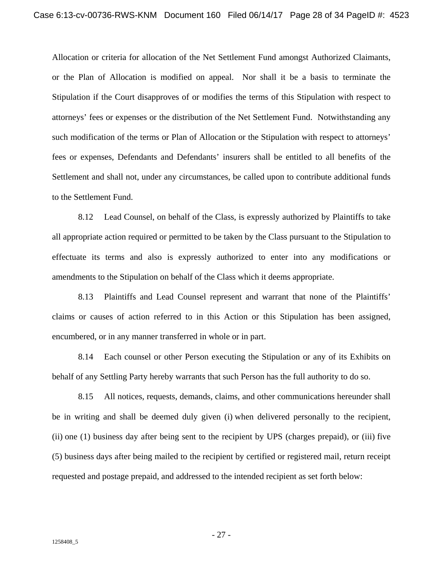Allocation or criteria for allocation of the Net Settlement Fund amongst Authorized Claimants, or the Plan of Allocation is modified on appeal. Nor shall it be a basis to terminate the Stipulation if the Court disapproves of or modifies the terms of this Stipulation with respect to attorneys' fees or expenses or the distribution of the Net Settlement Fund. Notwithstanding any such modification of the terms or Plan of Allocation or the Stipulation with respect to attorneys' fees or expenses, Defendants and Defendants' insurers shall be entitled to all benefits of the Settlement and shall not, under any circumstances, be called upon to contribute additional funds to the Settlement Fund.

8.12 Lead Counsel, on behalf of the Class, is expressly authorized by Plaintiffs to take all appropriate action required or permitted to be taken by the Class pursuant to the Stipulation to effectuate its terms and also is expressly authorized to enter into any modifications or amendments to the Stipulation on behalf of the Class which it deems appropriate.

8.13 Plaintiffs and Lead Counsel represent and warrant that none of the Plaintiffs' claims or causes of action referred to in this Action or this Stipulation has been assigned, encumbered, or in any manner transferred in whole or in part.

8.14 Each counsel or other Person executing the Stipulation or any of its Exhibits on behalf of any Settling Party hereby warrants that such Person has the full authority to do so.

8.15 All notices, requests, demands, claims, and other communications hereunder shall be in writing and shall be deemed duly given (i) when delivered personally to the recipient, (ii) one (1) business day after being sent to the recipient by UPS (charges prepaid), or (iii) five (5) business days after being mailed to the recipient by certified or registered mail, return receipt requested and postage prepaid, and addressed to the intended recipient as set forth below:

- 27 -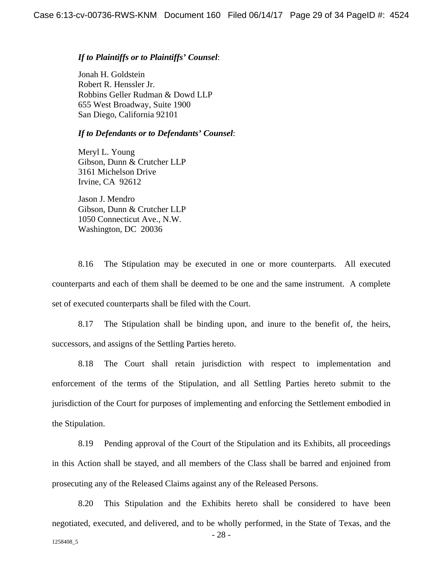#### *If to Plaintiffs or to Plaintiffs' Counsel*:

Jonah H. Goldstein Robert R. Henssler Jr. Robbins Geller Rudman & Dowd LLP 655 West Broadway, Suite 1900 San Diego, California 92101

#### *If to Defendants or to Defendants' Counsel*:

Meryl L. Young Gibson, Dunn & Crutcher LLP 3161 Michelson Drive Irvine, CA 92612

Jason J. Mendro Gibson, Dunn & Crutcher LLP 1050 Connecticut Ave., N.W. Washington, DC 20036

8.16 The Stipulation may be executed in one or more counterparts. All executed counterparts and each of them shall be deemed to be one and the same instrument. A complete set of executed counterparts shall be filed with the Court.

8.17 The Stipulation shall be binding upon, and inure to the benefit of, the heirs, successors, and assigns of the Settling Parties hereto.

8.18 The Court shall retain jurisdiction with respect to implementation and enforcement of the terms of the Stipulation, and all Settling Parties hereto submit to the jurisdiction of the Court for purposes of implementing and enforcing the Settlement embodied in the Stipulation.

8.19 Pending approval of the Court of the Stipulation and its Exhibits, all proceedings in this Action shall be stayed, and all members of the Class shall be barred and enjoined from prosecuting any of the Released Claims against any of the Released Persons.

- 28 - 1258408\_5 8.20 This Stipulation and the Exhibits hereto shall be considered to have been negotiated, executed, and delivered, and to be wholly performed, in the State of Texas, and the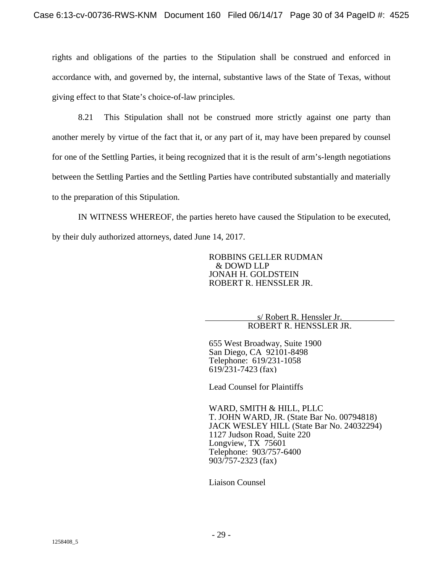rights and obligations of the parties to the Stipulation shall be construed and enforced in accordance with, and governed by, the internal, substantive laws of the State of Texas, without giving effect to that State's choice-of-law principles.

8.21 This Stipulation shall not be construed more strictly against one party than another merely by virtue of the fact that it, or any part of it, may have been prepared by counsel for one of the Settling Parties, it being recognized that it is the result of arm's-length negotiations between the Settling Parties and the Settling Parties have contributed substantially and materially to the preparation of this Stipulation.

IN WITNESS WHEREOF, the parties hereto have caused the Stipulation to be executed, by their duly authorized attorneys, dated June 14, 2017.

> ROBBINS GELLER RUDMAN & DOWD LLP JONAH H. GOLDSTEIN ROBERT R. HENSSLER JR.

> > s/ Robert R. Henssler Jr. ROBERT R. HENSSLER JR.

655 West Broadway, Suite 1900 San Diego, CA 92101-8498 Telephone: 619/231-1058 619/231-7423 (fax)

Lead Counsel for Plaintiffs

WARD, SMITH & HILL, PLLC T. JOHN WARD, JR. (State Bar No. 00794818) JACK WESLEY HILL (State Bar No. 24032294) 1127 Judson Road, Suite 220 Longview, TX 75601 Telephone: 903/757-6400 903/757-2323 (fax)

Liaison Counsel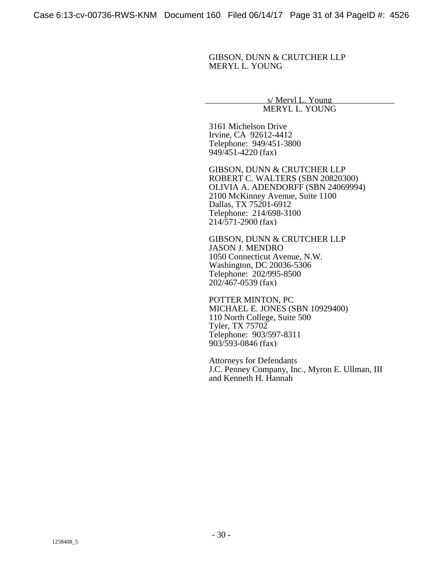GIBSON, DUNN & CRUTCHER LLP MERYL L. YOUNG

> s/ Meryl L. Young MERYL L. YOUNG

3161 Michelson Drive Irvine, CA 92612-4412 Telephone: 949/451-3800 949/451-4220 (fax)

GIBSON, DUNN & CRUTCHER LLP ROBERT C. WALTERS (SBN 20820300) OLIVIA A. ADENDORFF (SBN 24069994) 2100 McKinney Avenue, Suite 1100 Dallas, TX 75201-6912 Telephone: 214/698-3100 214/571-2900 (fax)

GIBSON, DUNN & CRUTCHER LLP JASON J. MENDRO 1050 Connecticut Avenue, N.W. Washington, DC 20036-5306 Telephone: 202/995-8500 202/467-0539 (fax)

POTTER MINTON, PC MICHAEL E. JONES (SBN 10929400) 110 North College, Suite 500 Tyler, TX 75702 Telephone: 903/597-8311 903/593-0846 (fax)

Attorneys for Defendants J.C. Penney Company, Inc., Myron E. Ullman, III and Kenneth H. Hannah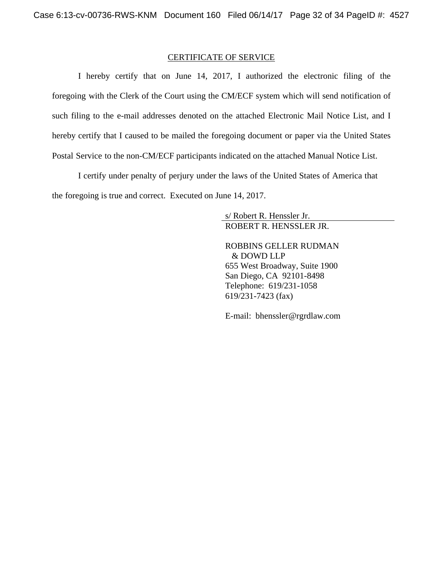#### CERTIFICATE OF SERVICE

I hereby certify that on June 14, 2017, I authorized the electronic filing of the foregoing with the Clerk of the Court using the CM/ECF system which will send notification of such filing to the e-mail addresses denoted on the attached Electronic Mail Notice List, and I hereby certify that I caused to be mailed the foregoing document or paper via the United States Postal Service to the non-CM/ECF participants indicated on the attached Manual Notice List.

I certify under penalty of perjury under the laws of the United States of America that the foregoing is true and correct. Executed on June 14, 2017.

> s/ Robert R. Henssler Jr. ROBERT R. HENSSLER JR.

ROBBINS GELLER RUDMAN & DOWD LLP 655 West Broadway, Suite 1900 San Diego, CA 92101-8498 Telephone: 619/231-1058 619/231-7423 (fax)

E-mail: bhenssler@rgrdlaw.com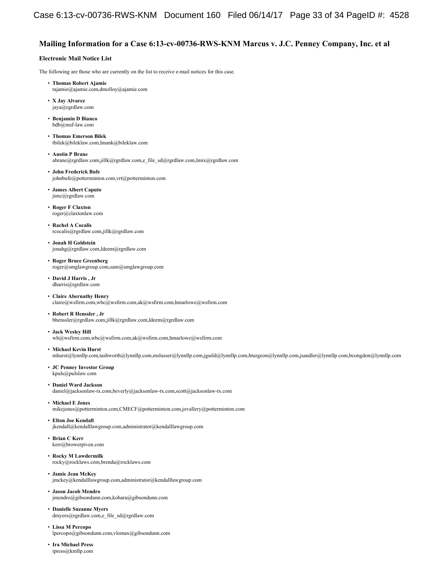#### **Mailing Information for a Case 6:13-cv-00736-RWS-KNM Marcus v. J.C. Penney Company, Inc. et al**

#### **Electronic Mail Notice List**

The following are those who are currently on the list to receive e-mail notices for this case.

- **Thomas Robert Ajamie**  tajamie@ajamie.com,dmolloy@ajamie.com
- **X Jay Alvarez**  jaya@rgrdlaw.com
- **Benjamin D Bianco**  bdb@msf-law.com
- **Thomas Emerson Bilek**  tbilek@bileklaw.com,lmank@bileklaw.com
- **Austin P Brane**  abrane@rgrdlaw.com,jillk@rgrdlaw.com,e\_file\_sd@rgrdlaw.com,lmix@rgrdlaw.com
- **John Frederick Bufe**  johnbufe@potterminton.com,vrt@potterminton.com
- **James Albert Caputo**  jimc@rgrdlaw.com
- **Roger F Claxton**  roger@claxtonlaw.com
- **Rachel A Cocalis**  rcocalis@rgrdlaw.com,jillk@rgrdlaw.com
- **Jonah H Goldstein**  jonahg@rgrdlaw.com,ldeem@rgrdlaw.com
- **Roger Bruce Greenberg**  roger@smglawgroup.com,sam@smglawgroup.com
- **David J Harris , Jr** dharris@rgrdlaw.com
- **Claire Abernathy Henry**  claire@wsfirm.com,wbc@wsfirm.com,ak@wsfirm.com,hmarlowe@wsfirm.com
- **Robert R Henssler , Jr** bhenssler@rgrdlaw.com,jillk@rgrdlaw.com,ldeem@rgrdlaw.com
- **Jack Wesley Hill**  wh@wsfirm.com,wbc@wsfirm.com,ak@wsfirm.com,hmarlowe@wsfirm.com
- **Michael Kevin Hurst**

mhurst@lynnllp.com,tashworth@lynnllp.com,mslusser@lynnllp.com,jguild@lynnllp.com,hturgeon@lynnllp.com,jsandler@lynnllp.com,bcongdon@lynnllp.com

- **JC Penney Investor Group** kpuls@pulslaw.com
- **Daniel Ward Jackson**

daniel@jacksonlaw-tx.com,beverly@jacksonlaw-tx.com,scott@jacksonlaw-tx.com

- **Michael E Jones**  mikejones@potterminton.com,CMECF@potterminton.com,jovallery@potterminton.com
- **Elton Joe Kendall**  jkendall@kendalllawgroup.com,administrator@kendalllawgroup.com
- **Brian C Kerr**  kerr@browerpiven.com
- **Rocky M Lawdermilk**  rocky@rocklaws.com,brenda@rocklaws.com
- **Jamie Jean McKey**   $\emph{jmckey@kendalllawgroup.com},\emph{administrator@kendalllawgroup.com}$
- **Jason Jacob Mendro**  jmendro@gibsondunn.com,kohara@gibsondunn.com
- **Danielle Suzanne Myers**  dmyers@rgrdlaw.com,e\_file\_sd@rgrdlaw.com
- **Lissa M Percopo**  lpercopo@gibsondunn.com,vlomax@gibsondunn.com
- **Ira Michael Press**  ipress@kmllp.com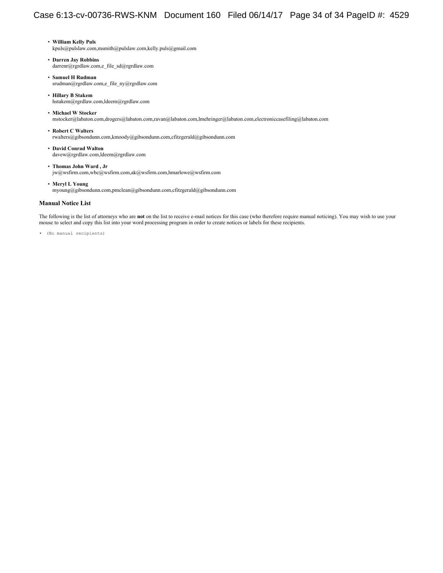- **William Kelly Puls**  kpuls@pulslaw.com,msmith@pulslaw.com,kelly.puls@gmail.com
- **Darren Jay Robbins**  darrenr@rgrdlaw.com,e\_file\_sd@rgrdlaw.com
- **Samuel H Rudman**  srudman@rgrdlaw.com,e\_file\_ny@rgrdlaw.com
- **Hillary B Stakem**  hstakem@rgrdlaw.com,ldeem@rgrdlaw.com
- **Michael W Stocker**  mstocker@labaton.com,drogers@labaton.com,ravan@labaton.com,lmehringer@labaton.com,electroniccasefiling@labaton.com
- **Robert C Walters**  rwalters@gibsondunn.com,kmoody@gibsondunn.com,cfitzgerald@gibsondunn.com
- **David Conrad Walton**  davew@rgrdlaw.com,ldeem@rgrdlaw.com
- **Thomas John Ward , Jr** jw@wsfirm.com,wbc@wsfirm.com,ak@wsfirm.com,hmarlowe@wsfirm.com
- **Meryl L Young**  myoung@gibsondunn.com,pmclean@gibsondunn.com,cfitzgerald@gibsondunn.com

#### **Manual Notice List**

The following is the list of attorneys who are **not** on the list to receive e-mail notices for this case (who therefore require manual noticing). You may wish to use your mouse to select and copy this list into your word processing program in order to create notices or labels for these recipients.

• (No manual recipients)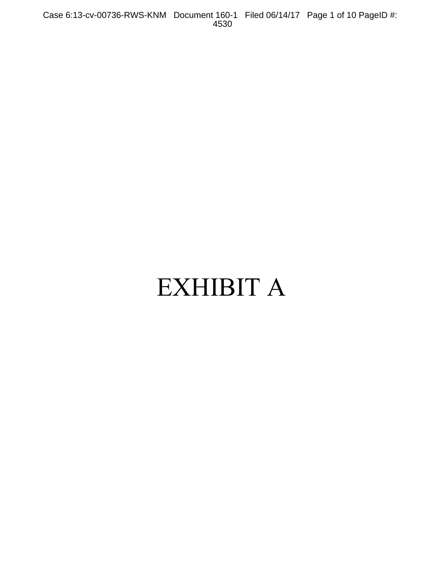Case 6:13-cv-00736-RWS-KNM Document 160-1 Filed 06/14/17 Page 1 of 10 PageID #: 4530

# EXHIBIT A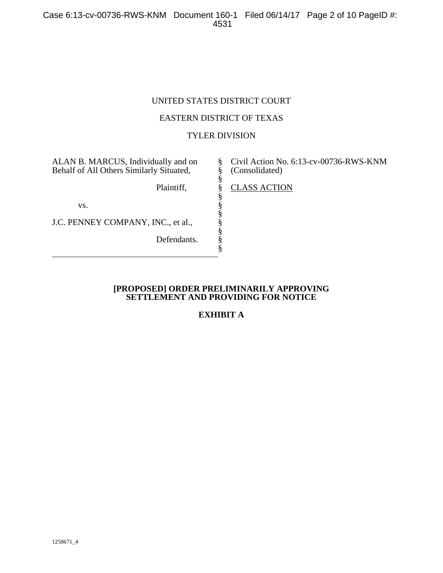## UNITED STATES DISTRICT COURT

## EASTERN DISTRICT OF TEXAS

## TYLER DIVISION

§ § § § § § § § § § §

ALAN B. MARCUS, Individually and on Behalf of All Others Similarly Situated,

Plaintiff,

vs.

J.C. PENNEY COMPANY, INC., et al.,

Defendants.

Civil Action No. 6:13-cv-00736-RWS-KNM (Consolidated)

CLASS ACTION

## **[PROPOSED] ORDER PRELIMINARILY APPROVING SETTLEMENT AND PROVIDING FOR NOTICE**

# **EXHIBIT A**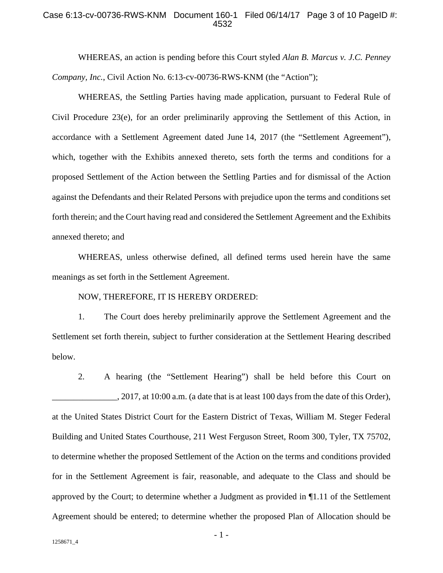#### Case 6:13-cv-00736-RWS-KNM Document 160-1 Filed 06/14/17 Page 3 of 10 PageID #: 4532

WHEREAS, an action is pending before this Court styled *Alan B. Marcus v. J.C. Penney Company, Inc.*, Civil Action No. 6:13-cv-00736-RWS-KNM (the "Action");

WHEREAS, the Settling Parties having made application, pursuant to Federal Rule of Civil Procedure 23(e), for an order preliminarily approving the Settlement of this Action, in accordance with a Settlement Agreement dated June 14, 2017 (the "Settlement Agreement"), which, together with the Exhibits annexed thereto, sets forth the terms and conditions for a proposed Settlement of the Action between the Settling Parties and for dismissal of the Action against the Defendants and their Related Persons with prejudice upon the terms and conditions set forth therein; and the Court having read and considered the Settlement Agreement and the Exhibits annexed thereto; and

WHEREAS, unless otherwise defined, all defined terms used herein have the same meanings as set forth in the Settlement Agreement.

NOW, THEREFORE, IT IS HEREBY ORDERED:

1. The Court does hereby preliminarily approve the Settlement Agreement and the Settlement set forth therein, subject to further consideration at the Settlement Hearing described below.

2. A hearing (the "Settlement Hearing") shall be held before this Court on 2017, at 10:00 a.m. (a date that is at least 100 days from the date of this Order), at the United States District Court for the Eastern District of Texas, William M. Steger Federal Building and United States Courthouse, 211 West Ferguson Street, Room 300, Tyler, TX 75702, to determine whether the proposed Settlement of the Action on the terms and conditions provided for in the Settlement Agreement is fair, reasonable, and adequate to the Class and should be approved by the Court; to determine whether a Judgment as provided in ¶1.11 of the Settlement Agreement should be entered; to determine whether the proposed Plan of Allocation should be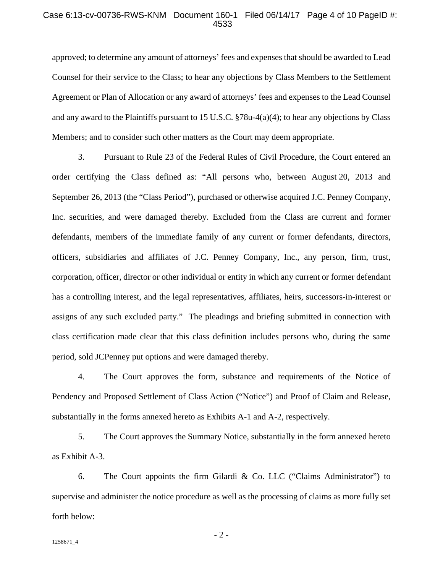#### Case 6:13-cv-00736-RWS-KNM Document 160-1 Filed 06/14/17 Page 4 of 10 PageID #: 4533

approved; to determine any amount of attorneys' fees and expenses that should be awarded to Lead Counsel for their service to the Class; to hear any objections by Class Members to the Settlement Agreement or Plan of Allocation or any award of attorneys' fees and expenses to the Lead Counsel and any award to the Plaintiffs pursuant to 15 U.S.C. §78u-4(a)(4); to hear any objections by Class Members; and to consider such other matters as the Court may deem appropriate.

3. Pursuant to Rule 23 of the Federal Rules of Civil Procedure, the Court entered an order certifying the Class defined as: "All persons who, between August 20, 2013 and September 26, 2013 (the "Class Period"), purchased or otherwise acquired J.C. Penney Company, Inc. securities, and were damaged thereby. Excluded from the Class are current and former defendants, members of the immediate family of any current or former defendants, directors, officers, subsidiaries and affiliates of J.C. Penney Company, Inc., any person, firm, trust, corporation, officer, director or other individual or entity in which any current or former defendant has a controlling interest, and the legal representatives, affiliates, heirs, successors-in-interest or assigns of any such excluded party." The pleadings and briefing submitted in connection with class certification made clear that this class definition includes persons who, during the same period, sold JCPenney put options and were damaged thereby.

4. The Court approves the form, substance and requirements of the Notice of Pendency and Proposed Settlement of Class Action ("Notice") and Proof of Claim and Release, substantially in the forms annexed hereto as Exhibits A-1 and A-2, respectively.

5. The Court approves the Summary Notice, substantially in the form annexed hereto as Exhibit A-3.

6. The Court appoints the firm Gilardi & Co. LLC ("Claims Administrator") to supervise and administer the notice procedure as well as the processing of claims as more fully set forth below:

 $-2-$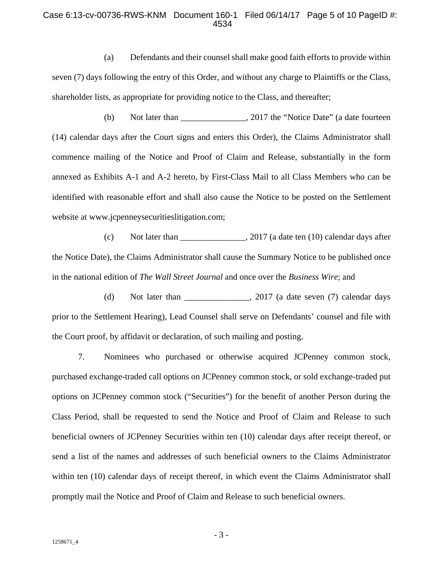#### Case 6:13-cv-00736-RWS-KNM Document 160-1 Filed 06/14/17 Page 5 of 10 PageID #: 4534

(a) Defendants and their counsel shall make good faith efforts to provide within seven (7) days following the entry of this Order, and without any charge to Plaintiffs or the Class, shareholder lists, as appropriate for providing notice to the Class, and thereafter;

(b) Not later than \_\_\_\_\_\_\_\_\_\_\_\_\_\_\_, 2017 the "Notice Date" (a date fourteen (14) calendar days after the Court signs and enters this Order), the Claims Administrator shall commence mailing of the Notice and Proof of Claim and Release, substantially in the form annexed as Exhibits A-1 and A-2 hereto, by First-Class Mail to all Class Members who can be identified with reasonable effort and shall also cause the Notice to be posted on the Settlement website at www.jcpenneysecuritieslitigation.com;

(c) Not later than  $\frac{1}{2017}$  (a date ten (10) calendar days after the Notice Date), the Claims Administrator shall cause the Summary Notice to be published once in the national edition of *The Wall Street Journal* and once over the *Business Wire*; and

(d) Not later than  $\qquad \qquad$ , 2017 (a date seven (7) calendar days prior to the Settlement Hearing), Lead Counsel shall serve on Defendants' counsel and file with the Court proof, by affidavit or declaration, of such mailing and posting.

7. Nominees who purchased or otherwise acquired JCPenney common stock, purchased exchange-traded call options on JCPenney common stock, or sold exchange-traded put options on JCPenney common stock ("Securities") for the benefit of another Person during the Class Period, shall be requested to send the Notice and Proof of Claim and Release to such beneficial owners of JCPenney Securities within ten (10) calendar days after receipt thereof, or send a list of the names and addresses of such beneficial owners to the Claims Administrator within ten (10) calendar days of receipt thereof, in which event the Claims Administrator shall promptly mail the Notice and Proof of Claim and Release to such beneficial owners.

- 3 -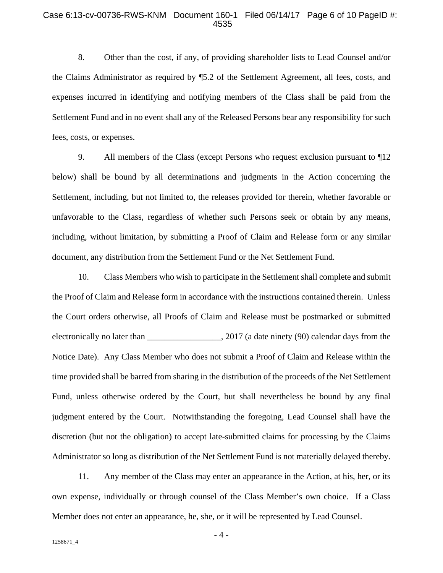#### Case 6:13-cv-00736-RWS-KNM Document 160-1 Filed 06/14/17 Page 6 of 10 PageID #: 4535

8. Other than the cost, if any, of providing shareholder lists to Lead Counsel and/or the Claims Administrator as required by ¶5.2 of the Settlement Agreement, all fees, costs, and expenses incurred in identifying and notifying members of the Class shall be paid from the Settlement Fund and in no event shall any of the Released Persons bear any responsibility for such fees, costs, or expenses.

9. All members of the Class (except Persons who request exclusion pursuant to ¶12 below) shall be bound by all determinations and judgments in the Action concerning the Settlement, including, but not limited to, the releases provided for therein, whether favorable or unfavorable to the Class, regardless of whether such Persons seek or obtain by any means, including, without limitation, by submitting a Proof of Claim and Release form or any similar document, any distribution from the Settlement Fund or the Net Settlement Fund.

10. Class Members who wish to participate in the Settlement shall complete and submit the Proof of Claim and Release form in accordance with the instructions contained therein. Unless the Court orders otherwise, all Proofs of Claim and Release must be postmarked or submitted electronically no later than \_\_\_\_\_\_\_\_\_\_\_\_\_\_\_\_\_\_, 2017 (a date ninety (90) calendar days from the Notice Date). Any Class Member who does not submit a Proof of Claim and Release within the time provided shall be barred from sharing in the distribution of the proceeds of the Net Settlement Fund, unless otherwise ordered by the Court, but shall nevertheless be bound by any final judgment entered by the Court. Notwithstanding the foregoing, Lead Counsel shall have the discretion (but not the obligation) to accept late-submitted claims for processing by the Claims Administrator so long as distribution of the Net Settlement Fund is not materially delayed thereby.

11. Any member of the Class may enter an appearance in the Action, at his, her, or its own expense, individually or through counsel of the Class Member's own choice. If a Class Member does not enter an appearance, he, she, or it will be represented by Lead Counsel.

- 4 -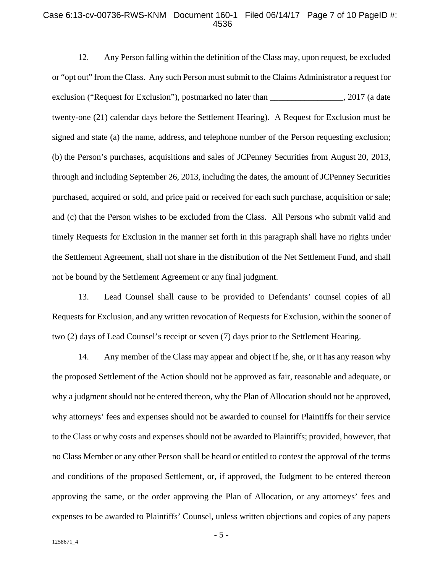#### Case 6:13-cv-00736-RWS-KNM Document 160-1 Filed 06/14/17 Page 7 of 10 PageID #: 4536

12. Any Person falling within the definition of the Class may, upon request, be excluded or "opt out" from the Class. Any such Person must submit to the Claims Administrator a request for exclusion ("Request for Exclusion"), postmarked no later than \_\_\_\_\_\_\_\_\_\_\_\_\_\_\_\_, 2017 (a date twenty-one (21) calendar days before the Settlement Hearing). A Request for Exclusion must be signed and state (a) the name, address, and telephone number of the Person requesting exclusion; (b) the Person's purchases, acquisitions and sales of JCPenney Securities from August 20, 2013, through and including September 26, 2013, including the dates, the amount of JCPenney Securities purchased, acquired or sold, and price paid or received for each such purchase, acquisition or sale; and (c) that the Person wishes to be excluded from the Class. All Persons who submit valid and timely Requests for Exclusion in the manner set forth in this paragraph shall have no rights under the Settlement Agreement, shall not share in the distribution of the Net Settlement Fund, and shall not be bound by the Settlement Agreement or any final judgment.

13. Lead Counsel shall cause to be provided to Defendants' counsel copies of all Requests for Exclusion, and any written revocation of Requests for Exclusion, within the sooner of two (2) days of Lead Counsel's receipt or seven (7) days prior to the Settlement Hearing.

14. Any member of the Class may appear and object if he, she, or it has any reason why the proposed Settlement of the Action should not be approved as fair, reasonable and adequate, or why a judgment should not be entered thereon, why the Plan of Allocation should not be approved, why attorneys' fees and expenses should not be awarded to counsel for Plaintiffs for their service to the Class or why costs and expenses should not be awarded to Plaintiffs; provided, however, that no Class Member or any other Person shall be heard or entitled to contest the approval of the terms and conditions of the proposed Settlement, or, if approved, the Judgment to be entered thereon approving the same, or the order approving the Plan of Allocation, or any attorneys' fees and expenses to be awarded to Plaintiffs' Counsel, unless written objections and copies of any papers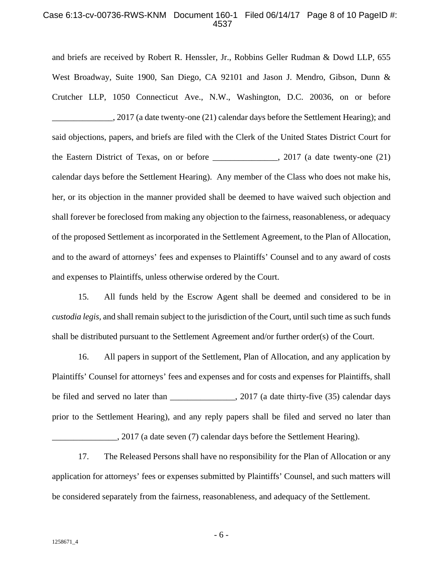#### Case 6:13-cv-00736-RWS-KNM Document 160-1 Filed 06/14/17 Page 8 of 10 PageID #: 4537

and briefs are received by Robert R. Henssler, Jr., Robbins Geller Rudman & Dowd LLP, 655 West Broadway, Suite 1900, San Diego, CA 92101 and Jason J. Mendro, Gibson, Dunn & Crutcher LLP, 1050 Connecticut Ave., N.W., Washington, D.C. 20036, on or before 2017 (a date twenty-one (21) calendar days before the Settlement Hearing); and said objections, papers, and briefs are filed with the Clerk of the United States District Court for the Eastern District of Texas, on or before \_\_\_\_\_\_\_\_\_\_\_\_\_\_\_, 2017 (a date twenty-one (21) calendar days before the Settlement Hearing). Any member of the Class who does not make his, her, or its objection in the manner provided shall be deemed to have waived such objection and shall forever be foreclosed from making any objection to the fairness, reasonableness, or adequacy of the proposed Settlement as incorporated in the Settlement Agreement, to the Plan of Allocation, and to the award of attorneys' fees and expenses to Plaintiffs' Counsel and to any award of costs and expenses to Plaintiffs, unless otherwise ordered by the Court.

15. All funds held by the Escrow Agent shall be deemed and considered to be in *custodia legis*, and shall remain subject to the jurisdiction of the Court, until such time as such funds shall be distributed pursuant to the Settlement Agreement and/or further order(s) of the Court.

16. All papers in support of the Settlement, Plan of Allocation, and any application by Plaintiffs' Counsel for attorneys' fees and expenses and for costs and expenses for Plaintiffs, shall be filed and served no later than \_\_\_\_\_\_\_\_\_\_\_\_\_\_\_\_\_, 2017 (a date thirty-five (35) calendar days prior to the Settlement Hearing), and any reply papers shall be filed and served no later than \_\_\_\_\_\_\_\_\_\_\_\_\_\_\_, 2017 (a date seven (7) calendar days before the Settlement Hearing).

17. The Released Persons shall have no responsibility for the Plan of Allocation or any application for attorneys' fees or expenses submitted by Plaintiffs' Counsel, and such matters will be considered separately from the fairness, reasonableness, and adequacy of the Settlement.

- 6 -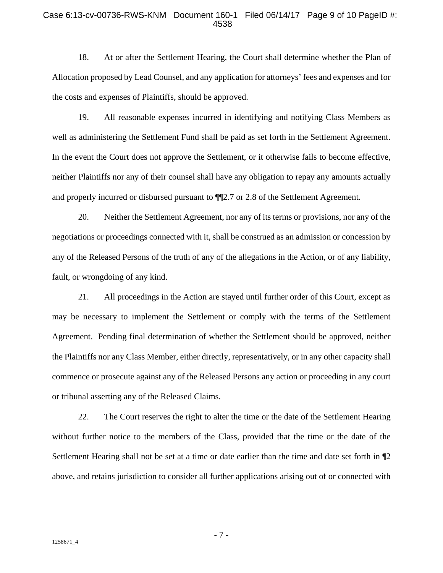#### Case 6:13-cv-00736-RWS-KNM Document 160-1 Filed 06/14/17 Page 9 of 10 PageID #: 4538

18. At or after the Settlement Hearing, the Court shall determine whether the Plan of Allocation proposed by Lead Counsel, and any application for attorneys' fees and expenses and for the costs and expenses of Plaintiffs, should be approved.

19. All reasonable expenses incurred in identifying and notifying Class Members as well as administering the Settlement Fund shall be paid as set forth in the Settlement Agreement. In the event the Court does not approve the Settlement, or it otherwise fails to become effective, neither Plaintiffs nor any of their counsel shall have any obligation to repay any amounts actually and properly incurred or disbursed pursuant to ¶¶2.7 or 2.8 of the Settlement Agreement.

20. Neither the Settlement Agreement, nor any of its terms or provisions, nor any of the negotiations or proceedings connected with it, shall be construed as an admission or concession by any of the Released Persons of the truth of any of the allegations in the Action, or of any liability, fault, or wrongdoing of any kind.

21. All proceedings in the Action are stayed until further order of this Court, except as may be necessary to implement the Settlement or comply with the terms of the Settlement Agreement. Pending final determination of whether the Settlement should be approved, neither the Plaintiffs nor any Class Member, either directly, representatively, or in any other capacity shall commence or prosecute against any of the Released Persons any action or proceeding in any court or tribunal asserting any of the Released Claims.

22. The Court reserves the right to alter the time or the date of the Settlement Hearing without further notice to the members of the Class, provided that the time or the date of the Settlement Hearing shall not be set at a time or date earlier than the time and date set forth in ¶2 above, and retains jurisdiction to consider all further applications arising out of or connected with

- 7 -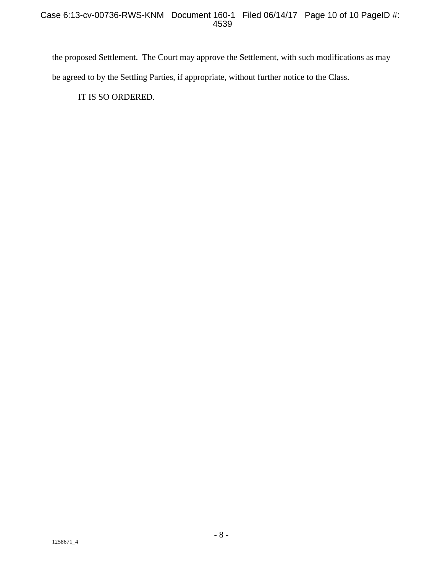the proposed Settlement. The Court may approve the Settlement, with such modifications as may be agreed to by the Settling Parties, if appropriate, without further notice to the Class.

IT IS SO ORDERED.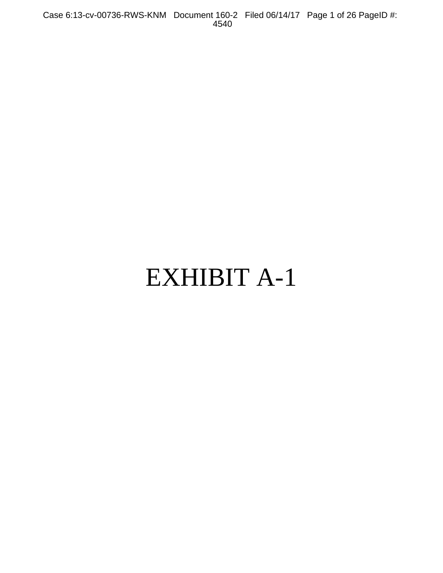Case 6:13-cv-00736-RWS-KNM Document 160-2 Filed 06/14/17 Page 1 of 26 PageID #: 4540

# EXHIBIT A-1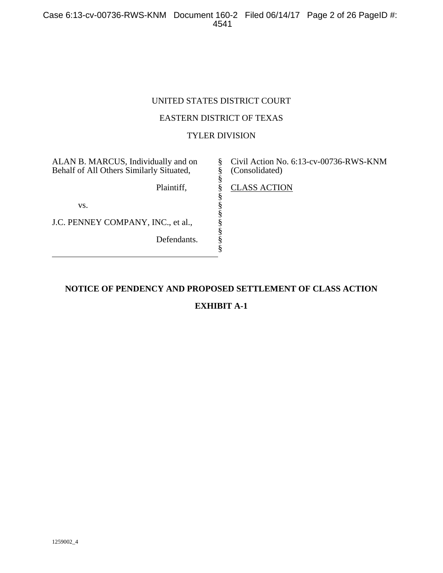Case 6:13-cv-00736-RWS-KNM Document 160-2 Filed 06/14/17 Page 2 of 26 PageID #: 4541

# UNITED STATES DISTRICT COURT

## EASTERN DISTRICT OF TEXAS

## TYLER DIVISION

§ § § § § § § § § § §

ALAN B. MARCUS, Individually and on Behalf of All Others Similarly Situated,

Plaintiff,

vs.

J.C. PENNEY COMPANY, INC., et al.,

Defendants.

Civil Action No. 6:13-cv-00736-RWS-KNM (Consolidated)

CLASS ACTION

# **NOTICE OF PENDENCY AND PROPOSED SETTLEMENT OF CLASS ACTION**

# **EXHIBIT A-1**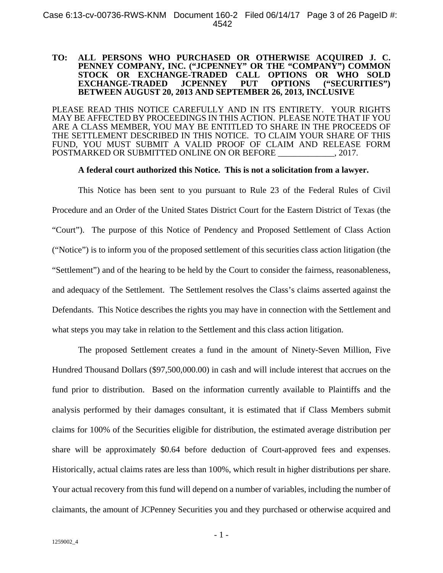#### **TO: ALL PERSONS WHO PURCHASED OR OTHERWISE ACQUIRED J. C. PENNEY COMPANY, INC. ("JCPENNEY" OR THE "COMPANY") COMMON STOCK OR EXCHANGE-TRADED CALL OPTIONS OR WHO SOLD EXCHANGE-TRADED BETWEEN AUGUST 20, 2013 AND SEPTEMBER 26, 2013, INCLUSIVE**

PLEASE READ THIS NOTICE CAREFULLY AND IN ITS ENTIRETY. YOUR RIGHTS MAY BE AFFECTED BY PROCEEDINGS IN THIS ACTION. PLEASE NOTE THAT IF YOU ARE A CLASS MEMBER, YOU MAY BE ENTITLED TO SHARE IN THE PROCEEDS OF THE SETTLEMENT DESCRIBED IN THIS NOTICE. TO CLAIM YOUR SHARE OF THIS FUND, YOU MUST SUBMIT A VALID PROOF OF CLAIM AND RELEASE FORM POSTMARKED OR SUBMITTED ONLINE ON OR BEFORE \_\_\_\_\_\_\_\_\_\_\_\_\_, 2017.

**A federal court authorized this Notice. This is not a solicitation from a lawyer.** 

This Notice has been sent to you pursuant to Rule 23 of the Federal Rules of Civil Procedure and an Order of the United States District Court for the Eastern District of Texas (the "Court"). The purpose of this Notice of Pendency and Proposed Settlement of Class Action ("Notice") is to inform you of the proposed settlement of this securities class action litigation (the "Settlement") and of the hearing to be held by the Court to consider the fairness, reasonableness, and adequacy of the Settlement. The Settlement resolves the Class's claims asserted against the Defendants. This Notice describes the rights you may have in connection with the Settlement and what steps you may take in relation to the Settlement and this class action litigation.

The proposed Settlement creates a fund in the amount of Ninety-Seven Million, Five Hundred Thousand Dollars (\$97,500,000.00) in cash and will include interest that accrues on the fund prior to distribution. Based on the information currently available to Plaintiffs and the analysis performed by their damages consultant, it is estimated that if Class Members submit claims for 100% of the Securities eligible for distribution, the estimated average distribution per share will be approximately \$0.64 before deduction of Court-approved fees and expenses. Historically, actual claims rates are less than 100%, which result in higher distributions per share. Your actual recovery from this fund will depend on a number of variables, including the number of claimants, the amount of JCPenney Securities you and they purchased or otherwise acquired and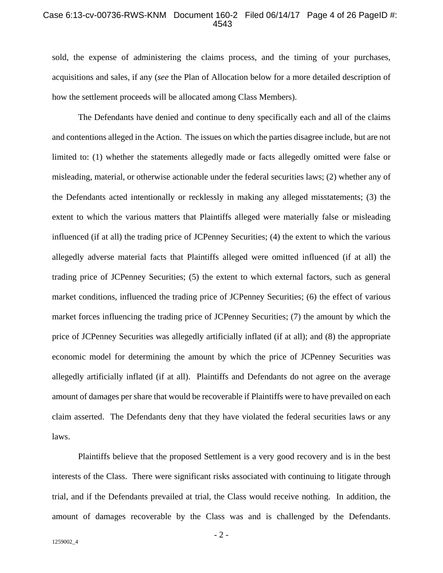#### Case 6:13-cv-00736-RWS-KNM Document 160-2 Filed 06/14/17 Page 4 of 26 PageID #: 4543

sold, the expense of administering the claims process, and the timing of your purchases, acquisitions and sales, if any (*see* the Plan of Allocation below for a more detailed description of how the settlement proceeds will be allocated among Class Members).

The Defendants have denied and continue to deny specifically each and all of the claims and contentions alleged in the Action. The issues on which the parties disagree include, but are not limited to: (1) whether the statements allegedly made or facts allegedly omitted were false or misleading, material, or otherwise actionable under the federal securities laws; (2) whether any of the Defendants acted intentionally or recklessly in making any alleged misstatements; (3) the extent to which the various matters that Plaintiffs alleged were materially false or misleading influenced (if at all) the trading price of JCPenney Securities; (4) the extent to which the various allegedly adverse material facts that Plaintiffs alleged were omitted influenced (if at all) the trading price of JCPenney Securities; (5) the extent to which external factors, such as general market conditions, influenced the trading price of JCPenney Securities; (6) the effect of various market forces influencing the trading price of JCPenney Securities; (7) the amount by which the price of JCPenney Securities was allegedly artificially inflated (if at all); and (8) the appropriate economic model for determining the amount by which the price of JCPenney Securities was allegedly artificially inflated (if at all). Plaintiffs and Defendants do not agree on the average amount of damages per share that would be recoverable if Plaintiffs were to have prevailed on each claim asserted. The Defendants deny that they have violated the federal securities laws or any laws.

Plaintiffs believe that the proposed Settlement is a very good recovery and is in the best interests of the Class. There were significant risks associated with continuing to litigate through trial, and if the Defendants prevailed at trial, the Class would receive nothing. In addition, the amount of damages recoverable by the Class was and is challenged by the Defendants.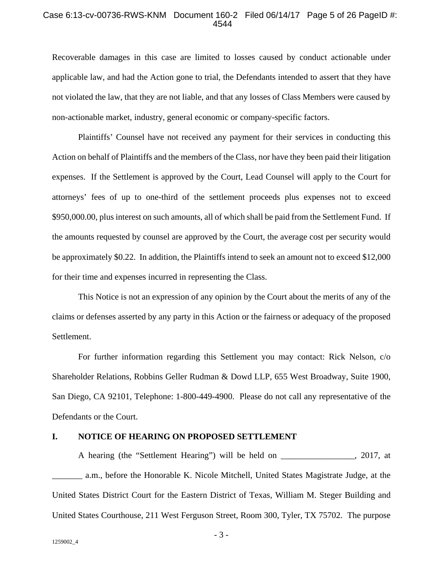#### Case 6:13-cv-00736-RWS-KNM Document 160-2 Filed 06/14/17 Page 5 of 26 PageID #: 4544

Recoverable damages in this case are limited to losses caused by conduct actionable under applicable law, and had the Action gone to trial, the Defendants intended to assert that they have not violated the law, that they are not liable, and that any losses of Class Members were caused by non-actionable market, industry, general economic or company-specific factors.

Plaintiffs' Counsel have not received any payment for their services in conducting this Action on behalf of Plaintiffs and the members of the Class, nor have they been paid their litigation expenses. If the Settlement is approved by the Court, Lead Counsel will apply to the Court for attorneys' fees of up to one-third of the settlement proceeds plus expenses not to exceed \$950,000.00, plus interest on such amounts, all of which shall be paid from the Settlement Fund. If the amounts requested by counsel are approved by the Court, the average cost per security would be approximately \$0.22. In addition, the Plaintiffs intend to seek an amount not to exceed \$12,000 for their time and expenses incurred in representing the Class.

This Notice is not an expression of any opinion by the Court about the merits of any of the claims or defenses asserted by any party in this Action or the fairness or adequacy of the proposed Settlement.

For further information regarding this Settlement you may contact: Rick Nelson, c/o Shareholder Relations, Robbins Geller Rudman & Dowd LLP, 655 West Broadway, Suite 1900, San Diego, CA 92101, Telephone: 1-800-449-4900. Please do not call any representative of the Defendants or the Court.

#### **I. NOTICE OF HEARING ON PROPOSED SETTLEMENT**

A hearing (the "Settlement Hearing") will be held on \_\_\_\_\_\_\_\_\_\_\_\_\_\_\_\_\_, 2017, at \_\_\_\_\_\_\_ a.m., before the Honorable K. Nicole Mitchell, United States Magistrate Judge, at the United States District Court for the Eastern District of Texas, William M. Steger Building and United States Courthouse, 211 West Ferguson Street, Room 300, Tyler, TX 75702. The purpose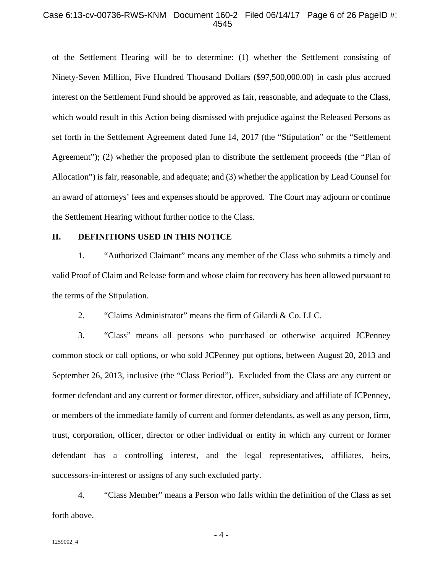#### Case 6:13-cv-00736-RWS-KNM Document 160-2 Filed 06/14/17 Page 6 of 26 PageID #: 4545

of the Settlement Hearing will be to determine: (1) whether the Settlement consisting of Ninety-Seven Million, Five Hundred Thousand Dollars (\$97,500,000.00) in cash plus accrued interest on the Settlement Fund should be approved as fair, reasonable, and adequate to the Class, which would result in this Action being dismissed with prejudice against the Released Persons as set forth in the Settlement Agreement dated June 14, 2017 (the "Stipulation" or the "Settlement Agreement"); (2) whether the proposed plan to distribute the settlement proceeds (the "Plan of Allocation") is fair, reasonable, and adequate; and (3) whether the application by Lead Counsel for an award of attorneys' fees and expenses should be approved. The Court may adjourn or continue the Settlement Hearing without further notice to the Class.

#### **II. DEFINITIONS USED IN THIS NOTICE**

1. "Authorized Claimant" means any member of the Class who submits a timely and valid Proof of Claim and Release form and whose claim for recovery has been allowed pursuant to the terms of the Stipulation.

2. "Claims Administrator" means the firm of Gilardi & Co. LLC.

3. "Class" means all persons who purchased or otherwise acquired JCPenney common stock or call options, or who sold JCPenney put options, between August 20, 2013 and September 26, 2013, inclusive (the "Class Period"). Excluded from the Class are any current or former defendant and any current or former director, officer, subsidiary and affiliate of JCPenney, or members of the immediate family of current and former defendants, as well as any person, firm, trust, corporation, officer, director or other individual or entity in which any current or former defendant has a controlling interest, and the legal representatives, affiliates, heirs, successors-in-interest or assigns of any such excluded party.

4. "Class Member" means a Person who falls within the definition of the Class as set forth above.

- 4 -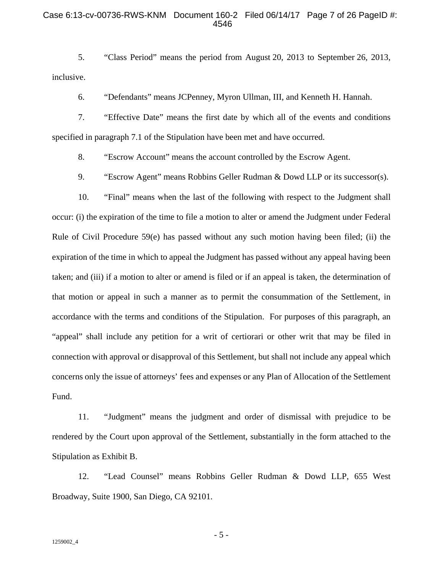#### Case 6:13-cv-00736-RWS-KNM Document 160-2 Filed 06/14/17 Page 7 of 26 PageID #: 4546

5. "Class Period" means the period from August 20, 2013 to September 26, 2013, inclusive.

6. "Defendants" means JCPenney, Myron Ullman, III, and Kenneth H. Hannah.

7. "Effective Date" means the first date by which all of the events and conditions specified in paragraph 7.1 of the Stipulation have been met and have occurred.

8. "Escrow Account" means the account controlled by the Escrow Agent.

9. "Escrow Agent" means Robbins Geller Rudman & Dowd LLP or its successor(s).

10. "Final" means when the last of the following with respect to the Judgment shall occur: (i) the expiration of the time to file a motion to alter or amend the Judgment under Federal Rule of Civil Procedure 59(e) has passed without any such motion having been filed; (ii) the expiration of the time in which to appeal the Judgment has passed without any appeal having been taken; and (iii) if a motion to alter or amend is filed or if an appeal is taken, the determination of that motion or appeal in such a manner as to permit the consummation of the Settlement, in accordance with the terms and conditions of the Stipulation. For purposes of this paragraph, an "appeal" shall include any petition for a writ of certiorari or other writ that may be filed in connection with approval or disapproval of this Settlement, but shall not include any appeal which concerns only the issue of attorneys' fees and expenses or any Plan of Allocation of the Settlement Fund.

11. "Judgment" means the judgment and order of dismissal with prejudice to be rendered by the Court upon approval of the Settlement, substantially in the form attached to the Stipulation as Exhibit B.

12. "Lead Counsel" means Robbins Geller Rudman & Dowd LLP, 655 West Broadway, Suite 1900, San Diego, CA 92101.

- 5 -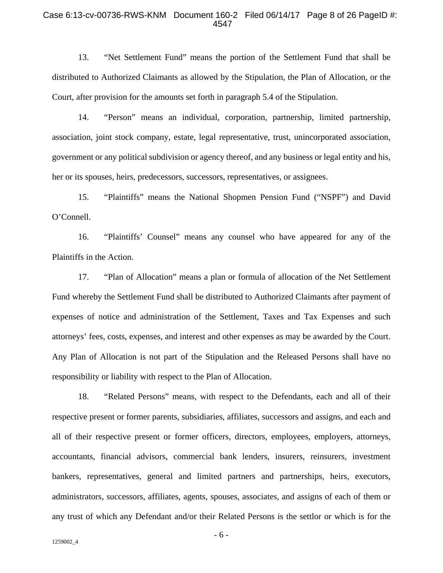#### Case 6:13-cv-00736-RWS-KNM Document 160-2 Filed 06/14/17 Page 8 of 26 PageID #: 4547

13. "Net Settlement Fund" means the portion of the Settlement Fund that shall be distributed to Authorized Claimants as allowed by the Stipulation, the Plan of Allocation, or the Court, after provision for the amounts set forth in paragraph 5.4 of the Stipulation.

14. "Person" means an individual, corporation, partnership, limited partnership, association, joint stock company, estate, legal representative, trust, unincorporated association, government or any political subdivision or agency thereof, and any business or legal entity and his, her or its spouses, heirs, predecessors, successors, representatives, or assignees.

15. "Plaintiffs" means the National Shopmen Pension Fund ("NSPF") and David O'Connell.

16. "Plaintiffs' Counsel" means any counsel who have appeared for any of the Plaintiffs in the Action.

17. "Plan of Allocation" means a plan or formula of allocation of the Net Settlement Fund whereby the Settlement Fund shall be distributed to Authorized Claimants after payment of expenses of notice and administration of the Settlement, Taxes and Tax Expenses and such attorneys' fees, costs, expenses, and interest and other expenses as may be awarded by the Court. Any Plan of Allocation is not part of the Stipulation and the Released Persons shall have no responsibility or liability with respect to the Plan of Allocation.

18. "Related Persons" means, with respect to the Defendants, each and all of their respective present or former parents, subsidiaries, affiliates, successors and assigns, and each and all of their respective present or former officers, directors, employees, employers, attorneys, accountants, financial advisors, commercial bank lenders, insurers, reinsurers, investment bankers, representatives, general and limited partners and partnerships, heirs, executors, administrators, successors, affiliates, agents, spouses, associates, and assigns of each of them or any trust of which any Defendant and/or their Related Persons is the settlor or which is for the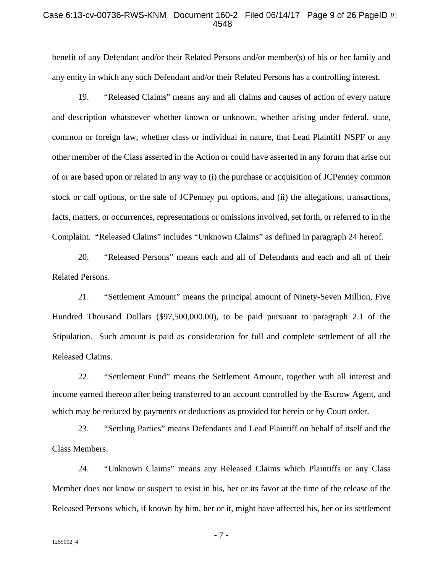#### Case 6:13-cv-00736-RWS-KNM Document 160-2 Filed 06/14/17 Page 9 of 26 PageID #: 4548

benefit of any Defendant and/or their Related Persons and/or member(s) of his or her family and any entity in which any such Defendant and/or their Related Persons has a controlling interest.

19. "Released Claims" means any and all claims and causes of action of every nature and description whatsoever whether known or unknown, whether arising under federal, state, common or foreign law, whether class or individual in nature, that Lead Plaintiff NSPF or any other member of the Class asserted in the Action or could have asserted in any forum that arise out of or are based upon or related in any way to (i) the purchase or acquisition of JCPenney common stock or call options, or the sale of JCPenney put options, and (ii) the allegations, transactions, facts, matters, or occurrences, representations or omissions involved, set forth, or referred to in the Complaint. "Released Claims" includes "Unknown Claims" as defined in paragraph 24 hereof.

20. "Released Persons" means each and all of Defendants and each and all of their Related Persons.

21. "Settlement Amount" means the principal amount of Ninety-Seven Million, Five Hundred Thousand Dollars (\$97,500,000.00), to be paid pursuant to paragraph 2.1 of the Stipulation. Such amount is paid as consideration for full and complete settlement of all the Released Claims.

22. "Settlement Fund" means the Settlement Amount, together with all interest and income earned thereon after being transferred to an account controlled by the Escrow Agent, and which may be reduced by payments or deductions as provided for herein or by Court order.

23. "Settling Parties" means Defendants and Lead Plaintiff on behalf of itself and the Class Members.

24. "Unknown Claims" means any Released Claims which Plaintiffs or any Class Member does not know or suspect to exist in his, her or its favor at the time of the release of the Released Persons which, if known by him, her or it, might have affected his, her or its settlement

- 7 -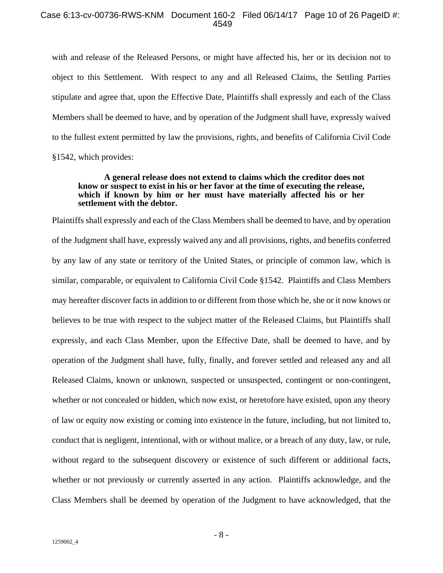#### Case 6:13-cv-00736-RWS-KNM Document 160-2 Filed 06/14/17 Page 10 of 26 PageID #: 4549

with and release of the Released Persons, or might have affected his, her or its decision not to object to this Settlement. With respect to any and all Released Claims, the Settling Parties stipulate and agree that, upon the Effective Date, Plaintiffs shall expressly and each of the Class Members shall be deemed to have, and by operation of the Judgment shall have, expressly waived to the fullest extent permitted by law the provisions, rights, and benefits of California Civil Code §1542, which provides:

#### **A general release does not extend to claims which the creditor does not know or suspect to exist in his or her favor at the time of executing the release, which if known by him or her must have materially affected his or her settlement with the debtor.**

Plaintiffs shall expressly and each of the Class Members shall be deemed to have, and by operation of the Judgment shall have, expressly waived any and all provisions, rights, and benefits conferred by any law of any state or territory of the United States, or principle of common law, which is similar, comparable, or equivalent to California Civil Code §1542. Plaintiffs and Class Members may hereafter discover facts in addition to or different from those which he, she or it now knows or believes to be true with respect to the subject matter of the Released Claims, but Plaintiffs shall expressly, and each Class Member, upon the Effective Date, shall be deemed to have, and by operation of the Judgment shall have, fully, finally, and forever settled and released any and all Released Claims, known or unknown, suspected or unsuspected, contingent or non-contingent, whether or not concealed or hidden, which now exist, or heretofore have existed, upon any theory of law or equity now existing or coming into existence in the future, including, but not limited to, conduct that is negligent, intentional, with or without malice, or a breach of any duty, law, or rule, without regard to the subsequent discovery or existence of such different or additional facts, whether or not previously or currently asserted in any action. Plaintiffs acknowledge, and the Class Members shall be deemed by operation of the Judgment to have acknowledged, that the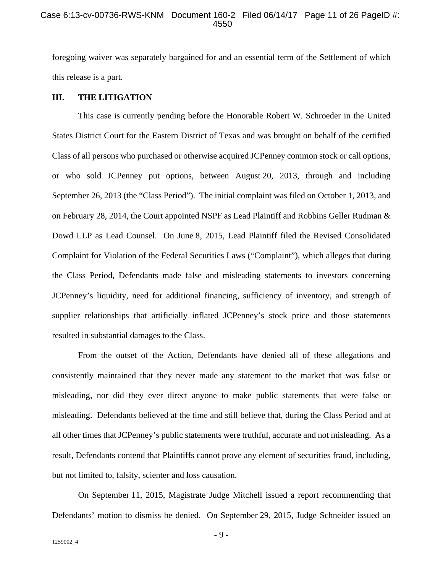#### Case 6:13-cv-00736-RWS-KNM Document 160-2 Filed 06/14/17 Page 11 of 26 PageID #: 4550

foregoing waiver was separately bargained for and an essential term of the Settlement of which this release is a part.

#### **III. THE LITIGATION**

This case is currently pending before the Honorable Robert W. Schroeder in the United States District Court for the Eastern District of Texas and was brought on behalf of the certified Class of all persons who purchased or otherwise acquired JCPenney common stock or call options, or who sold JCPenney put options, between August 20, 2013, through and including September 26, 2013 (the "Class Period"). The initial complaint was filed on October 1, 2013, and on February 28, 2014, the Court appointed NSPF as Lead Plaintiff and Robbins Geller Rudman & Dowd LLP as Lead Counsel. On June 8, 2015, Lead Plaintiff filed the Revised Consolidated Complaint for Violation of the Federal Securities Laws ("Complaint"), which alleges that during the Class Period, Defendants made false and misleading statements to investors concerning JCPenney's liquidity, need for additional financing, sufficiency of inventory, and strength of supplier relationships that artificially inflated JCPenney's stock price and those statements resulted in substantial damages to the Class.

From the outset of the Action, Defendants have denied all of these allegations and consistently maintained that they never made any statement to the market that was false or misleading, nor did they ever direct anyone to make public statements that were false or misleading. Defendants believed at the time and still believe that, during the Class Period and at all other times that JCPenney's public statements were truthful, accurate and not misleading. As a result, Defendants contend that Plaintiffs cannot prove any element of securities fraud, including, but not limited to, falsity, scienter and loss causation.

On September 11, 2015, Magistrate Judge Mitchell issued a report recommending that Defendants' motion to dismiss be denied. On September 29, 2015, Judge Schneider issued an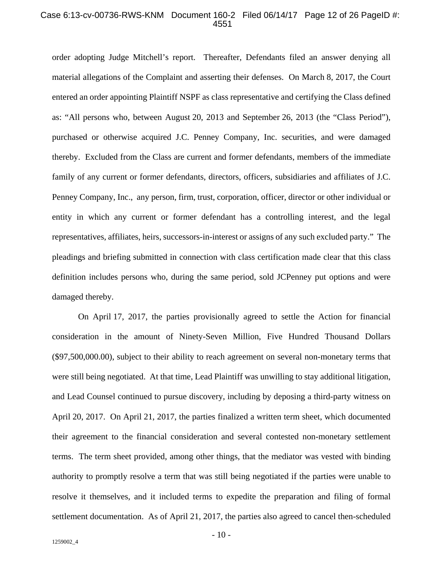#### Case 6:13-cv-00736-RWS-KNM Document 160-2 Filed 06/14/17 Page 12 of 26 PageID #: 4551

order adopting Judge Mitchell's report. Thereafter, Defendants filed an answer denying all material allegations of the Complaint and asserting their defenses. On March 8, 2017, the Court entered an order appointing Plaintiff NSPF as class representative and certifying the Class defined as: "All persons who, between August 20, 2013 and September 26, 2013 (the "Class Period"), purchased or otherwise acquired J.C. Penney Company, Inc. securities, and were damaged thereby. Excluded from the Class are current and former defendants, members of the immediate family of any current or former defendants, directors, officers, subsidiaries and affiliates of J.C. Penney Company, Inc., any person, firm, trust, corporation, officer, director or other individual or entity in which any current or former defendant has a controlling interest, and the legal representatives, affiliates, heirs, successors-in-interest or assigns of any such excluded party." The pleadings and briefing submitted in connection with class certification made clear that this class definition includes persons who, during the same period, sold JCPenney put options and were damaged thereby.

On April 17, 2017, the parties provisionally agreed to settle the Action for financial consideration in the amount of Ninety-Seven Million, Five Hundred Thousand Dollars (\$97,500,000.00), subject to their ability to reach agreement on several non-monetary terms that were still being negotiated. At that time, Lead Plaintiff was unwilling to stay additional litigation, and Lead Counsel continued to pursue discovery, including by deposing a third-party witness on April 20, 2017. On April 21, 2017, the parties finalized a written term sheet, which documented their agreement to the financial consideration and several contested non-monetary settlement terms. The term sheet provided, among other things, that the mediator was vested with binding authority to promptly resolve a term that was still being negotiated if the parties were unable to resolve it themselves, and it included terms to expedite the preparation and filing of formal settlement documentation. As of April 21, 2017, the parties also agreed to cancel then-scheduled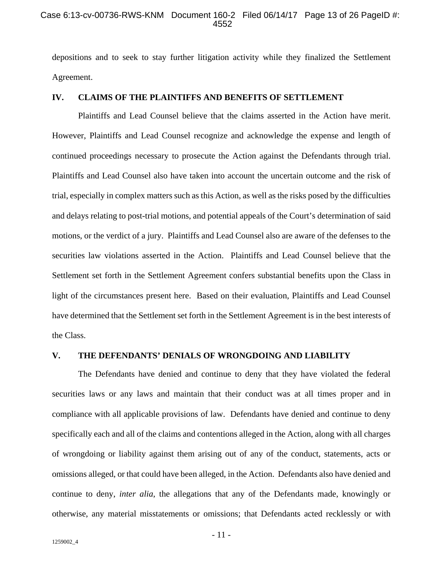#### Case 6:13-cv-00736-RWS-KNM Document 160-2 Filed 06/14/17 Page 13 of 26 PageID #: 4552

depositions and to seek to stay further litigation activity while they finalized the Settlement Agreement.

## **IV. CLAIMS OF THE PLAINTIFFS AND BENEFITS OF SETTLEMENT**

Plaintiffs and Lead Counsel believe that the claims asserted in the Action have merit. However, Plaintiffs and Lead Counsel recognize and acknowledge the expense and length of continued proceedings necessary to prosecute the Action against the Defendants through trial. Plaintiffs and Lead Counsel also have taken into account the uncertain outcome and the risk of trial, especially in complex matters such as this Action, as well as the risks posed by the difficulties and delays relating to post-trial motions, and potential appeals of the Court's determination of said motions, or the verdict of a jury. Plaintiffs and Lead Counsel also are aware of the defenses to the securities law violations asserted in the Action. Plaintiffs and Lead Counsel believe that the Settlement set forth in the Settlement Agreement confers substantial benefits upon the Class in light of the circumstances present here. Based on their evaluation, Plaintiffs and Lead Counsel have determined that the Settlement set forth in the Settlement Agreement is in the best interests of the Class.

## **V. THE DEFENDANTS' DENIALS OF WRONGDOING AND LIABILITY**

The Defendants have denied and continue to deny that they have violated the federal securities laws or any laws and maintain that their conduct was at all times proper and in compliance with all applicable provisions of law. Defendants have denied and continue to deny specifically each and all of the claims and contentions alleged in the Action, along with all charges of wrongdoing or liability against them arising out of any of the conduct, statements, acts or omissions alleged, or that could have been alleged, in the Action. Defendants also have denied and continue to deny, *inter alia*, the allegations that any of the Defendants made, knowingly or otherwise, any material misstatements or omissions; that Defendants acted recklessly or with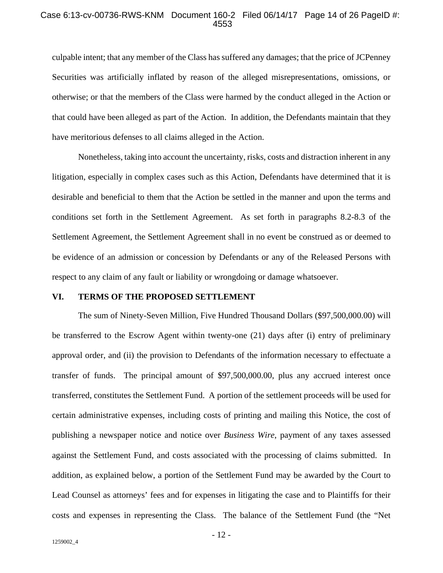#### Case 6:13-cv-00736-RWS-KNM Document 160-2 Filed 06/14/17 Page 14 of 26 PageID #: 4553

culpable intent; that any member of the Class has suffered any damages; that the price of JCPenney Securities was artificially inflated by reason of the alleged misrepresentations, omissions, or otherwise; or that the members of the Class were harmed by the conduct alleged in the Action or that could have been alleged as part of the Action. In addition, the Defendants maintain that they have meritorious defenses to all claims alleged in the Action.

Nonetheless, taking into account the uncertainty, risks, costs and distraction inherent in any litigation, especially in complex cases such as this Action, Defendants have determined that it is desirable and beneficial to them that the Action be settled in the manner and upon the terms and conditions set forth in the Settlement Agreement. As set forth in paragraphs 8.2-8.3 of the Settlement Agreement, the Settlement Agreement shall in no event be construed as or deemed to be evidence of an admission or concession by Defendants or any of the Released Persons with respect to any claim of any fault or liability or wrongdoing or damage whatsoever.

#### **VI. TERMS OF THE PROPOSED SETTLEMENT**

The sum of Ninety-Seven Million, Five Hundred Thousand Dollars (\$97,500,000.00) will be transferred to the Escrow Agent within twenty-one (21) days after (i) entry of preliminary approval order, and (ii) the provision to Defendants of the information necessary to effectuate a transfer of funds. The principal amount of \$97,500,000.00, plus any accrued interest once transferred, constitutes the Settlement Fund. A portion of the settlement proceeds will be used for certain administrative expenses, including costs of printing and mailing this Notice, the cost of publishing a newspaper notice and notice over *Business Wire*, payment of any taxes assessed against the Settlement Fund, and costs associated with the processing of claims submitted. In addition, as explained below, a portion of the Settlement Fund may be awarded by the Court to Lead Counsel as attorneys' fees and for expenses in litigating the case and to Plaintiffs for their costs and expenses in representing the Class. The balance of the Settlement Fund (the "Net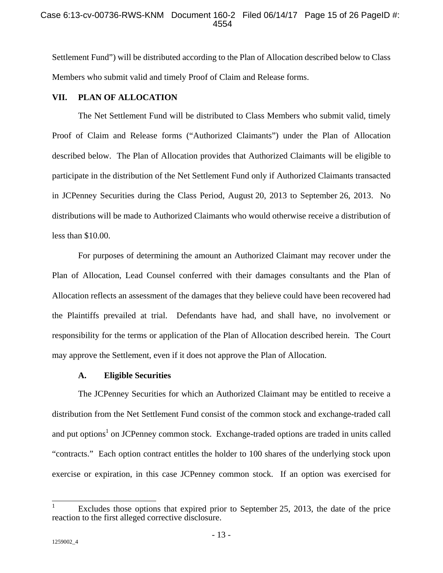Settlement Fund") will be distributed according to the Plan of Allocation described below to Class Members who submit valid and timely Proof of Claim and Release forms.

#### **VII. PLAN OF ALLOCATION**

The Net Settlement Fund will be distributed to Class Members who submit valid, timely Proof of Claim and Release forms ("Authorized Claimants") under the Plan of Allocation described below. The Plan of Allocation provides that Authorized Claimants will be eligible to participate in the distribution of the Net Settlement Fund only if Authorized Claimants transacted in JCPenney Securities during the Class Period, August 20, 2013 to September 26, 2013. No distributions will be made to Authorized Claimants who would otherwise receive a distribution of less than \$10.00.

For purposes of determining the amount an Authorized Claimant may recover under the Plan of Allocation, Lead Counsel conferred with their damages consultants and the Plan of Allocation reflects an assessment of the damages that they believe could have been recovered had the Plaintiffs prevailed at trial. Defendants have had, and shall have, no involvement or responsibility for the terms or application of the Plan of Allocation described herein. The Court may approve the Settlement, even if it does not approve the Plan of Allocation.

#### **A. Eligible Securities**

The JCPenney Securities for which an Authorized Claimant may be entitled to receive a distribution from the Net Settlement Fund consist of the common stock and exchange-traded call and put options<sup>1</sup> on JCPenney common stock. Exchange-traded options are traded in units called "contracts." Each option contract entitles the holder to 100 shares of the underlying stock upon exercise or expiration, in this case JCPenney common stock. If an option was exercised for

 $\overline{1}$ 1 Excludes those options that expired prior to September 25, 2013, the date of the price reaction to the first alleged corrective disclosure.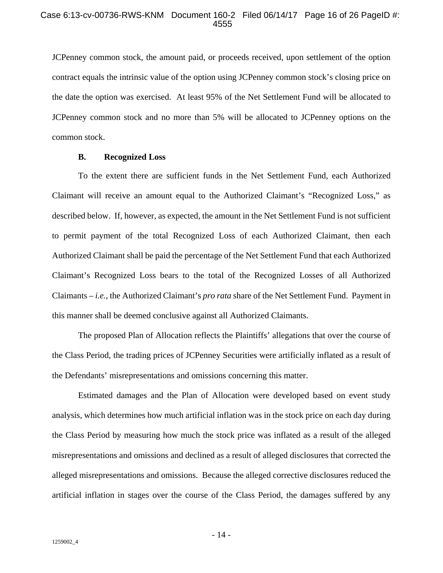JCPenney common stock, the amount paid, or proceeds received, upon settlement of the option contract equals the intrinsic value of the option using JCPenney common stock's closing price on the date the option was exercised. At least 95% of the Net Settlement Fund will be allocated to JCPenney common stock and no more than 5% will be allocated to JCPenney options on the common stock.

#### **B. Recognized Loss**

To the extent there are sufficient funds in the Net Settlement Fund, each Authorized Claimant will receive an amount equal to the Authorized Claimant's "Recognized Loss," as described below. If, however, as expected, the amount in the Net Settlement Fund is not sufficient to permit payment of the total Recognized Loss of each Authorized Claimant, then each Authorized Claimant shall be paid the percentage of the Net Settlement Fund that each Authorized Claimant's Recognized Loss bears to the total of the Recognized Losses of all Authorized Claimants – *i.e.*, the Authorized Claimant's *pro rata* share of the Net Settlement Fund. Payment in this manner shall be deemed conclusive against all Authorized Claimants.

The proposed Plan of Allocation reflects the Plaintiffs' allegations that over the course of the Class Period, the trading prices of JCPenney Securities were artificially inflated as a result of the Defendants' misrepresentations and omissions concerning this matter.

Estimated damages and the Plan of Allocation were developed based on event study analysis, which determines how much artificial inflation was in the stock price on each day during the Class Period by measuring how much the stock price was inflated as a result of the alleged misrepresentations and omissions and declined as a result of alleged disclosures that corrected the alleged misrepresentations and omissions. Because the alleged corrective disclosures reduced the artificial inflation in stages over the course of the Class Period, the damages suffered by any

- 14 -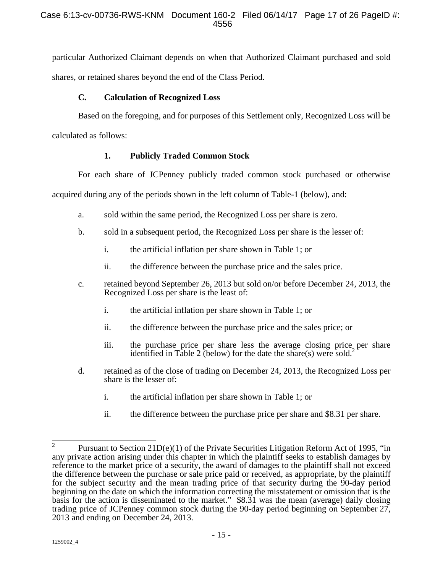particular Authorized Claimant depends on when that Authorized Claimant purchased and sold shares, or retained shares beyond the end of the Class Period.

## **C. Calculation of Recognized Loss**

Based on the foregoing, and for purposes of this Settlement only, Recognized Loss will be

calculated as follows:

# **1. Publicly Traded Common Stock**

For each share of JCPenney publicly traded common stock purchased or otherwise

acquired during any of the periods shown in the left column of Table-1 (below), and:

- a. sold within the same period, the Recognized Loss per share is zero.
- b. sold in a subsequent period, the Recognized Loss per share is the lesser of:
	- i. the artificial inflation per share shown in Table 1; or
	- ii. the difference between the purchase price and the sales price.
- c. retained beyond September 26, 2013 but sold on/or before December 24, 2013, the Recognized Loss per share is the least of:
	- i. the artificial inflation per share shown in Table 1; or
	- ii. the difference between the purchase price and the sales price; or
	- iii. the purchase price per share less the average closing price per share identified in Table 2 (below) for the date the share(s) were sold.<sup>2</sup>
- d. retained as of the close of trading on December 24, 2013, the Recognized Loss per share is the lesser of:
	- i. the artificial inflation per share shown in Table 1; or
	- ii. the difference between the purchase price per share and \$8.31 per share.

<sup>2</sup>  Pursuant to Section 21D(e)(1) of the Private Securities Litigation Reform Act of 1995, "in any private action arising under this chapter in which the plaintiff seeks to establish damages by reference to the market price of a security, the award of damages to the plaintiff shall not exceed the difference between the purchase or sale price paid or received, as appropriate, by the plaintiff for the subject security and the mean trading price of that security during the 90-day period beginning on the date on which the information correcting the misstatement or omission that is the basis for the action is disseminated to the market." \$8.31 was the mean (average) daily closing trading price of JCPenney common stock during the 90-day period beginning on September 27, 2013 and ending on December 24, 2013.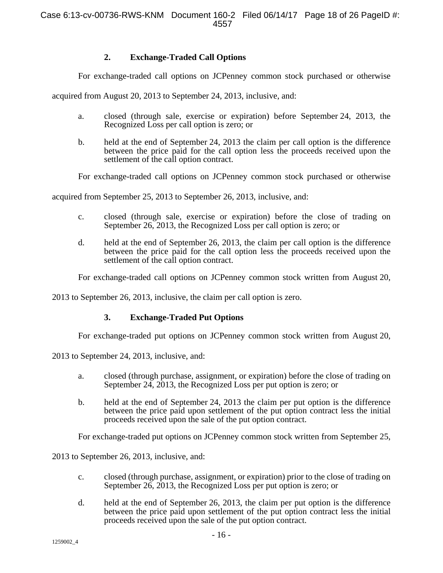# **2. Exchange-Traded Call Options**

For exchange-traded call options on JCPenney common stock purchased or otherwise

acquired from August 20, 2013 to September 24, 2013, inclusive, and:

- a. closed (through sale, exercise or expiration) before September 24, 2013, the Recognized Loss per call option is zero; or
- b. held at the end of September 24, 2013 the claim per call option is the difference between the price paid for the call option less the proceeds received upon the settlement of the call option contract.

For exchange-traded call options on JCPenney common stock purchased or otherwise

acquired from September 25, 2013 to September 26, 2013, inclusive, and:

- c. closed (through sale, exercise or expiration) before the close of trading on September 26, 2013, the Recognized Loss per call option is zero; or
- d. held at the end of September 26, 2013, the claim per call option is the difference between the price paid for the call option less the proceeds received upon the settlement of the call option contract.

For exchange-traded call options on JCPenney common stock written from August 20,

2013 to September 26, 2013, inclusive, the claim per call option is zero.

# **3. Exchange-Traded Put Options**

For exchange-traded put options on JCPenney common stock written from August 20,

2013 to September 24, 2013, inclusive, and:

- a. closed (through purchase, assignment, or expiration) before the close of trading on September 24, 2013, the Recognized Loss per put option is zero; or
- b. held at the end of September 24, 2013 the claim per put option is the difference between the price paid upon settlement of the put option contract less the initial proceeds received upon the sale of the put option contract.

For exchange-traded put options on JCPenney common stock written from September 25,

2013 to September 26, 2013, inclusive, and:

- c. closed (through purchase, assignment, or expiration) prior to the close of trading on September 26, 2013, the Recognized Loss per put option is zero; or
- d. held at the end of September 26, 2013, the claim per put option is the difference between the price paid upon settlement of the put option contract less the initial proceeds received upon the sale of the put option contract.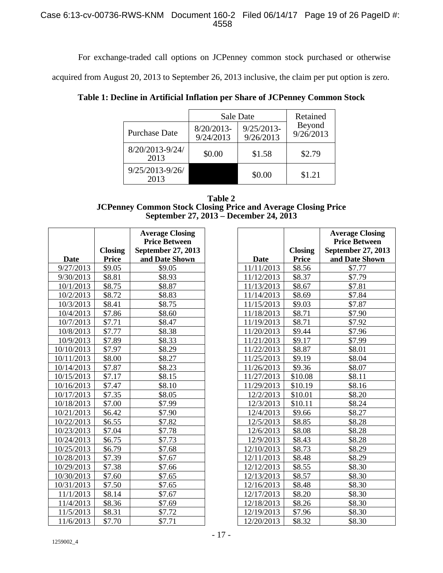## Case 6:13-cv-00736-RWS-KNM Document 160-2 Filed 06/14/17 Page 19 of 26 PageID #: 4558

For exchange-traded call options on JCPenney common stock purchased or otherwise

acquired from August 20, 2013 to September 26, 2013 inclusive, the claim per put option is zero.

|                         | Sale Date                 | Retained                  |                     |
|-------------------------|---------------------------|---------------------------|---------------------|
| <b>Purchase Date</b>    | $8/20/2013-$<br>9/24/2013 | $9/25/2013-$<br>9/26/2013 | Beyond<br>9/26/2013 |
| 8/20/2013-9/24/<br>2013 | \$0.00                    | \$1.58                    | \$2.79              |
| 9/25/2013-9/26/<br>2013 |                           | \$0.00                    | \$1.21              |

**Table 1: Decline in Artificial Inflation per Share of JCPenney Common Stock** 

| Table 2                                                              |
|----------------------------------------------------------------------|
| <b>JCPenney Common Stock Closing Price and Average Closing Price</b> |
| September 27, 2013 – December 24, 2013                               |

|             |                                | <b>Average Closing</b>               |                          |
|-------------|--------------------------------|--------------------------------------|--------------------------|
|             |                                | <b>Price Between</b>                 |                          |
| <b>Date</b> | <b>Closing</b><br><b>Price</b> | September 27, 2013<br>and Date Shown |                          |
| 9/27/2013   | \$9.05                         | \$9.05                               | <b>Date</b>              |
| 9/30/2013   | \$8.81                         | \$8.93                               | 11/11/2013<br>11/12/2013 |
| 10/1/2013   | \$8.75                         | \$8.87                               | 11/13/2013               |
|             | \$8.72                         | \$8.83                               |                          |
| 10/2/2013   |                                |                                      | 11/14/2013               |
| 10/3/2013   | \$8.41                         | \$8.75                               | 11/15/2013               |
| 10/4/2013   | \$7.86                         | \$8.60                               | 11/18/2013               |
| 10/7/2013   | \$7.71                         | \$8.47                               | 11/19/2013               |
| 10/8/2013   | \$7.77                         | \$8.38                               | 11/20/2013               |
| 10/9/2013   | \$7.89                         | \$8.33                               | 11/21/2013               |
| 10/10/2013  | \$7.97                         | \$8.29                               | 11/22/2013               |
| 10/11/2013  | \$8.00                         | \$8.27                               | 11/25/2013               |
| 10/14/2013  | \$7.87                         | \$8.23                               | 11/26/2013               |
| 10/15/2013  | \$7.17                         | \$8.15                               | 11/27/2013               |
| 10/16/2013  | \$7.47                         | \$8.10                               | 11/29/2013               |
| 10/17/2013  | \$7.35                         | \$8.05                               | 12/2/2013                |
| 10/18/2013  | \$7.00                         | \$7.99                               | 12/3/2013                |
| 10/21/2013  | \$6.42                         | \$7.90                               | 12/4/2013                |
| 10/22/2013  | \$6.55                         | \$7.82                               | 12/5/2013                |
| 10/23/2013  | \$7.04                         | \$7.78                               | 12/6/2013                |
| 10/24/2013  | \$6.75                         | \$7.73                               | 12/9/2013                |
| 10/25/2013  | \$6.79                         | \$7.68                               | 12/10/2013               |
| 10/28/2013  | \$7.39                         | \$7.67                               | 12/11/2013               |
| 10/29/2013  | \$7.38                         | \$7.66                               | 12/12/2013               |
| 10/30/2013  | \$7.60                         | \$7.65                               | 12/13/2013               |
| 10/31/2013  | \$7.50                         | \$7.65                               | 12/16/2013               |
| 11/1/2013   | \$8.14                         | \$7.67                               | 12/17/2013               |
| 11/4/2013   | \$8.36                         | \$7.69                               | 12/18/2013               |
| 11/5/2013   | \$8.31                         | \$7.72                               | 12/19/2013               |
| 11/6/2013   | \$7.70                         | \$7.71                               | 12/20/2013               |

|             |                | <b>Average Closing</b> |
|-------------|----------------|------------------------|
|             |                | <b>Price Between</b>   |
|             | <b>Closing</b> | September 27, 2013     |
| <b>Date</b> | <b>Price</b>   | and Date Shown         |
| 11/11/2013  | \$8.56         | \$7.77                 |
| 11/12/2013  | \$8.37         | \$7.79                 |
| 11/13/2013  | \$8.67         | \$7.81                 |
| 11/14/2013  | \$8.69         | \$7.84                 |
| 11/15/2013  | \$9.03         | \$7.87                 |
| 11/18/2013  | \$8.71         | \$7.90                 |
| 11/19/2013  | \$8.71         | \$7.92                 |
| 11/20/2013  | \$9.44         | \$7.96                 |
| 11/21/2013  | \$9.17         | \$7.99                 |
| 11/22/2013  | \$8.87         | \$8.01                 |
| 11/25/2013  | \$9.19         | \$8.04                 |
| 11/26/2013  | \$9.36         | \$8.07                 |
| 11/27/2013  | \$10.08        | \$8.11                 |
| 11/29/2013  | \$10.19        | \$8.16                 |
| 12/2/2013   | \$10.01        | \$8.20                 |
| 12/3/2013   | \$10.11        | \$8.24                 |
| 12/4/2013   | \$9.66         | \$8.27                 |
| 12/5/2013   | \$8.85         | \$8.28                 |
| 12/6/2013   | \$8.08         | \$8.28                 |
| 12/9/2013   | \$8.43         | \$8.28                 |
| 12/10/2013  | \$8.73         | \$8.29                 |
| 12/11/2013  | \$8.48         | \$8.29                 |
| 12/12/2013  | \$8.55         | \$8.30                 |
| 12/13/2013  | \$8.57         | \$8.30                 |
| 12/16/2013  | \$8.48         | \$8.30                 |
| 12/17/2013  | \$8.20         | \$8.30                 |
| 12/18/2013  | \$8.26         | \$8.30                 |
| 12/19/2013  | \$7.96         | \$8.30                 |
| 12/20/2013  | \$8.32         | \$8.30                 |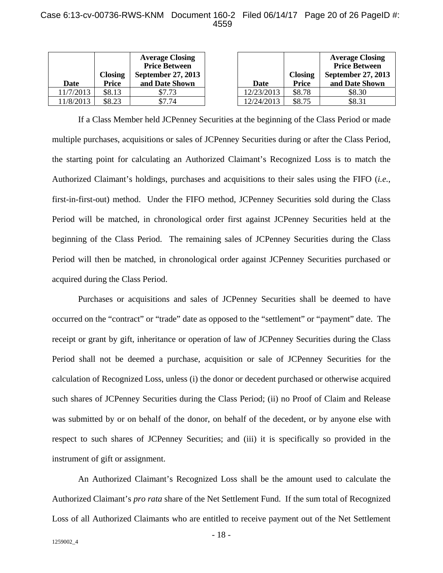### Case 6:13-cv-00736-RWS-KNM Document 160-2 Filed 06/14/17 Page 20 of 26 PageID #: 4559

| Date      | <b>Closing</b><br>Price | <b>Average Closing</b><br><b>Price Between</b><br>September 27, 2013<br>and Date Shown | Date       | <b>Closing</b><br><b>Price</b> | <b>Average Cl</b><br><b>Price Betw</b><br>September 2'<br>and Date Sl |
|-----------|-------------------------|----------------------------------------------------------------------------------------|------------|--------------------------------|-----------------------------------------------------------------------|
| 11/7/2013 | \$8.13                  | \$7.73                                                                                 | 12/23/2013 | \$8.78                         | \$8.30                                                                |
| 11/8/2013 | \$8.23                  | \$7.74                                                                                 | 12/24/2013 | \$8.75                         | \$8.31                                                                |

|            | <b>Closing</b> | <b>Average Closing</b><br><b>Price Between</b><br>September 27, 2013 |
|------------|----------------|----------------------------------------------------------------------|
| Date       | <b>Price</b>   | and Date Shown                                                       |
| 12/23/2013 | \$8.78         | \$8.30                                                               |
| 12/24/2013 | \$8.75         | \$8.31                                                               |

If a Class Member held JCPenney Securities at the beginning of the Class Period or made multiple purchases, acquisitions or sales of JCPenney Securities during or after the Class Period, the starting point for calculating an Authorized Claimant's Recognized Loss is to match the Authorized Claimant's holdings, purchases and acquisitions to their sales using the FIFO (*i.e.*, first-in-first-out) method. Under the FIFO method, JCPenney Securities sold during the Class Period will be matched, in chronological order first against JCPenney Securities held at the beginning of the Class Period. The remaining sales of JCPenney Securities during the Class Period will then be matched, in chronological order against JCPenney Securities purchased or acquired during the Class Period.

Purchases or acquisitions and sales of JCPenney Securities shall be deemed to have occurred on the "contract" or "trade" date as opposed to the "settlement" or "payment" date. The receipt or grant by gift, inheritance or operation of law of JCPenney Securities during the Class Period shall not be deemed a purchase, acquisition or sale of JCPenney Securities for the calculation of Recognized Loss, unless (i) the donor or decedent purchased or otherwise acquired such shares of JCPenney Securities during the Class Period; (ii) no Proof of Claim and Release was submitted by or on behalf of the donor, on behalf of the decedent, or by anyone else with respect to such shares of JCPenney Securities; and (iii) it is specifically so provided in the instrument of gift or assignment.

An Authorized Claimant's Recognized Loss shall be the amount used to calculate the Authorized Claimant's *pro rata* share of the Net Settlement Fund. If the sum total of Recognized Loss of all Authorized Claimants who are entitled to receive payment out of the Net Settlement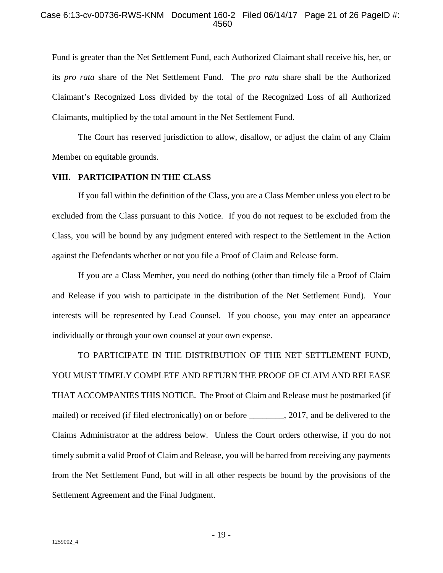#### Case 6:13-cv-00736-RWS-KNM Document 160-2 Filed 06/14/17 Page 21 of 26 PageID #: 4560

Fund is greater than the Net Settlement Fund, each Authorized Claimant shall receive his, her, or its *pro rata* share of the Net Settlement Fund. The *pro rata* share shall be the Authorized Claimant's Recognized Loss divided by the total of the Recognized Loss of all Authorized Claimants, multiplied by the total amount in the Net Settlement Fund.

The Court has reserved jurisdiction to allow, disallow, or adjust the claim of any Claim Member on equitable grounds.

## **VIII. PARTICIPATION IN THE CLASS**

If you fall within the definition of the Class, you are a Class Member unless you elect to be excluded from the Class pursuant to this Notice. If you do not request to be excluded from the Class, you will be bound by any judgment entered with respect to the Settlement in the Action against the Defendants whether or not you file a Proof of Claim and Release form.

If you are a Class Member, you need do nothing (other than timely file a Proof of Claim and Release if you wish to participate in the distribution of the Net Settlement Fund). Your interests will be represented by Lead Counsel. If you choose, you may enter an appearance individually or through your own counsel at your own expense.

TO PARTICIPATE IN THE DISTRIBUTION OF THE NET SETTLEMENT FUND, YOU MUST TIMELY COMPLETE AND RETURN THE PROOF OF CLAIM AND RELEASE THAT ACCOMPANIES THIS NOTICE. The Proof of Claim and Release must be postmarked (if mailed) or received (if filed electronically) on or before \_\_\_\_\_\_\_\_, 2017, and be delivered to the Claims Administrator at the address below. Unless the Court orders otherwise, if you do not timely submit a valid Proof of Claim and Release, you will be barred from receiving any payments from the Net Settlement Fund, but will in all other respects be bound by the provisions of the Settlement Agreement and the Final Judgment.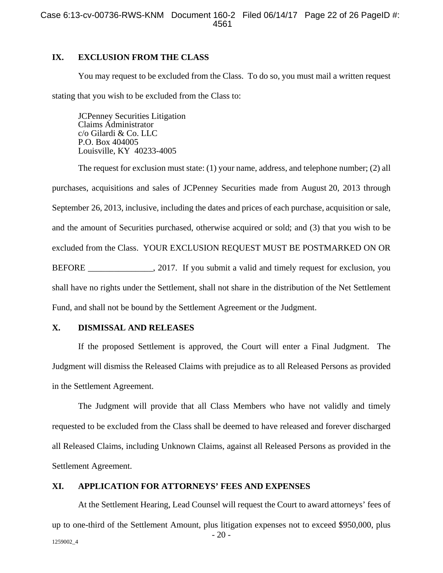## **IX. EXCLUSION FROM THE CLASS**

You may request to be excluded from the Class. To do so, you must mail a written request stating that you wish to be excluded from the Class to:

JCPenney Securities Litigation Claims Administrator c/o Gilardi & Co. LLC P.O. Box 404005 Louisville, KY 40233-4005

The request for exclusion must state: (1) your name, address, and telephone number; (2) all purchases, acquisitions and sales of JCPenney Securities made from August 20, 2013 through September 26, 2013, inclusive, including the dates and prices of each purchase, acquisition or sale, and the amount of Securities purchased, otherwise acquired or sold; and (3) that you wish to be excluded from the Class. YOUR EXCLUSION REQUEST MUST BE POSTMARKED ON OR BEFORE \_\_\_\_\_\_\_\_\_\_\_\_\_\_\_, 2017. If you submit a valid and timely request for exclusion, you shall have no rights under the Settlement, shall not share in the distribution of the Net Settlement Fund, and shall not be bound by the Settlement Agreement or the Judgment.

#### **X. DISMISSAL AND RELEASES**

If the proposed Settlement is approved, the Court will enter a Final Judgment. The Judgment will dismiss the Released Claims with prejudice as to all Released Persons as provided in the Settlement Agreement.

The Judgment will provide that all Class Members who have not validly and timely requested to be excluded from the Class shall be deemed to have released and forever discharged all Released Claims, including Unknown Claims, against all Released Persons as provided in the Settlement Agreement.

#### **XI. APPLICATION FOR ATTORNEYS' FEES AND EXPENSES**

- 20 - 1259002\_4 At the Settlement Hearing, Lead Counsel will request the Court to award attorneys' fees of up to one-third of the Settlement Amount, plus litigation expenses not to exceed \$950,000, plus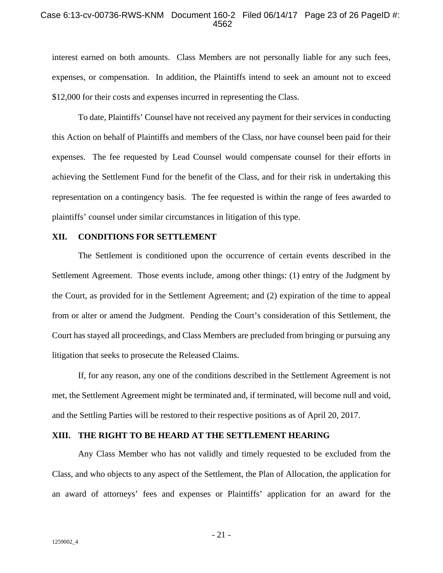#### Case 6:13-cv-00736-RWS-KNM Document 160-2 Filed 06/14/17 Page 23 of 26 PageID #: 4562

interest earned on both amounts. Class Members are not personally liable for any such fees, expenses, or compensation. In addition, the Plaintiffs intend to seek an amount not to exceed \$12,000 for their costs and expenses incurred in representing the Class.

To date, Plaintiffs' Counsel have not received any payment for their services in conducting this Action on behalf of Plaintiffs and members of the Class, nor have counsel been paid for their expenses. The fee requested by Lead Counsel would compensate counsel for their efforts in achieving the Settlement Fund for the benefit of the Class, and for their risk in undertaking this representation on a contingency basis. The fee requested is within the range of fees awarded to plaintiffs' counsel under similar circumstances in litigation of this type.

### **XII. CONDITIONS FOR SETTLEMENT**

The Settlement is conditioned upon the occurrence of certain events described in the Settlement Agreement. Those events include, among other things: (1) entry of the Judgment by the Court, as provided for in the Settlement Agreement; and (2) expiration of the time to appeal from or alter or amend the Judgment. Pending the Court's consideration of this Settlement, the Court has stayed all proceedings, and Class Members are precluded from bringing or pursuing any litigation that seeks to prosecute the Released Claims.

If, for any reason, any one of the conditions described in the Settlement Agreement is not met, the Settlement Agreement might be terminated and, if terminated, will become null and void, and the Settling Parties will be restored to their respective positions as of April 20, 2017.

#### **XIII. THE RIGHT TO BE HEARD AT THE SETTLEMENT HEARING**

Any Class Member who has not validly and timely requested to be excluded from the Class, and who objects to any aspect of the Settlement, the Plan of Allocation, the application for an award of attorneys' fees and expenses or Plaintiffs' application for an award for the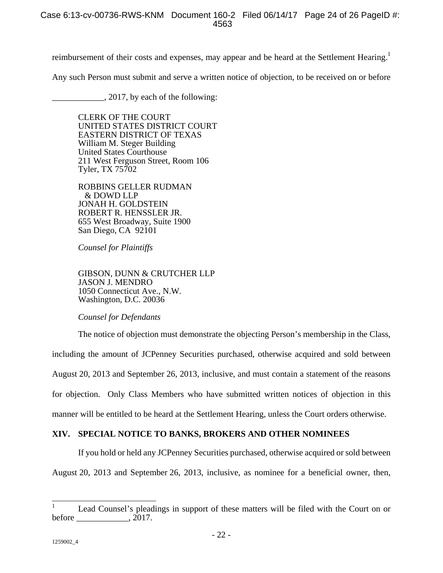reimbursement of their costs and expenses, may appear and be heard at the Settlement Hearing.<sup>1</sup>

Any such Person must submit and serve a written notice of objection, to be received on or before

\_\_\_\_\_\_\_\_\_\_\_\_, 2017, by each of the following:

CLERK OF THE COURT UNITED STATES DISTRICT COURT EASTERN DISTRICT OF TEXAS William M. Steger Building United States Courthouse 211 West Ferguson Street, Room 106 Tyler, TX 75702

ROBBINS GELLER RUDMAN & DOWD LLP JONAH H. GOLDSTEIN ROBERT R. HENSSLER JR. 655 West Broadway, Suite 1900 San Diego, CA 92101

*Counsel for Plaintiffs* 

GIBSON, DUNN & CRUTCHER LLP JASON J. MENDRO 1050 Connecticut Ave., N.W. Washington, D.C. 20036

*Counsel for Defendants*

The notice of objection must demonstrate the objecting Person's membership in the Class, including the amount of JCPenney Securities purchased, otherwise acquired and sold between August 20, 2013 and September 26, 2013, inclusive, and must contain a statement of the reasons for objection. Only Class Members who have submitted written notices of objection in this manner will be entitled to be heard at the Settlement Hearing, unless the Court orders otherwise.

# **XIV. SPECIAL NOTICE TO BANKS, BROKERS AND OTHER NOMINEES**

If you hold or held any JCPenney Securities purchased, otherwise acquired or sold between August 20, 2013 and September 26, 2013, inclusive, as nominee for a beneficial owner, then,

 $\overline{1}$ 1 Lead Counsel's pleadings in support of these matters will be filed with the Court on or before  $, 2017.$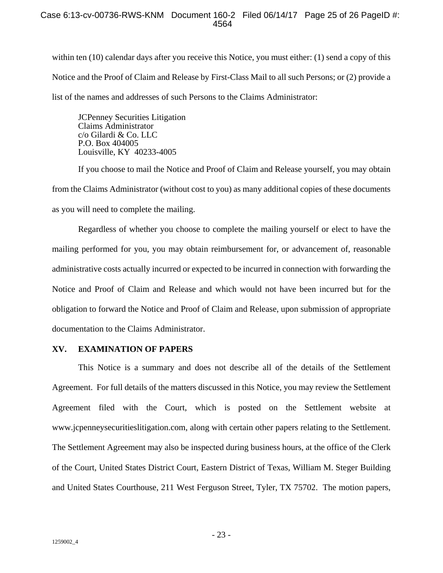within ten (10) calendar days after you receive this Notice, you must either: (1) send a copy of this Notice and the Proof of Claim and Release by First-Class Mail to all such Persons; or (2) provide a list of the names and addresses of such Persons to the Claims Administrator:

JCPenney Securities Litigation Claims Administrator c/o Gilardi & Co. LLC P.O. Box 404005 Louisville, KY 40233-4005

If you choose to mail the Notice and Proof of Claim and Release yourself, you may obtain from the Claims Administrator (without cost to you) as many additional copies of these documents as you will need to complete the mailing.

Regardless of whether you choose to complete the mailing yourself or elect to have the mailing performed for you, you may obtain reimbursement for, or advancement of, reasonable administrative costs actually incurred or expected to be incurred in connection with forwarding the Notice and Proof of Claim and Release and which would not have been incurred but for the obligation to forward the Notice and Proof of Claim and Release, upon submission of appropriate documentation to the Claims Administrator.

## **XV. EXAMINATION OF PAPERS**

This Notice is a summary and does not describe all of the details of the Settlement Agreement. For full details of the matters discussed in this Notice, you may review the Settlement Agreement filed with the Court, which is posted on the Settlement website at www.jcpenneysecuritieslitigation.com, along with certain other papers relating to the Settlement. The Settlement Agreement may also be inspected during business hours, at the office of the Clerk of the Court, United States District Court, Eastern District of Texas, William M. Steger Building and United States Courthouse, 211 West Ferguson Street, Tyler, TX 75702. The motion papers,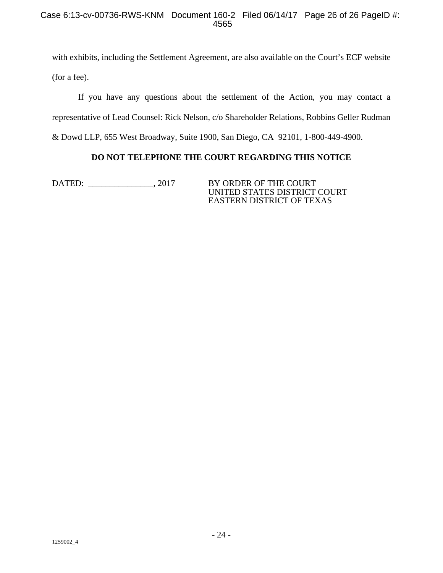## Case 6:13-cv-00736-RWS-KNM Document 160-2 Filed 06/14/17 Page 26 of 26 PageID #: 4565

with exhibits, including the Settlement Agreement, are also available on the Court's ECF website (for a fee).

If you have any questions about the settlement of the Action, you may contact a representative of Lead Counsel: Rick Nelson, c/o Shareholder Relations, Robbins Geller Rudman & Dowd LLP, 655 West Broadway, Suite 1900, San Diego, CA 92101, 1-800-449-4900.

# **DO NOT TELEPHONE THE COURT REGARDING THIS NOTICE**

DATED: \_\_\_\_\_\_\_\_\_\_\_\_\_, 2017 BY ORDER OF THE COURT

UNITED STATES DISTRICT COURT EASTERN DISTRICT OF TEXAS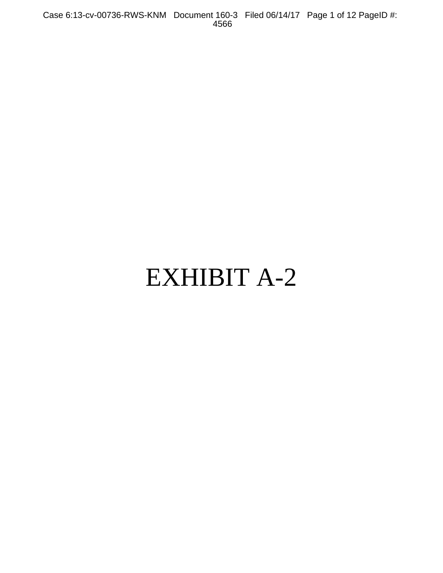Case 6:13-cv-00736-RWS-KNM Document 160-3 Filed 06/14/17 Page 1 of 12 PageID #: 4566

# EXHIBIT A-2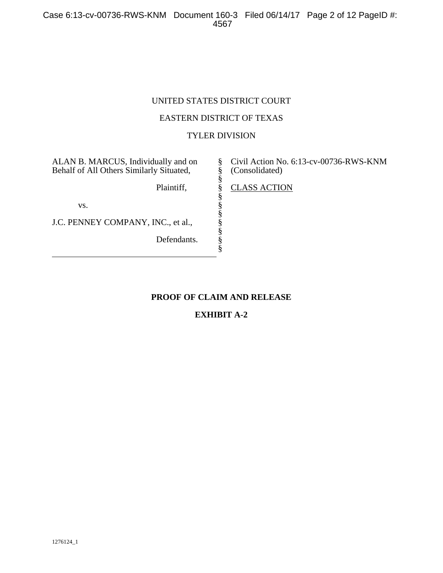# UNITED STATES DISTRICT COURT

## EASTERN DISTRICT OF TEXAS

# TYLER DIVISION

§ § § § § § § § § § §

ALAN B. MARCUS, Individually and on Behalf of All Others Similarly Situated,

Plaintiff,

vs.

J.C. PENNEY COMPANY, INC., et al.,

Defendants.

Civil Action No. 6:13-cv-00736-RWS-KNM (Consolidated)

CLASS ACTION

# **PROOF OF CLAIM AND RELEASE**

# **EXHIBIT A-2**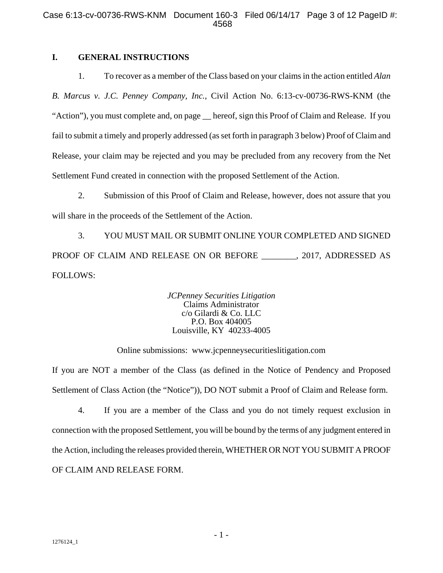## **I. GENERAL INSTRUCTIONS**

1. To recover as a member of the Class based on your claims in the action entitled *Alan B. Marcus v. J.C. Penney Company, Inc.*, Civil Action No. 6:13-cv-00736-RWS-KNM (the "Action"), you must complete and, on page \_\_ hereof, sign this Proof of Claim and Release. If you fail to submit a timely and properly addressed (as set forth in paragraph 3 below) Proof of Claim and Release, your claim may be rejected and you may be precluded from any recovery from the Net Settlement Fund created in connection with the proposed Settlement of the Action.

2. Submission of this Proof of Claim and Release, however, does not assure that you will share in the proceeds of the Settlement of the Action.

3. YOU MUST MAIL OR SUBMIT ONLINE YOUR COMPLETED AND SIGNED PROOF OF CLAIM AND RELEASE ON OR BEFORE \_\_\_\_\_\_\_\_, 2017, ADDRESSED AS FOLLOWS:

> *JCPenney Securities Litigation*  Claims Administrator c/o Gilardi & Co. LLC P.O. Box 404005 Louisville, KY 40233-4005

Online submissions: www.jcpenneysecuritieslitigation.com

If you are NOT a member of the Class (as defined in the Notice of Pendency and Proposed Settlement of Class Action (the "Notice")), DO NOT submit a Proof of Claim and Release form.

4. If you are a member of the Class and you do not timely request exclusion in connection with the proposed Settlement, you will be bound by the terms of any judgment entered in the Action, including the releases provided therein, WHETHER OR NOT YOU SUBMIT A PROOF OF CLAIM AND RELEASE FORM.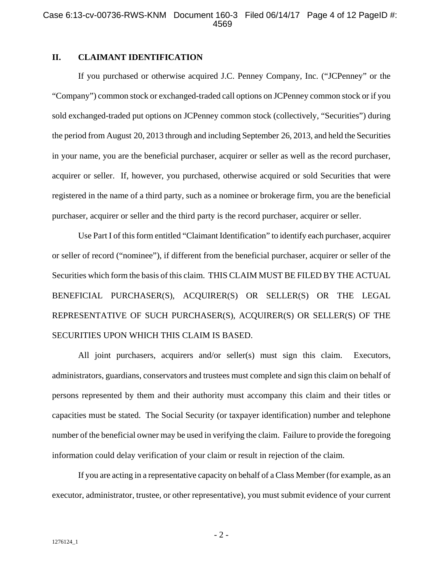## **II. CLAIMANT IDENTIFICATION**

If you purchased or otherwise acquired J.C. Penney Company, Inc. ("JCPenney" or the "Company") common stock or exchanged-traded call options on JCPenney common stock or if you sold exchanged-traded put options on JCPenney common stock (collectively, "Securities") during the period from August 20, 2013 through and including September 26, 2013, and held the Securities in your name, you are the beneficial purchaser, acquirer or seller as well as the record purchaser, acquirer or seller. If, however, you purchased, otherwise acquired or sold Securities that were registered in the name of a third party, such as a nominee or brokerage firm, you are the beneficial purchaser, acquirer or seller and the third party is the record purchaser, acquirer or seller.

Use Part I of this form entitled "Claimant Identification" to identify each purchaser, acquirer or seller of record ("nominee"), if different from the beneficial purchaser, acquirer or seller of the Securities which form the basis of this claim. THIS CLAIM MUST BE FILED BY THE ACTUAL BENEFICIAL PURCHASER(S), ACQUIRER(S) OR SELLER(S) OR THE LEGAL REPRESENTATIVE OF SUCH PURCHASER(S), ACQUIRER(S) OR SELLER(S) OF THE SECURITIES UPON WHICH THIS CLAIM IS BASED.

All joint purchasers, acquirers and/or seller(s) must sign this claim. Executors, administrators, guardians, conservators and trustees must complete and sign this claim on behalf of persons represented by them and their authority must accompany this claim and their titles or capacities must be stated. The Social Security (or taxpayer identification) number and telephone number of the beneficial owner may be used in verifying the claim. Failure to provide the foregoing information could delay verification of your claim or result in rejection of the claim.

If you are acting in a representative capacity on behalf of a Class Member (for example, as an executor, administrator, trustee, or other representative), you must submit evidence of your current

- 2 -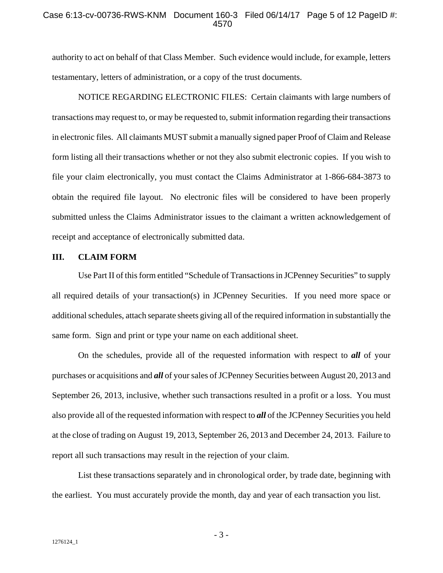#### Case 6:13-cv-00736-RWS-KNM Document 160-3 Filed 06/14/17 Page 5 of 12 PageID #: 4570

authority to act on behalf of that Class Member. Such evidence would include, for example, letters testamentary, letters of administration, or a copy of the trust documents.

NOTICE REGARDING ELECTRONIC FILES: Certain claimants with large numbers of transactions may request to, or may be requested to, submit information regarding their transactions in electronic files. All claimants MUST submit a manually signed paper Proof of Claim and Release form listing all their transactions whether or not they also submit electronic copies. If you wish to file your claim electronically, you must contact the Claims Administrator at 1-866-684-3873 to obtain the required file layout. No electronic files will be considered to have been properly submitted unless the Claims Administrator issues to the claimant a written acknowledgement of receipt and acceptance of electronically submitted data.

#### **III. CLAIM FORM**

Use Part II of this form entitled "Schedule of Transactions in JCPenney Securities" to supply all required details of your transaction(s) in JCPenney Securities. If you need more space or additional schedules, attach separate sheets giving all of the required information in substantially the same form. Sign and print or type your name on each additional sheet.

On the schedules, provide all of the requested information with respect to *all* of your purchases or acquisitions and *all* of your sales of JCPenney Securities between August 20, 2013 and September 26, 2013, inclusive, whether such transactions resulted in a profit or a loss. You must also provide all of the requested information with respect to *all* of the JCPenney Securities you held at the close of trading on August 19, 2013, September 26, 2013 and December 24, 2013. Failure to report all such transactions may result in the rejection of your claim.

List these transactions separately and in chronological order, by trade date, beginning with the earliest. You must accurately provide the month, day and year of each transaction you list.

- 3 -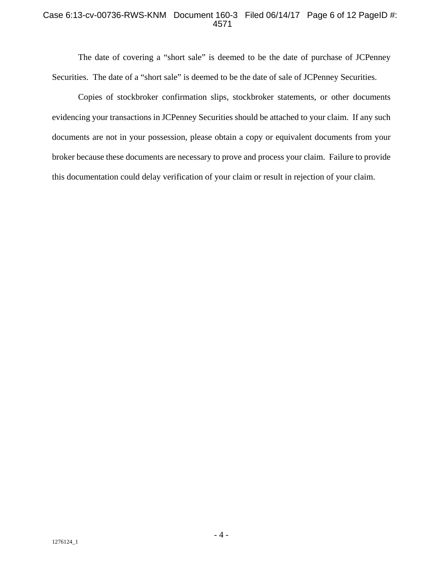## Case 6:13-cv-00736-RWS-KNM Document 160-3 Filed 06/14/17 Page 6 of 12 PageID #: 4571

The date of covering a "short sale" is deemed to be the date of purchase of JCPenney Securities. The date of a "short sale" is deemed to be the date of sale of JCPenney Securities.

Copies of stockbroker confirmation slips, stockbroker statements, or other documents evidencing your transactions in JCPenney Securities should be attached to your claim. If any such documents are not in your possession, please obtain a copy or equivalent documents from your broker because these documents are necessary to prove and process your claim. Failure to provide this documentation could delay verification of your claim or result in rejection of your claim.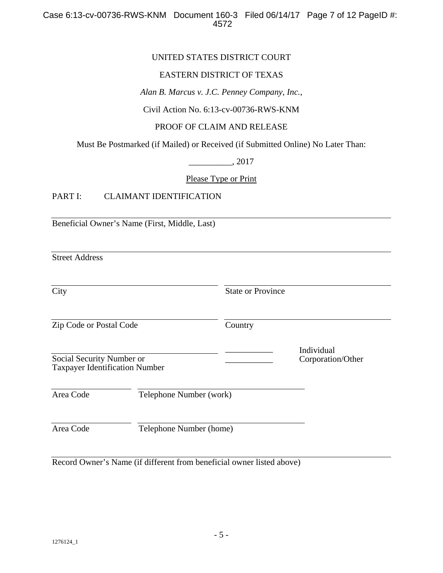## UNITED STATES DISTRICT COURT

## EASTERN DISTRICT OF TEXAS

*Alan B. Marcus v. J.C. Penney Company, Inc.*,

Civil Action No. 6:13-cv-00736-RWS-KNM

#### PROOF OF CLAIM AND RELEASE

Must Be Postmarked (if Mailed) or Received (if Submitted Online) No Later Than:

\_\_\_\_\_\_\_\_\_\_, 2017

Please Type or Print

## PART I: CLAIMANT IDENTIFICATION

Beneficial Owner's Name (First, Middle, Last)

Street Address

| City                                                               |                         |         | <b>State or Province</b>        |  |
|--------------------------------------------------------------------|-------------------------|---------|---------------------------------|--|
| Zip Code or Postal Code                                            |                         | Country |                                 |  |
| Social Security Number or<br><b>Taxpayer Identification Number</b> |                         |         | Individual<br>Corporation/Other |  |
| Area Code                                                          | Telephone Number (work) |         |                                 |  |
| Area Code                                                          | Telephone Number (home) |         |                                 |  |

Record Owner's Name (if different from beneficial owner listed above)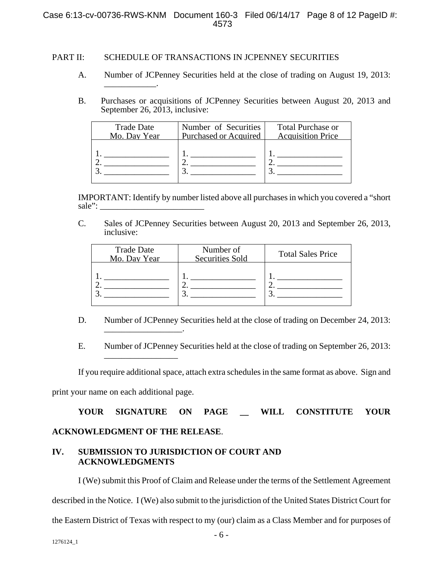#### Case 6:13-cv-00736-RWS-KNM Document 160-3 Filed 06/14/17 Page 8 of 12 PageID #: 4573

#### PART II: SCHEDULE OF TRANSACTIONS IN JCPENNEY SECURITIES

- A. Number of JCPenney Securities held at the close of trading on August 19, 2013: \_\_\_\_\_\_\_\_\_\_\_\_.
- B. Purchases or acquisitions of JCPenney Securities between August 20, 2013 and September 26, 2013, inclusive:

| <b>Trade Date</b> | Number of Securities         | <b>Total Purchase or</b> |
|-------------------|------------------------------|--------------------------|
| Mo. Day Year      | <b>Purchased or Acquired</b> | <b>Acquisition Price</b> |
|                   |                              |                          |

IMPORTANT: Identify by number listed above all purchases in which you covered a "short sale":

C. Sales of JCPenney Securities between August 20, 2013 and September 26, 2013, inclusive:

| <b>Trade Date</b><br>Mo. Day Year | Number of<br><b>Securities Sold</b> | <b>Total Sales Price</b> |
|-----------------------------------|-------------------------------------|--------------------------|
|                                   |                                     |                          |

D. Number of JCPenney Securities held at the close of trading on December 24, 2013: \_\_\_\_\_\_\_\_\_\_\_\_\_\_\_\_\_\_.

E. Number of JCPenney Securities held at the close of trading on September 26, 2013:

If you require additional space, attach extra schedules in the same format as above. Sign and

print your name on each additional page.

\_\_\_\_\_\_\_\_\_\_\_\_\_\_\_\_\_

**YOUR SIGNATURE ON PAGE \_\_ WILL CONSTITUTE YOUR ACKNOWLEDGMENT OF THE RELEASE**.

## **IV. SUBMISSION TO JURISDICTION OF COURT AND ACKNOWLEDGMENTS**

I (We) submit this Proof of Claim and Release under the terms of the Settlement Agreement described in the Notice. I (We) also submit to the jurisdiction of the United States District Court for the Eastern District of Texas with respect to my (our) claim as a Class Member and for purposes of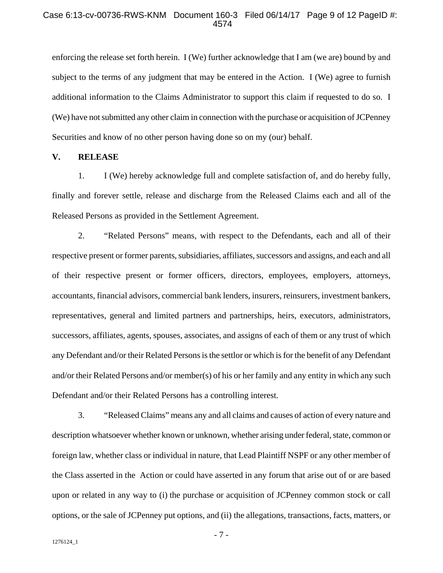#### Case 6:13-cv-00736-RWS-KNM Document 160-3 Filed 06/14/17 Page 9 of 12 PageID #: 4574

enforcing the release set forth herein. I (We) further acknowledge that I am (we are) bound by and subject to the terms of any judgment that may be entered in the Action. I (We) agree to furnish additional information to the Claims Administrator to support this claim if requested to do so. I (We) have not submitted any other claim in connection with the purchase or acquisition of JCPenney Securities and know of no other person having done so on my (our) behalf.

#### **V. RELEASE**

1. I (We) hereby acknowledge full and complete satisfaction of, and do hereby fully, finally and forever settle, release and discharge from the Released Claims each and all of the Released Persons as provided in the Settlement Agreement.

2. "Related Persons" means, with respect to the Defendants, each and all of their respective present or former parents, subsidiaries, affiliates, successors and assigns, and each and all of their respective present or former officers, directors, employees, employers, attorneys, accountants, financial advisors, commercial bank lenders, insurers, reinsurers, investment bankers, representatives, general and limited partners and partnerships, heirs, executors, administrators, successors, affiliates, agents, spouses, associates, and assigns of each of them or any trust of which any Defendant and/or their Related Persons is the settlor or which is for the benefit of any Defendant and/or their Related Persons and/or member(s) of his or her family and any entity in which any such Defendant and/or their Related Persons has a controlling interest.

3. "Released Claims" means any and all claims and causes of action of every nature and description whatsoever whether known or unknown, whether arising under federal, state, common or foreign law, whether class or individual in nature, that Lead Plaintiff NSPF or any other member of the Class asserted in the Action or could have asserted in any forum that arise out of or are based upon or related in any way to (i) the purchase or acquisition of JCPenney common stock or call options, or the sale of JCPenney put options, and (ii) the allegations, transactions, facts, matters, or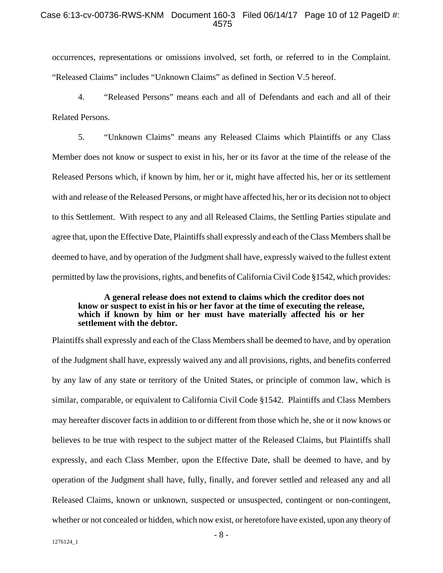#### Case 6:13-cv-00736-RWS-KNM Document 160-3 Filed 06/14/17 Page 10 of 12 PageID #: 4575

occurrences, representations or omissions involved, set forth, or referred to in the Complaint. "Released Claims" includes "Unknown Claims" as defined in Section V.5 hereof.

4. "Released Persons" means each and all of Defendants and each and all of their Related Persons.

5. "Unknown Claims" means any Released Claims which Plaintiffs or any Class Member does not know or suspect to exist in his, her or its favor at the time of the release of the Released Persons which, if known by him, her or it, might have affected his, her or its settlement with and release of the Released Persons, or might have affected his, her or its decision not to object to this Settlement. With respect to any and all Released Claims, the Settling Parties stipulate and agree that, upon the Effective Date, Plaintiffs shall expressly and each of the Class Members shall be deemed to have, and by operation of the Judgment shall have, expressly waived to the fullest extent permitted by law the provisions, rights, and benefits of California Civil Code §1542, which provides:

#### **A general release does not extend to claims which the creditor does not know or suspect to exist in his or her favor at the time of executing the release, which if known by him or her must have materially affected his or her settlement with the debtor.**

Plaintiffs shall expressly and each of the Class Members shall be deemed to have, and by operation of the Judgment shall have, expressly waived any and all provisions, rights, and benefits conferred by any law of any state or territory of the United States, or principle of common law, which is similar, comparable, or equivalent to California Civil Code §1542. Plaintiffs and Class Members may hereafter discover facts in addition to or different from those which he, she or it now knows or believes to be true with respect to the subject matter of the Released Claims, but Plaintiffs shall expressly, and each Class Member, upon the Effective Date, shall be deemed to have, and by operation of the Judgment shall have, fully, finally, and forever settled and released any and all Released Claims, known or unknown, suspected or unsuspected, contingent or non-contingent, whether or not concealed or hidden, which now exist, or heretofore have existed, upon any theory of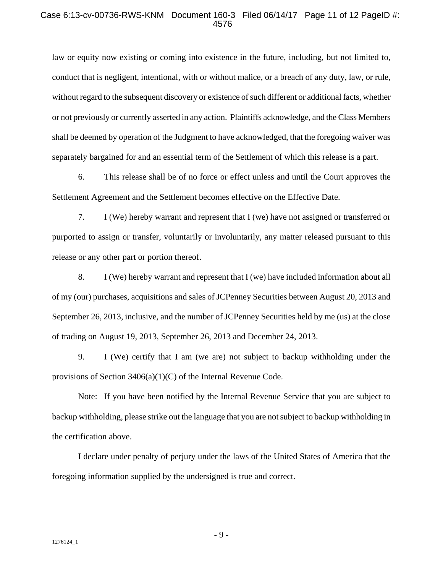#### Case 6:13-cv-00736-RWS-KNM Document 160-3 Filed 06/14/17 Page 11 of 12 PageID #: 4576

law or equity now existing or coming into existence in the future, including, but not limited to, conduct that is negligent, intentional, with or without malice, or a breach of any duty, law, or rule, without regard to the subsequent discovery or existence of such different or additional facts, whether or not previously or currently asserted in any action. Plaintiffs acknowledge, and the Class Members shall be deemed by operation of the Judgment to have acknowledged, that the foregoing waiver was separately bargained for and an essential term of the Settlement of which this release is a part.

6. This release shall be of no force or effect unless and until the Court approves the Settlement Agreement and the Settlement becomes effective on the Effective Date.

7. I (We) hereby warrant and represent that I (we) have not assigned or transferred or purported to assign or transfer, voluntarily or involuntarily, any matter released pursuant to this release or any other part or portion thereof.

8. I (We) hereby warrant and represent that I (we) have included information about all of my (our) purchases, acquisitions and sales of JCPenney Securities between August 20, 2013 and September 26, 2013, inclusive, and the number of JCPenney Securities held by me (us) at the close of trading on August 19, 2013, September 26, 2013 and December 24, 2013.

9. I (We) certify that I am (we are) not subject to backup withholding under the provisions of Section 3406(a)(1)(C) of the Internal Revenue Code.

Note: If you have been notified by the Internal Revenue Service that you are subject to backup withholding, please strike out the language that you are not subject to backup withholding in the certification above.

I declare under penalty of perjury under the laws of the United States of America that the foregoing information supplied by the undersigned is true and correct.

- 9 -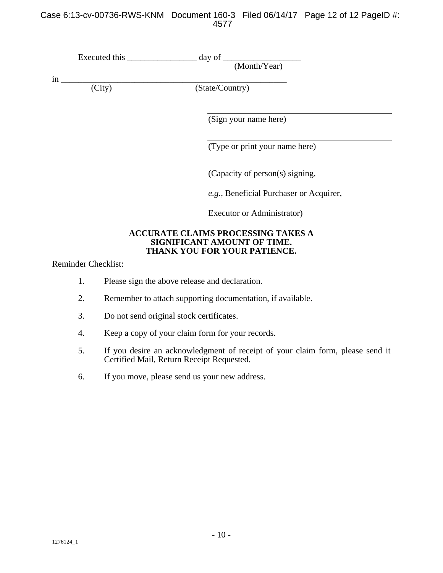## Case 6:13-cv-00736-RWS-KNM Document 160-3 Filed 06/14/17 Page 12 of 12 PageID #: 4577

| Executed this             | day of $\overline{\phantom{a}}$<br>(Month/Year)                          |
|---------------------------|--------------------------------------------------------------------------|
| in<br>$\overline{(City)}$ | (State/Country)                                                          |
|                           | (Sign your name here)                                                    |
|                           | (Type or print your name here)                                           |
|                           | (Capacity of person(s) signing,                                          |
|                           | e.g., Beneficial Purchaser or Acquirer,                                  |
|                           | Executor or Administrator)                                               |
|                           | <b>ACCURATE CLAIMS PROCESSING TAKES A</b><br>SIGNIFICANT AMOUNT OF TIME. |

**THANK YOU FOR YOUR PATIENCE.** 

Reminder Checklist:

- 1. Please sign the above release and declaration.
- 2. Remember to attach supporting documentation, if available.
- 3. Do not send original stock certificates.
- 4. Keep a copy of your claim form for your records.
- 5. If you desire an acknowledgment of receipt of your claim form, please send it Certified Mail, Return Receipt Requested.
- 6. If you move, please send us your new address.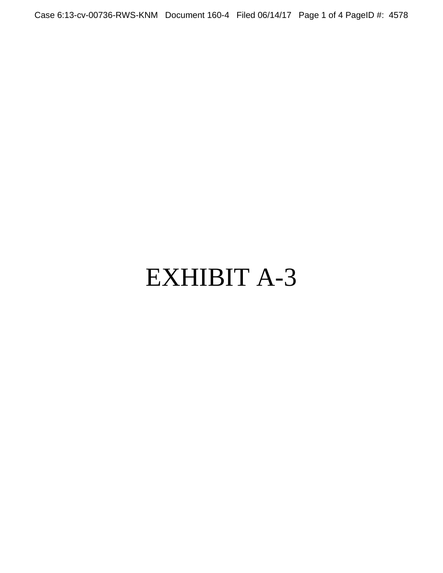Case 6:13-cv-00736-RWS-KNM Document 160-4 Filed 06/14/17 Page 1 of 4 PageID #: 4578

## EXHIBIT A-3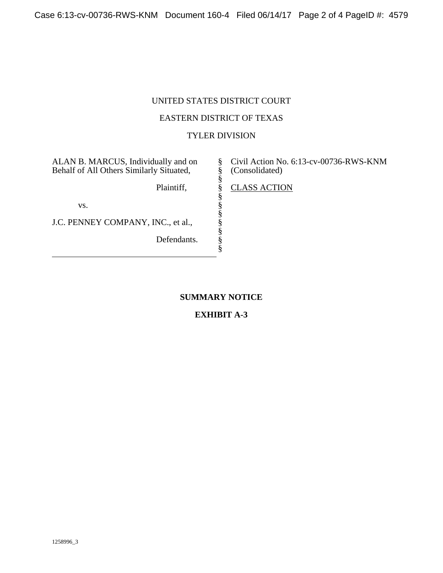## UNITED STATES DISTRICT COURT

## EASTERN DISTRICT OF TEXAS

## TYLER DIVISION

§ § § § § § § § § § §

ALAN B. MARCUS, Individually and on Behalf of All Others Similarly Situated,

Plaintiff,

vs.

J.C. PENNEY COMPANY, INC., et al.,

Defendants.

Civil Action No. 6:13-cv-00736-RWS-KNM (Consolidated)

CLASS ACTION

## **SUMMARY NOTICE**

## **EXHIBIT A-3**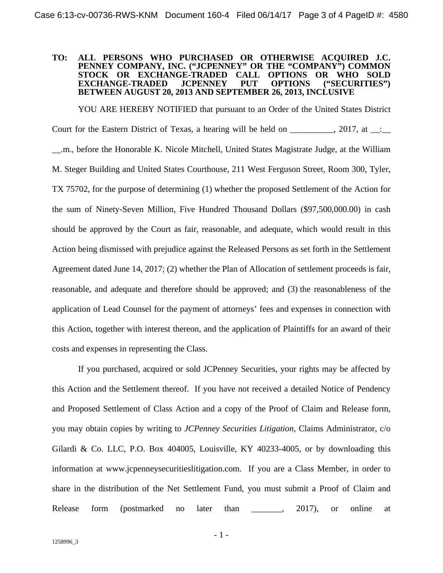#### **TO: ALL PERSONS WHO PURCHASED OR OTHERWISE ACQUIRED J.C. PENNEY COMPANY, INC. ("JCPENNEY" OR THE "COMPANY") COMMON STOCK OR EXCHANGE-TRADED CALL OPTIONS OR WHO SOLD EXCHANGE-TRADED BETWEEN AUGUST 20, 2013 AND SEPTEMBER 26, 2013, INCLUSIVE**

YOU ARE HEREBY NOTIFIED that pursuant to an Order of the United States District Court for the Eastern District of Texas, a hearing will be held on \_\_\_\_\_\_\_\_\_\_, 2017, at \_\_:\_\_ \_\_.m., before the Honorable K. Nicole Mitchell, United States Magistrate Judge, at the William M. Steger Building and United States Courthouse, 211 West Ferguson Street, Room 300, Tyler, TX 75702, for the purpose of determining (1) whether the proposed Settlement of the Action for the sum of Ninety-Seven Million, Five Hundred Thousand Dollars (\$97,500,000.00) in cash should be approved by the Court as fair, reasonable, and adequate, which would result in this Action being dismissed with prejudice against the Released Persons as set forth in the Settlement Agreement dated June 14, 2017; (2) whether the Plan of Allocation of settlement proceeds is fair, reasonable, and adequate and therefore should be approved; and (3) the reasonableness of the application of Lead Counsel for the payment of attorneys' fees and expenses in connection with this Action, together with interest thereon, and the application of Plaintiffs for an award of their costs and expenses in representing the Class.

If you purchased, acquired or sold JCPenney Securities, your rights may be affected by this Action and the Settlement thereof. If you have not received a detailed Notice of Pendency and Proposed Settlement of Class Action and a copy of the Proof of Claim and Release form, you may obtain copies by writing to *JCPenney Securities Litigation*, Claims Administrator, c/o Gilardi & Co. LLC, P.O. Box 404005, Louisville, KY 40233-4005, or by downloading this information at www.jcpenneysecuritieslitigation.com. If you are a Class Member, in order to share in the distribution of the Net Settlement Fund, you must submit a Proof of Claim and Release form (postmarked no later than \_\_\_\_\_\_, 2017), or online at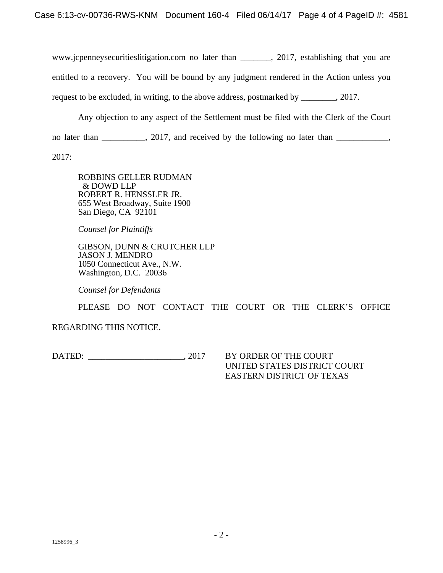www.jcpenneysecuritieslitigation.com no later than \_\_\_\_\_\_\_, 2017, establishing that you are entitled to a recovery. You will be bound by any judgment rendered in the Action unless you request to be excluded, in writing, to the above address, postmarked by \_\_\_\_\_\_\_\_, 2017.

Any objection to any aspect of the Settlement must be filed with the Clerk of the Court

no later than \_\_\_\_\_\_\_\_, 2017, and received by the following no later than \_\_\_\_\_\_\_\_,

2017:

ROBBINS GELLER RUDMAN & DOWD LLP ROBERT R. HENSSLER JR. 655 West Broadway, Suite 1900 San Diego, CA 92101

*Counsel for Plaintiffs* 

GIBSON, DUNN & CRUTCHER LLP JASON J. MENDRO 1050 Connecticut Ave., N.W. Washington, D.C. 20036

*Counsel for Defendants* 

PLEASE DO NOT CONTACT THE COURT OR THE CLERK'S OFFICE

REGARDING THIS NOTICE.

DATED:  $.2017$  BY ORDER OF THE COURT

UNITED STATES DISTRICT COURT EASTERN DISTRICT OF TEXAS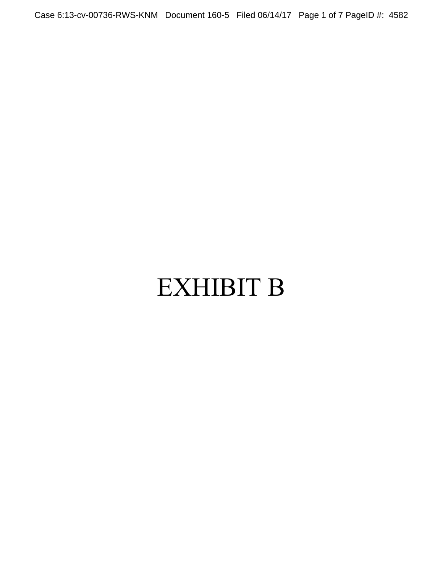Case 6:13-cv-00736-RWS-KNM Document 160-5 Filed 06/14/17 Page 1 of 7 PageID #: 4582

# EXHIBIT B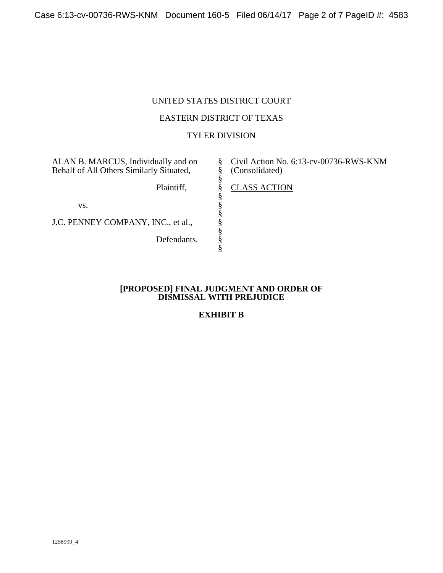## UNITED STATES DISTRICT COURT

## EASTERN DISTRICT OF TEXAS

## TYLER DIVISION

§ § § § § § § § § § §

ALAN B. MARCUS, Individually and on Behalf of All Others Similarly Situated,

Plaintiff,

vs.

J.C. PENNEY COMPANY, INC., et al.,

Defendants.

Civil Action No. 6:13-cv-00736-RWS-KNM (Consolidated)

CLASS ACTION

#### **[PROPOSED] FINAL JUDGMENT AND ORDER OF DISMISSAL WITH PREJUDICE**

## **EXHIBIT B**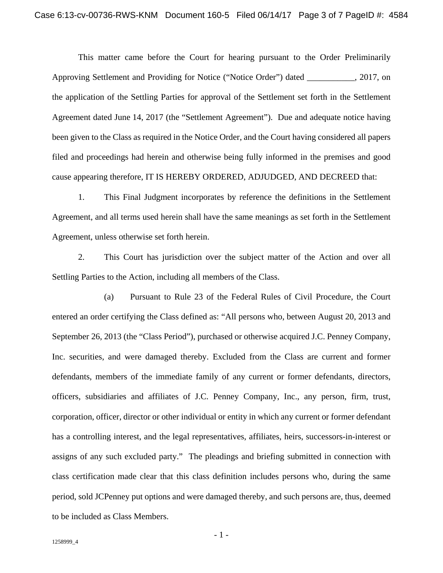This matter came before the Court for hearing pursuant to the Order Preliminarily Approving Settlement and Providing for Notice ("Notice Order") dated \_\_\_\_\_\_\_\_\_\_\_, 2017, on the application of the Settling Parties for approval of the Settlement set forth in the Settlement Agreement dated June 14, 2017 (the "Settlement Agreement"). Due and adequate notice having been given to the Class as required in the Notice Order, and the Court having considered all papers filed and proceedings had herein and otherwise being fully informed in the premises and good cause appearing therefore, IT IS HEREBY ORDERED, ADJUDGED, AND DECREED that:

1. This Final Judgment incorporates by reference the definitions in the Settlement Agreement, and all terms used herein shall have the same meanings as set forth in the Settlement Agreement, unless otherwise set forth herein.

2. This Court has jurisdiction over the subject matter of the Action and over all Settling Parties to the Action, including all members of the Class.

(a) Pursuant to Rule 23 of the Federal Rules of Civil Procedure, the Court entered an order certifying the Class defined as: "All persons who, between August 20, 2013 and September 26, 2013 (the "Class Period"), purchased or otherwise acquired J.C. Penney Company, Inc. securities, and were damaged thereby. Excluded from the Class are current and former defendants, members of the immediate family of any current or former defendants, directors, officers, subsidiaries and affiliates of J.C. Penney Company, Inc., any person, firm, trust, corporation, officer, director or other individual or entity in which any current or former defendant has a controlling interest, and the legal representatives, affiliates, heirs, successors-in-interest or assigns of any such excluded party." The pleadings and briefing submitted in connection with class certification made clear that this class definition includes persons who, during the same period, sold JCPenney put options and were damaged thereby, and such persons are, thus, deemed to be included as Class Members.

- 1 -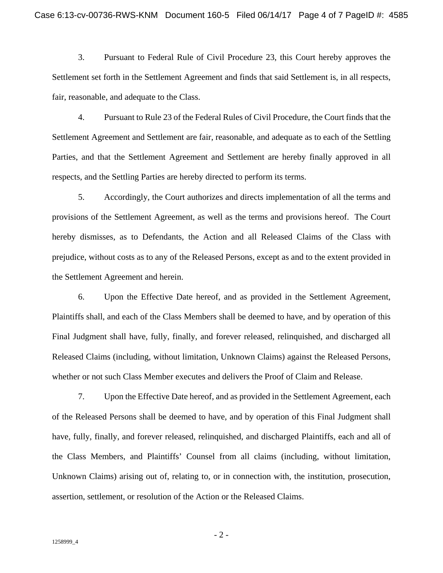3. Pursuant to Federal Rule of Civil Procedure 23, this Court hereby approves the Settlement set forth in the Settlement Agreement and finds that said Settlement is, in all respects, fair, reasonable, and adequate to the Class.

4. Pursuant to Rule 23 of the Federal Rules of Civil Procedure, the Court finds that the Settlement Agreement and Settlement are fair, reasonable, and adequate as to each of the Settling Parties, and that the Settlement Agreement and Settlement are hereby finally approved in all respects, and the Settling Parties are hereby directed to perform its terms.

5. Accordingly, the Court authorizes and directs implementation of all the terms and provisions of the Settlement Agreement, as well as the terms and provisions hereof. The Court hereby dismisses, as to Defendants, the Action and all Released Claims of the Class with prejudice, without costs as to any of the Released Persons, except as and to the extent provided in the Settlement Agreement and herein.

6. Upon the Effective Date hereof, and as provided in the Settlement Agreement, Plaintiffs shall, and each of the Class Members shall be deemed to have, and by operation of this Final Judgment shall have, fully, finally, and forever released, relinquished, and discharged all Released Claims (including, without limitation, Unknown Claims) against the Released Persons, whether or not such Class Member executes and delivers the Proof of Claim and Release.

7. Upon the Effective Date hereof, and as provided in the Settlement Agreement, each of the Released Persons shall be deemed to have, and by operation of this Final Judgment shall have, fully, finally, and forever released, relinquished, and discharged Plaintiffs, each and all of the Class Members, and Plaintiffs' Counsel from all claims (including, without limitation, Unknown Claims) arising out of, relating to, or in connection with, the institution, prosecution, assertion, settlement, or resolution of the Action or the Released Claims.

- 2 -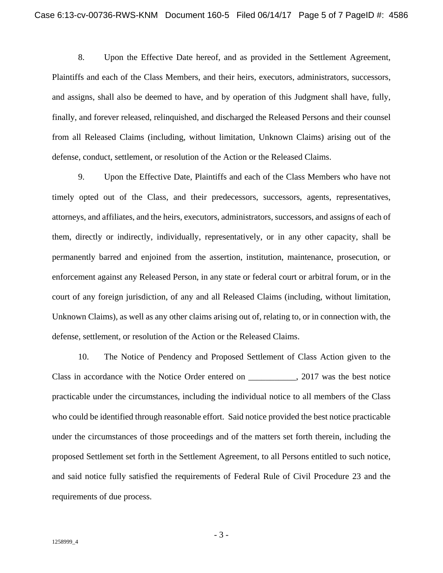8. Upon the Effective Date hereof, and as provided in the Settlement Agreement, Plaintiffs and each of the Class Members, and their heirs, executors, administrators, successors, and assigns, shall also be deemed to have, and by operation of this Judgment shall have, fully, finally, and forever released, relinquished, and discharged the Released Persons and their counsel from all Released Claims (including, without limitation, Unknown Claims) arising out of the defense, conduct, settlement, or resolution of the Action or the Released Claims.

9. Upon the Effective Date, Plaintiffs and each of the Class Members who have not timely opted out of the Class, and their predecessors, successors, agents, representatives, attorneys, and affiliates, and the heirs, executors, administrators, successors, and assigns of each of them, directly or indirectly, individually, representatively, or in any other capacity, shall be permanently barred and enjoined from the assertion, institution, maintenance, prosecution, or enforcement against any Released Person, in any state or federal court or arbitral forum, or in the court of any foreign jurisdiction, of any and all Released Claims (including, without limitation, Unknown Claims), as well as any other claims arising out of, relating to, or in connection with, the defense, settlement, or resolution of the Action or the Released Claims.

10. The Notice of Pendency and Proposed Settlement of Class Action given to the Class in accordance with the Notice Order entered on \_\_\_\_\_\_\_\_\_\_\_, 2017 was the best notice practicable under the circumstances, including the individual notice to all members of the Class who could be identified through reasonable effort. Said notice provided the best notice practicable under the circumstances of those proceedings and of the matters set forth therein, including the proposed Settlement set forth in the Settlement Agreement, to all Persons entitled to such notice, and said notice fully satisfied the requirements of Federal Rule of Civil Procedure 23 and the requirements of due process.

- 3 -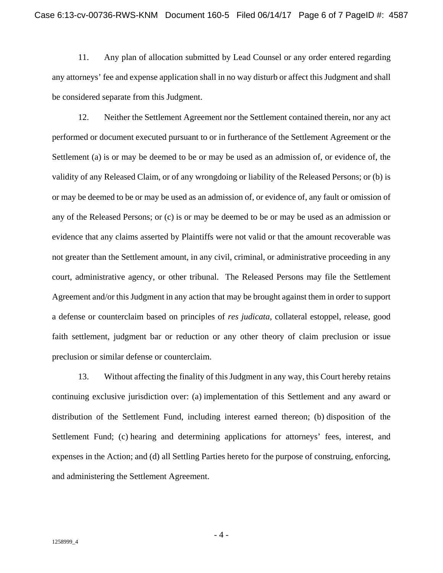11. Any plan of allocation submitted by Lead Counsel or any order entered regarding any attorneys' fee and expense application shall in no way disturb or affect this Judgment and shall be considered separate from this Judgment.

12. Neither the Settlement Agreement nor the Settlement contained therein, nor any act performed or document executed pursuant to or in furtherance of the Settlement Agreement or the Settlement (a) is or may be deemed to be or may be used as an admission of, or evidence of, the validity of any Released Claim, or of any wrongdoing or liability of the Released Persons; or (b) is or may be deemed to be or may be used as an admission of, or evidence of, any fault or omission of any of the Released Persons; or (c) is or may be deemed to be or may be used as an admission or evidence that any claims asserted by Plaintiffs were not valid or that the amount recoverable was not greater than the Settlement amount, in any civil, criminal, or administrative proceeding in any court, administrative agency, or other tribunal. The Released Persons may file the Settlement Agreement and/or this Judgment in any action that may be brought against them in order to support a defense or counterclaim based on principles of *res judicata*, collateral estoppel, release, good faith settlement, judgment bar or reduction or any other theory of claim preclusion or issue preclusion or similar defense or counterclaim.

13. Without affecting the finality of this Judgment in any way, this Court hereby retains continuing exclusive jurisdiction over: (a) implementation of this Settlement and any award or distribution of the Settlement Fund, including interest earned thereon; (b) disposition of the Settlement Fund; (c) hearing and determining applications for attorneys' fees, interest, and expenses in the Action; and (d) all Settling Parties hereto for the purpose of construing, enforcing, and administering the Settlement Agreement.

- 4 -